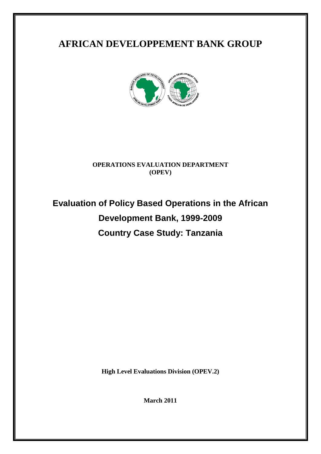## **AFRICAN DEVELOPPEMENT BANK GROUP**



## **OPERATIONS EVALUATION DEPARTMENT (OPEV)**

# **Evaluation of Policy Based Operations in the African Development Bank, 1999-2009 Country Case Study: Tanzania**

**High Level Evaluations Division (OPEV.2)**

**March 2011**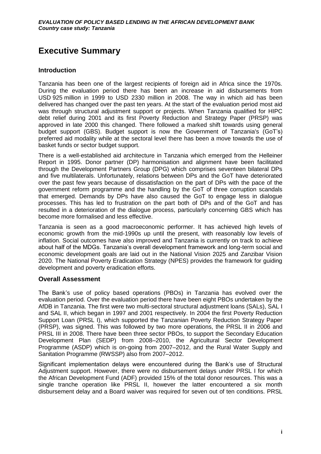## <span id="page-2-0"></span>**Executive Summary**

## **Introduction**

Tanzania has been one of the largest recipients of foreign aid in Africa since the 1970s. During the evaluation period there has been an increase in aid disbursements from USD 925 million in 1999 to USD 2330 million in 2008. The way in which aid has been delivered has changed over the past ten years. At the start of the evaluation period most aid was through structural adjustment support or projects. When Tanzania qualified for HIPC debt relief during 2001 and its first Poverty Reduction and Strategy Paper (PRSP) was approved in late 2000 this changed. There followed a marked shift towards using general budget support (GBS). Budget support is now the Government of Tanzania's (GoT's) preferred aid modality while at the sectoral level there has been a move towards the use of basket funds or sector budget support.

There is a well-established aid architecture in Tanzania which emerged from the Helleiner Report in 1995. Donor partner (DP) harmonisation and alignment have been facilitated through the Development Partners Group (DPG) which comprises seventeen bilateral DPs and five multilaterals. Unfortunately, relations between DPs and the GoT have deteriorated over the past few years because of dissatisfaction on the part of DPs with the pace of the government reform programme and the handling by the GoT of three corruption scandals that emerged. Demands by DPs have also caused the GoT to engage less in dialogue processes. This has led to frustration on the part both of DPs and of the GoT and has resulted in a deterioration of the dialogue process, particularly concerning GBS which has become more formalised and less effective.

Tanzania is seen as a good macroeconomic performer. It has achieved high levels of economic growth from the mid-1990s up until the present, with reasonably low levels of inflation. Social outcomes have also improved and Tanzania is currently on track to achieve about half of the MDGs. Tanzania's overall development framework and long-term social and economic development goals are laid out in the National Vision 2025 and Zanzibar Vision 2020. The National Poverty Eradication Strategy (NPES) provides the framework for guiding development and poverty eradication efforts.

## **Overall Assessment**

The Bank's use of policy based operations (PBOs) in Tanzania has evolved over the evaluation period. Over the evaluation period there have been eight PBOs undertaken by the AfDB in Tanzania. The first were two multi-sectoral structural adjustment loans (SALs), SAL I and SAL II, which began in 1997 and 2001 respectively. In 2004 the first Poverty Reduction Support Loan (PRSL I), which supported the Tanzanian Poverty Reduction Strategy Paper (PRSP), was signed. This was followed by two more operations, the PRSL II in 2006 and PRSL III in 2008. There have been three sector PBOs, to support the Secondary Education Development Plan (SEDP) from 2008–2010, the Agricultural Sector Development Programme (ASDP) which is on-going from 2007–2012, and the Rural Water Supply and Sanitation Programme (RWSSP) also from 2007–2012.

Significant implementation delays were encountered during the Bank's use of Structural Adjustment support. However, there were no disbursement delays under PRSL I for which the African Development Fund (ADF) provided 15% of the total donor resources. This was a single tranche operation like PRSL II, however the latter encountered a six month disbursement delay and a Board waiver was required for seven out of ten conditions. PRSL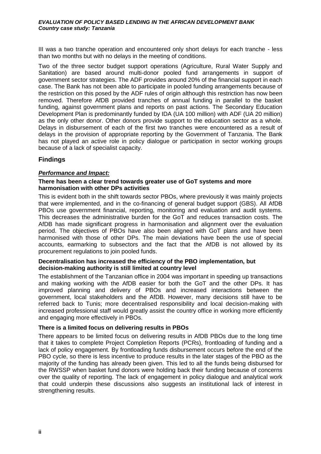III was a two tranche operation and encountered only short delays for each tranche - less than two months but with no delays in the meeting of conditions.

Two of the three sector budget support operations (Agriculture, Rural Water Supply and Sanitation) are based around multi-donor pooled fund arrangements in support of government sector strategies. The ADF provides around 20% of the financial support in each case. The Bank has not been able to participate in pooled funding arrangements because of the restriction on this posed by the ADF rules of origin although this restriction has now been removed. Therefore AfDB provided tranches of annual funding in parallel to the basket funding, against government plans and reports on past actions. The Secondary Education Development Plan is predominantly funded by IDA (UA 100 million) with ADF (UA 20 million) as the only other donor. Other donors provide support to the education sector as a whole. Delays in disbursement of each of the first two tranches were encountered as a result of delays in the provision of appropriate reporting by the Government of Tanzania. The Bank has not played an active role in policy dialogue or participation in sector working groups because of a lack of specialist capacity.

## **Findings**

## *Performance and Impact:*

### **There has been a clear trend towards greater use of GoT systems and more harmonisation with other DPs activities**

This is evident both in the shift towards sector PBOs, where previously it was mainly projects that were implemented, and in the co-financing of general budget support (GBS). All AfDB PBOs use government financial, reporting, monitoring and evaluation and audit systems. This decreases the administrative burden for the GoT and reduces transaction costs. The AfDB has made significant progress in harmonisation and alignment over the evaluation period. The objectives of PBOs have also been aligned with GoT plans and have been harmonised with those of other DPs. The main deviations have been the use of special accounts, earmarking to subsectors and the fact that the AfDB is not allowed by its procurement regulations to join pooled funds.

### **Decentralisation has increased the efficiency of the PBO implementation, but decision-making authority is still limited at country level**

The establishment of the Tanzanian office in 2004 was important in speeding up transactions and making working with the AfDB easier for both the GoT and the other DPs. It has improved planning and delivery of PBOs and increased interactions between the government, local stakeholders and the AfDB. However, many decisions still have to be referred back to Tunis; more decentralised responsibility and local decision-making with increased professional staff would greatly assist the country office in working more efficiently and engaging more effectively in PBOs.

## **There is a limited focus on delivering results in PBOs**

There appears to be limited focus on delivering results in AfDB PBOs due to the long time that it takes to complete Project Completion Reports (PCRs), frontloading of funding and a lack of policy engagement. By frontloading funds disbursement occurs before the end of the PBO cycle, so there is less incentive to produce results in the later stages of the PBO as the majority of the funding has already been given. This led to all the funds being disbursed for the RWSSP when basket fund donors were holding back their funding because of concerns over the quality of reporting. The lack of engagement in policy dialogue and analytical work that could underpin these discussions also suggests an institutional lack of interest in strengthening results.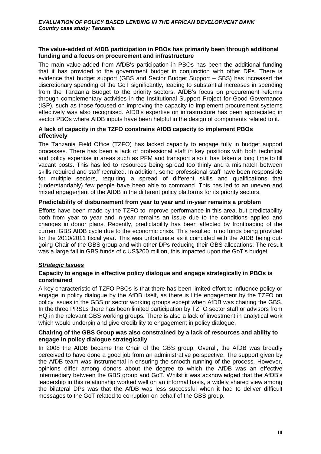### **The value-added of AfDB participation in PBOs has primarily been through additional funding and a focus on procurement and infrastructure**

The main value-added from AfDB's participation in PBOs has been the additional funding that it has provided to the government budget in conjunction with other DPs. There is evidence that budget support (GBS and Sector Budget Support – SBS) has increased the discretionary spending of the GoT significantly, leading to substantial increases in spending from the Tanzania Budget to the priority sectors. AfDB's focus on procurement reforms through complementary activities in the Institutional Support Project for Good Governance (ISP), such as those focused on improving the capacity to implement procurement systems effectively was also recognised. AfDB's expertise on infrastructure has been appreciated in sector PBOs where AfDB inputs have been helpful in the design of components related to it.

## **A lack of capacity in the TZFO constrains AfDB capacity to implement PBOs effectively**

The Tanzania Field Office (TZFO) has lacked capacity to engage fully in budget support processes. There has been a lack of professional staff in key positions with both technical and policy expertise in areas such as PFM and transport also it has taken a long time to fill vacant posts. This has led to resources being spread too thinly and a mismatch between skills required and staff recruited. In addition, some professional staff have been responsible for multiple sectors, requiring a spread of different skills and qualifications that (understandably) few people have been able to command. This has led to an uneven and mixed engagement of the AfDB in the different policy platforms for its priority sectors.

## **Predictability of disbursement from year to year and in-year remains a problem**

Efforts have been made by the TZFO to improve performance in this area, but predictability both from year to year and in-year remains an issue due to the conditions applied and changes in donor plans. Recently, predictability has been affected by frontloading of the current GBS AfDB cycle due to the economic crisis. This resulted in no funds being provided for the 2010/2011 fiscal year. This was unfortunate as it coincided with the AfDB being outgoing Chair of the GBS group and with other DPs reducing their GBS allocations. The result was a large fall in GBS funds of c.US\$200 million, this impacted upon the GoT's budget.

## *Strategic Issues*

## **Capacity to engage in effective policy dialogue and engage strategically in PBOs is constrained**

A key characteristic of TZFO PBOs is that there has been limited effort to influence policy or engage in policy dialogue by the AfDB itself, as there is little engagement by the TZFO on policy issues in the GBS or sector working groups except when AfDB was chairing the GBS. In the three PRSLs there has been limited participation by TZFO sector staff or advisors from HQ in the relevant GBS working groups. There is also a lack of investment in analytical work which would underpin and give credibility to engagement in policy dialogue.

### **Chairing of the GBS Group was also constrained by a lack of resources and ability to engage in policy dialogue strategically**

In 2008 the AfDB became the Chair of the GBS group. Overall, the AfDB was broadly perceived to have done a good job from an administrative perspective. The support given by the AfDB team was instrumental in ensuring the smooth running of the process. However, opinions differ among donors about the degree to which the AfDB was an effective intermediary between the GBS group and GoT. Whilst it was acknowledged that the AfDB's leadership in this relationship worked well on an informal basis, a widely shared view among the bilateral DPs was that the AfDB was less successful when it had to deliver difficult messages to the GoT related to corruption on behalf of the GBS group.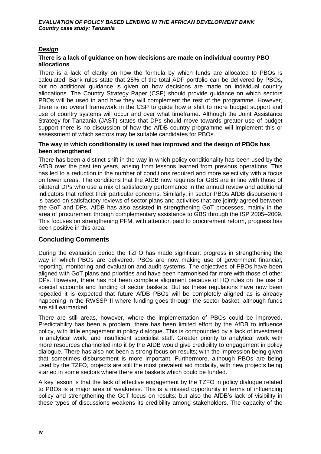## *Design*

### **There is a lack of guidance on how decisions are made on individual country PBO allocations**

There is a lack of clarity on how the formula by which funds are allocated to PBOs is calculated. Bank rules state that 25% of the total ADF portfolio can be delivered by PBOs, but no additional guidance is given on how decisions are made on individual country allocations. The Country Strategy Paper (CSP) should provide guidance on which sectors PBOs will be used in and how they will complement the rest of the programme. However, there is no overall framework in the CSP to guide how a shift to more budget support and use of country systems will occur and over what timeframe. Although the Joint Assistance Strategy for Tanzania (JAST) states that DPs should move towards greater use of budget support there is no discussion of how the AfDB country programme will implement this or assessment of which sectors may be suitable candidates for PBOs.

### **The way in which conditionality is used has improved and the design of PBOs has been strengthened**

There has been a distinct shift in the way in which policy conditionality has been used by the AfDB over the past ten years, arising from lessons learned from previous operations. This has led to a reduction in the number of conditions required and more selectivity with a focus on fewer areas. The conditions that the AfDB now requires for GBS are in line with those of bilateral DPs who use a mix of satisfactory performance in the annual review and additional indicators that reflect their particular concerns. Similarly, in sector PBOs AfDB disbursement is based on satisfactory reviews of sector plans and activities that are jointly agreed between the GoT and DPs. AfDB has also assisted in strengthening GoT processes, mainly in the area of procurement through complementary assistance to GBS through the ISP 2005–2009. This focuses on strengthening PFM, with attention paid to procurement reform, progress has been positive in this area.

## **Concluding Comments**

During the evaluation period the TZFO has made significant progress in strengthening the way in which PBOs are delivered. PBOs are now making use of government financial, reporting, monitoring and evaluation and audit systems. The objectives of PBOs have been aligned with GoT plans and priorities and have been harmonised far more with those of other DPs. However, there has not been complete alignment because of HQ rules on the use of special accounts and funding of sector baskets. But as these regulations have now been repealed it is expected that future AfDB PBOs will be completely aligned as is already happening in the RWSSP II where funding goes through the sector basket, although funds are still earmarked.

There are still areas, however, where the implementation of PBOs could be improved. Predictability has been a problem; there has been limited effort by the AfDB to influence policy, with little engagement in policy dialogue. This is compounded by a lack of investment in analytical work; and insufficient specialist staff. Greater priority to analytical work with more resources channelled into it by the AfDB would give credibility to engagement in policy dialogue. There has also not been a strong focus on results; with the impression being given that sometimes disbursement is more important. Furthermore, although PBOs are being used by the TZFO, projects are still the most prevalent aid modality, with new projects being started in some sectors where there are baskets which could be funded.

A key lesson is that the lack of effective engagement by the TZFO in policy dialogue related to PBOs is a major area of weakness. This is a missed opportunity in terms of influencing policy and strengthening the GoT focus on results: but also the AfDB's lack of visibility in these types of discussions weakens its credibility among stakeholders. The capacity of the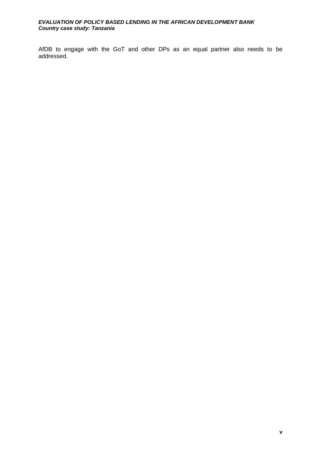AfDB to engage with the GoT and other DPs as an equal partner also needs to be addressed.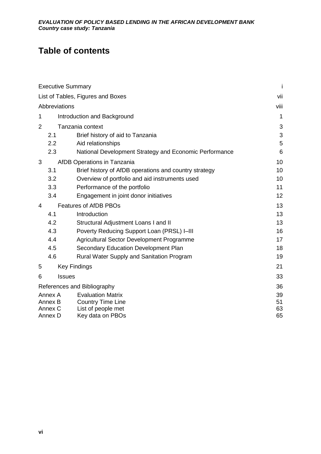## **Table of contents**

|                | <b>Executive Summary</b> |                                                        | Ť        |  |
|----------------|--------------------------|--------------------------------------------------------|----------|--|
|                |                          | List of Tables, Figures and Boxes                      | vii      |  |
|                | Abbreviations            |                                                        | viii     |  |
| 1              |                          | Introduction and Background                            | 1        |  |
| $\overline{2}$ |                          | Tanzania context                                       | 3        |  |
|                | 2.1                      | Brief history of aid to Tanzania                       | 3        |  |
|                | 2.2                      | Aid relationships                                      | 5        |  |
|                | 2.3                      | National Development Strategy and Economic Performance | 6        |  |
| 3              |                          | AfDB Operations in Tanzania                            | 10       |  |
|                | 3.1                      | Brief history of AfDB operations and country strategy  | 10       |  |
|                | 3.2                      | Overview of portfolio and aid instruments used         | 10       |  |
|                | 3.3                      | Performance of the portfolio                           | 11       |  |
|                | 3.4                      | Engagement in joint donor initiatives                  | 12       |  |
| 4              |                          | <b>Features of AfDB PBOs</b>                           | 13       |  |
|                | 4.1                      | Introduction                                           | 13       |  |
|                | 4.2                      | Structural Adjustment Loans I and II                   | 13       |  |
|                | 4.3                      | Poverty Reducing Support Loan (PRSL) I-III             | 16       |  |
|                | 4.4                      | Agricultural Sector Development Programme              | 17       |  |
|                | 4.5                      | <b>Secondary Education Development Plan</b>            | 18       |  |
|                | 4.6                      | Rural Water Supply and Sanitation Program              | 19       |  |
| 5              |                          | <b>Key Findings</b>                                    | 21       |  |
| 6              | <b>Issues</b>            |                                                        |          |  |
|                |                          | References and Bibliography                            | 36       |  |
|                | Annex A<br>Annex B       | <b>Evaluation Matrix</b>                               | 39<br>51 |  |
|                | Annex C                  | <b>Country Time Line</b><br>List of people met         | 63       |  |
|                | Annex D                  | Key data on PBOs                                       | 65       |  |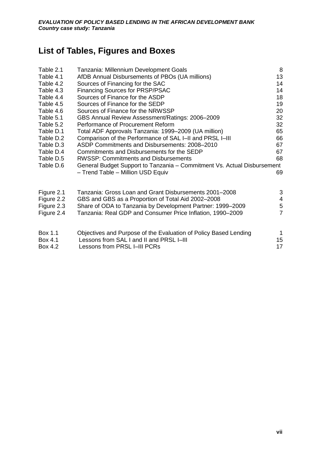## <span id="page-8-0"></span>**List of Tables, Figures and Boxes**

| Table 2.1  | Tanzania: Millennium Development Goals                                  | 8              |
|------------|-------------------------------------------------------------------------|----------------|
| Table 4.1  | AfDB Annual Disbursements of PBOs (UA millions)                         | 13             |
| Table 4.2  | Sources of Financing for the SAC                                        | 14             |
| Table 4.3  | <b>Financing Sources for PRSP/PSAC</b>                                  | 14             |
| Table 4.4  | Sources of Finance for the ASDP                                         | 18             |
| Table 4.5  | Sources of Finance for the SEDP                                         | 19             |
| Table 4.6  | Sources of Finance for the NRWSSP                                       | 20             |
| Table 5.1  | GBS Annual Review Assessment/Ratings: 2006-2009                         | 32             |
| Table 5.2  | Performance of Procurement Reform                                       | 32             |
| Table D.1  | Total ADF Approvals Tanzania: 1999-2009 (UA million)                    | 65             |
| Table D.2  | Comparison of the Performance of SAL I-II and PRSL I-III                | 66             |
| Table D.3  | ASDP Commitments and Disbursements: 2008–2010                           | 67             |
| Table D.4  | Commitments and Disbursements for the SEDP                              | 67             |
| Table D.5  | <b>RWSSP: Commitments and Disbursements</b>                             | 68             |
| Table D.6  | General Budget Support to Tanzania – Commitment Vs. Actual Disbursement |                |
|            | - Trend Table - Million USD Equiv                                       | 69             |
| Figure 2.1 | Tanzania: Gross Loan and Grant Disbursements 2001–2008                  | 3              |
| Figure 2.2 | GBS and GBS as a Proportion of Total Aid 2002-2008                      | 4              |
| Figure 2.3 | Share of ODA to Tanzania by Development Partner: 1999-2009              | $\sqrt{5}$     |
| Figure 2.4 | Tanzania: Real GDP and Consumer Price Inflation, 1990–2009              | $\overline{7}$ |
| Box 1.1    | Objectives and Purpose of the Evaluation of Policy Based Lending        | 1              |
| Box 4.1    | Lessons from SAL I and II and PRSL I-III                                | 15             |
| Box 4.2    | Lessons from PRSL I-III PCRs                                            | 17             |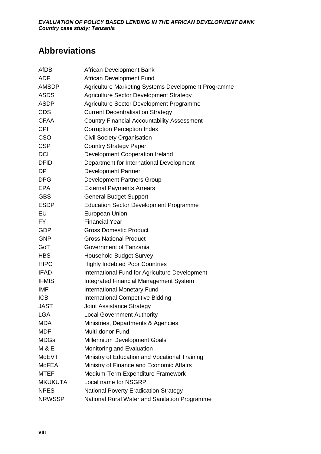## <span id="page-9-0"></span>**Abbreviations**

| AfDB           | African Development Bank                            |
|----------------|-----------------------------------------------------|
| <b>ADF</b>     | African Development Fund                            |
| <b>AMSDP</b>   | Agriculture Marketing Systems Development Programme |
| <b>ASDS</b>    | <b>Agriculture Sector Development Strategy</b>      |
| <b>ASDP</b>    | Agriculture Sector Development Programme            |
| <b>CDS</b>     | <b>Current Decentralisation Strategy</b>            |
| <b>CFAA</b>    | <b>Country Financial Accountability Assessment</b>  |
| <b>CPI</b>     | <b>Corruption Perception Index</b>                  |
| <b>CSO</b>     | <b>Civil Society Organisation</b>                   |
| <b>CSP</b>     | <b>Country Strategy Paper</b>                       |
| <b>DCI</b>     | Development Cooperation Ireland                     |
| <b>DFID</b>    | Department for International Development            |
| DP             | <b>Development Partner</b>                          |
| <b>DPG</b>     | <b>Development Partners Group</b>                   |
| <b>EPA</b>     | <b>External Payments Arrears</b>                    |
| <b>GBS</b>     | <b>General Budget Support</b>                       |
| <b>ESDP</b>    | <b>Education Sector Development Programme</b>       |
| EU             | <b>European Union</b>                               |
| <b>FY</b>      | <b>Financial Year</b>                               |
| <b>GDP</b>     | <b>Gross Domestic Product</b>                       |
| <b>GNP</b>     | <b>Gross National Product</b>                       |
| GoT            | Government of Tanzania                              |
| <b>HBS</b>     | <b>Household Budget Survey</b>                      |
| <b>HIPC</b>    | <b>Highly Indebted Poor Countries</b>               |
| <b>IFAD</b>    | International Fund for Agriculture Development      |
| <b>IFMIS</b>   | <b>Integrated Financial Management System</b>       |
| <b>IMF</b>     | <b>International Monetary Fund</b>                  |
| <b>ICB</b>     | <b>International Competitive Bidding</b>            |
| <b>JAST</b>    | <b>Joint Assistance Strategy</b>                    |
| <b>LGA</b>     | <b>Local Government Authority</b>                   |
| <b>MDA</b>     | Ministries, Departments & Agencies                  |
| <b>MDF</b>     | Multi-donor Fund                                    |
| <b>MDGs</b>    | <b>Millennium Development Goals</b>                 |
| <b>M&amp;E</b> | Monitoring and Evaluation                           |
| <b>MoEVT</b>   | Ministry of Education and Vocational Training       |
| <b>MoFEA</b>   | Ministry of Finance and Economic Affairs            |
| <b>MTEF</b>    | Medium-Term Expenditure Framework                   |
| <b>MKUKUTA</b> | Local name for NSGRP                                |
| <b>NPES</b>    | <b>National Poverty Eradication Strategy</b>        |
| <b>NRWSSP</b>  | National Rural Water and Sanitation Programme       |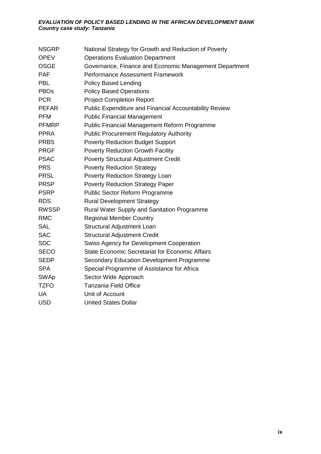| <b>NSGRP</b>           | National Strategy for Growth and Reduction of Poverty  |
|------------------------|--------------------------------------------------------|
| <b>OPEV</b>            | <b>Operations Evaluation Department</b>                |
| <b>OSGE</b>            | Governance, Finance and Economic Management Department |
| <b>PAF</b>             | <b>Performance Assessment Framework</b>                |
| <b>PBL</b>             | <b>Policy Based Lending</b>                            |
| <b>PBO<sub>s</sub></b> | <b>Policy Based Operations</b>                         |
| <b>PCR</b>             | <b>Project Completion Report</b>                       |
| <b>PEFAR</b>           | Public Expenditure and Financial Accountability Review |
| <b>PFM</b>             | <b>Public Financial Management</b>                     |
| <b>PFMRP</b>           | Public Financial Management Reform Programme           |
| <b>PPRA</b>            | <b>Public Procurement Regulatory Authority</b>         |
| <b>PRBS</b>            | <b>Poverty Reduction Budget Support</b>                |
| <b>PRGF</b>            | Poverty Reduction Growth Facility                      |
| <b>PSAC</b>            | <b>Poverty Structural Adjustment Credit</b>            |
| <b>PRS</b>             | <b>Poverty Reduction Strategy</b>                      |
| <b>PRSL</b>            | Poverty Reduction Strategy Loan                        |
| <b>PRSP</b>            | <b>Poverty Reduction Strategy Paper</b>                |
| <b>PSRP</b>            | Public Sector Reform Programme                         |
| <b>RDS</b>             | <b>Rural Development Strategy</b>                      |
| <b>RWSSP</b>           | Rural Water Supply and Sanitation Programme            |
| <b>RMC</b>             | <b>Regional Member Country</b>                         |
| <b>SAL</b>             | Structural Adjustment Loan                             |
| <b>SAC</b>             | <b>Structural Adjustment Credit</b>                    |
| <b>SDC</b>             | Swiss Agency for Development Cooperation               |
| <b>SECO</b>            | <b>State Economic Secretariat for Economic Affairs</b> |
| <b>SEDP</b>            | Secondary Education Development Programme              |
| <b>SPA</b>             | Special Programme of Assistance for Africa             |
| <b>SWAp</b>            | Sector Wide Approach                                   |
| <b>TZFO</b>            | <b>Tanzania Field Office</b>                           |
| <b>UA</b>              | Unit of Account                                        |
| <b>USD</b>             | <b>United States Dollar</b>                            |
|                        |                                                        |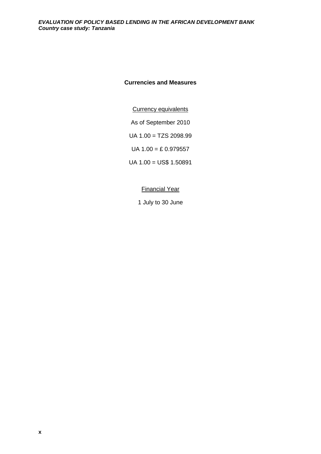## **Currencies and Measures**

Currency equivalents

As of September 2010

UA 1.00 = TZS 2098.99

UA  $1.00 = E$  0.979557

UA 1.00 = US\$ 1.50891

### Financial Year

1 July to 30 June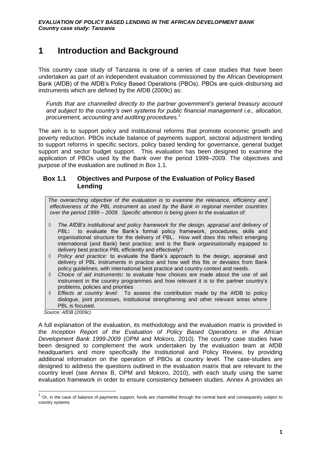## <span id="page-12-0"></span>**1 Introduction and Background**

This country case study of Tanzania is one of a series of case studies that have been undertaken as part of an independent evaluation commissioned by the African Development Bank (AfDB) of the AfDB's Policy Based Operations (PBOs). PBOs are quick-disbursing aid instruments which are defined by the AfDB (2009c) as:

*Funds that are channelled directly to the partner government's general treasury account and subject to the country's own systems for public financial management i.e., allocation, procurement, accounting and auditing procedures.<sup>1</sup>* 

The aim is to support policy and institutional reforms that promote economic growth and poverty reduction. PBOs include balance of payments support, sectoral adjustment lending to support reforms in specific sectors, policy based lending for governance, general budget support and sector budget support. This evaluation has been designed to examine the application of PBOs used by the Bank over the period 1999–2009. The objectives and purpose of the evaluation are outlined in Box 1.1.

## <span id="page-12-1"></span>**Box 1.1 Objectives and Purpose of the Evaluation of Policy Based Lending**

*The overarching objective of the evaluation is to examine the relevance, efficiency and effectiveness of the PBL instrument as used by the Bank in regional member countries over the period 1999 – 2009. Specific attention is being given to the evaluation of:*

- ◊ *The AfDB's institutional and policy framework for the design, appraisal and delivery of PBL***:** to evaluate the Bank's formal policy framework, procedures, skills and organisational structure for the delivery of PBL. How well does this reflect emerging international (and Bank) best practice; and is the Bank organisationally equipped to delivery best practice PBL efficiently and effectively?
- ◊ *Policy and practice:* to evaluate the Bank's approach to the design, appraisal and delivery of PBL instruments in practice and how well this fits or deviates from Bank policy guidelines, with international best practice and country context and needs.
- ◊ *Choice of aid instruments***:** to evaluate how choices are made about the use of aid instrument in the country programmes and how relevant it is to the partner country's problems, policies and priorities
- ◊ *Effects at country level:* To assess the contribution made by the AfDB to policy dialogue, joint processes, institutional strengthening and other relevant areas where PBL is focused.

 *Source: AfDB (2009c)*

A full explanation of the evaluation, its methodology and the evaluation matrix is provided in the *Inception Report of the Evaluation of Policy Based Operations in the African Development Bank 1999-2009* (OPM and Mokoro, 2010). The country case studies have been designed to complement the work undertaken by the evaluation team at AfDB headquarters and more specifically the Institutional and Policy Review, by providing additional information on the operation of PBOs at country level. The case-studies are designed to address the questions outlined in the evaluation matrix that are relevant to the country level (see Annex B, OPM and Mokoro, 2010), with each study using the same evaluation framework in order to ensure consistency between studies. Annex A provides an

 1 Or, in the case of balance of payments support, funds are channelled through the central bank and consequently subject to country systems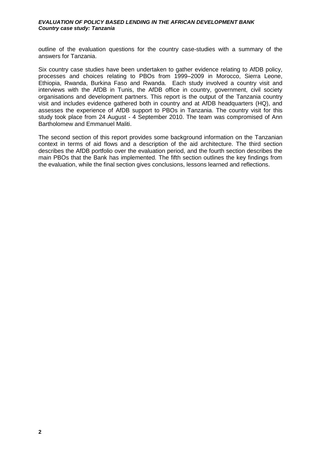outline of the evaluation questions for the country case-studies with a summary of the answers for Tanzania.

Six country case studies have been undertaken to gather evidence relating to AfDB policy, processes and choices relating to PBOs from 1999–2009 in Morocco, Sierra Leone, Ethiopia, Rwanda, Burkina Faso and Rwanda. Each study involved a country visit and interviews with the AfDB in Tunis, the AfDB office in country, government, civil society organisations and development partners. This report is the output of the Tanzania country visit and includes evidence gathered both in country and at AfDB headquarters (HQ), and assesses the experience of AfDB support to PBOs in Tanzania. The country visit for this study took place from 24 August - 4 September 2010. The team was compromised of Ann Bartholomew and Emmanuel Maliti.

The second section of this report provides some background information on the Tanzanian context in terms of aid flows and a description of the aid architecture. The third section describes the AfDB portfolio over the evaluation period, and the fourth section describes the main PBOs that the Bank has implemented. The fifth section outlines the key findings from the evaluation, while the final section gives conclusions, lessons learned and reflections.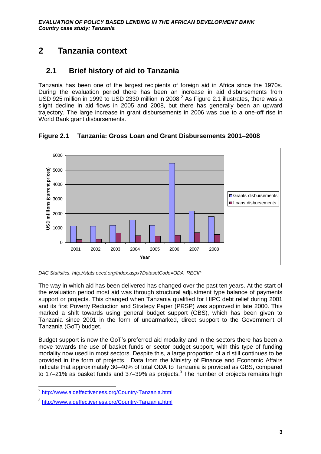## <span id="page-14-0"></span>**2 Tanzania context**

## <span id="page-14-1"></span>**2.1 Brief history of aid to Tanzania**

Tanzania has been one of the largest recipients of foreign aid in Africa since the 1970s. During the evaluation period there has been an increase in aid disbursements from USD 925 million in 1999 to USD 2330 million in 2008. $^2$  As Figure 2.1 illustrates, there was a slight decline in aid flows in 2005 and 2008, but there has generally been an upward trajectory. The large increase in grant disbursements in 2006 was due to a one-off rise in World Bank grant disbursements.



<span id="page-14-2"></span>**Figure 2.1 Tanzania: Gross Loan and Grant Disbursements 2001–2008**

The way in which aid has been delivered has changed over the past ten years. At the start of the evaluation period most aid was through structural adjustment type balance of payments support or projects. This changed when Tanzania qualified for HIPC debt relief during 2001 and its first Poverty Reduction and Strategy Paper (PRSP) was approved in late 2000. This marked a shift towards using general budget support (GBS), which has been given to Tanzania since 2001 in the form of unearmarked, direct support to the Government of Tanzania (GoT) budget.

Budget support is now the GoT's preferred aid modality and in the sectors there has been a move towards the use of basket funds or sector budget support, with this type of funding modality now used in most sectors. Despite this, a large proportion of aid still continues to be provided in the form of projects. Data from the Ministry of Finance and Economic Affairs indicate that approximately 30–40% of total ODA to Tanzania is provided as GBS, compared to  $17-21\%$  as basket funds and  $37-39\%$  as projects.<sup>3</sup> The number of projects remains high

*DAC Statistics, http://stats.oecd.org/Index.aspx?DatasetCode=ODA\_RECIP* 

 2 <http://www.aideffectiveness.org/Country-Tanzania.html>

<sup>&</sup>lt;sup>3</sup><http://www.aideffectiveness.org/Country-Tanzania.html>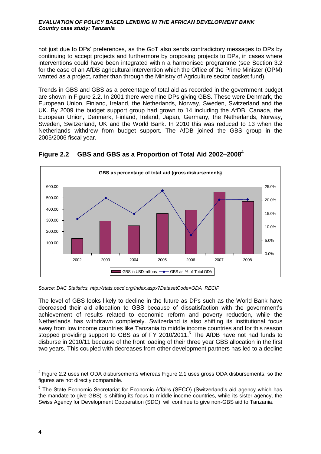not just due to DPs' preferences, as the GoT also sends contradictory messages to DPs by continuing to accept projects and furthermore by proposing projects to DPs, in cases where interventions could have been integrated within a harmonised programme (see Section [3.2](#page-21-2) for the case of an AfDB agricultural intervention which the Office of the Prime Minister (OPM) wanted as a project, rather than through the Ministry of Agriculture sector basket fund).

Trends in GBS and GBS as a percentage of total aid as recorded in the government budget are shown in [Figure 2.2.](#page-15-0) In 2001 there were nine DPs giving GBS. These were Denmark, the European Union, Finland, Ireland, the Netherlands, Norway, Sweden, Switzerland and the UK. By 2009 the budget support group had grown to 14 including the AfDB, Canada, the European Union, Denmark, Finland, Ireland, Japan, Germany, the Netherlands, Norway, Sweden, Switzerland, UK and the World Bank. In 2010 this was reduced to 13 when the Netherlands withdrew from budget support. The AfDB joined the GBS group in the 2005/2006 fiscal year.



<span id="page-15-0"></span>**Figure 2.2 GBS and GBS as a Proportion of Total Aid 2002–2008<sup>4</sup>**

The level of GBS looks likely to decline in the future as DPs such as the World Bank have decreased their aid allocation to GBS because of dissatisfaction with the government's achievement of results related to economic reform and poverty reduction, while the Netherlands has withdrawn completely. Switzerland is also shifting its institutional focus away from low income countries like Tanzania to middle income countries and for this reason stopped providing support to GBS as of FY 2010/2011.<sup>5</sup> The AfDB have not had funds to disburse in 2010/11 because of the front loading of their three year GBS allocation in the first two years. This coupled with decreases from other development partners has led to a decline

*Source: DAC Statistics, http://stats.oecd.org/Index.aspx?DatasetCode=ODA\_RECIP*

 $\overline{a}$  $4$  Figure 2.2 uses net ODA disbursements whereas Figure 2.1 uses gross ODA disbursements, so the figures are not directly comparable.

<sup>&</sup>lt;sup>5</sup> The State Economic Secretariat for Economic Affairs (SECO) (Switzerland's aid agency which has the mandate to give GBS) is shifting its focus to middle income countries, while its sister agency, the Swiss Agency for Development Cooperation (SDC), will continue to give non-GBS aid to Tanzania.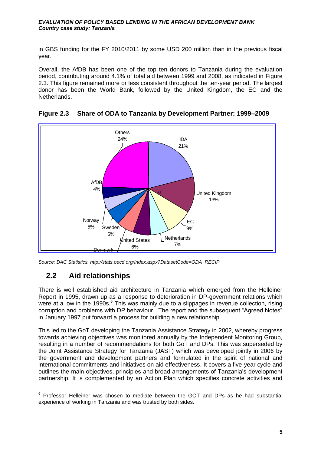in GBS funding for the FY 2010/2011 by some USD 200 million than in the previous fiscal year.

Overall, the AfDB has been one of the top ten donors to Tanzania during the evaluation period, contributing around 4.1% of total aid between 1999 and 2008, as indicated in [Figure](#page-16-1)  [2.3.](#page-16-1) This figure remained more or less consistent throughout the ten-year period. The largest donor has been the World Bank, followed by the United Kingdom, the EC and the Netherlands.



## <span id="page-16-1"></span>**Figure 2.3 Share of ODA to Tanzania by Development Partner: 1999–2009**

## <span id="page-16-0"></span>**2.2 Aid relationships**

There is well established aid architecture in Tanzania which emerged from the Helleiner Report in 1995, drawn up as a response to deterioration in DP-government relations which were at a low in the 1990s.<sup>6</sup> This was mainly due to a slippages in revenue collection, rising corruption and problems with DP behaviour. The report and the subsequent "Agreed Notes" in January 1997 put forward a process for building a new relationship.

This led to the GoT developing the Tanzania Assistance Strategy in 2002, whereby progress towards achieving objectives was monitored annually by the Independent Monitoring Group, resulting in a number of recommendations for both GoT and DPs. This was superseded by the Joint Assistance Strategy for Tanzania (JAST) which was developed jointly in 2006 by the government and development partners and formulated in the spirit of national and international commitments and initiatives on aid effectiveness. It covers a five-year cycle and outlines the main objectives, principles and broad arrangements of Tanzania's development partnership. It is complemented by an Action Plan which specifies concrete activities and

*Source: DAC Statistics, http://stats.oecd.org/Index.aspx?DatasetCode=ODA\_RECIP*

 6 Professor Helleiner was chosen to mediate between the GOT and DPs as he had substantial experience of working in Tanzania and was trusted by both sides.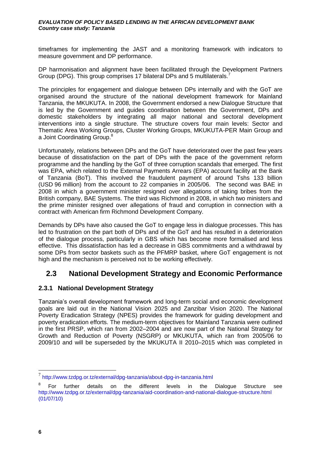timeframes for implementing the JAST and a monitoring framework with indicators to measure government and DP performance.

DP harmonisation and alignment have been facilitated through the Development Partners Group (DPG). This group comprises 17 bilateral DPs and 5 multilaterals.<sup>7</sup>

The principles for engagement and dialogue between DPs internally and with the GoT are organised around the structure of the national development framework for Mainland Tanzania, the MKUKUTA. In 2008, the Government endorsed a new Dialogue Structure that is led by the Government and guides coordination between the Government, DPs and domestic stakeholders by integrating all major national and sectoral development interventions into a single structure. The structure covers four main levels: Sector and Thematic Area Working Groups, Cluster Working Groups, MKUKUTA-PER Main Group and a Joint Coordinating Group.<sup>8</sup>

Unfortunately, relations between DPs and the GoT have deteriorated over the past few years because of dissatisfaction on the part of DPs with the pace of the government reform programme and the handling by the GoT of three corruption scandals that emerged. The first was EPA, which related to the External Payments Arrears (EPA) account facility at the Bank of Tanzania (BoT). This involved the fraudulent payment of around Tshs 133 billion (USD 96 million) from the account to 22 companies in 2005/06. The second was BAE in 2008 in which a government minister resigned over allegations of taking bribes from the British company, BAE Systems. The third was Richmond in 2008, in which two ministers and the prime minister resigned over allegations of fraud and corruption in connection with a contract with American firm Richmond Development Company.

Demands by DPs have also caused the GoT to engage less in dialogue processes. This has led to frustration on the part both of DPs and of the GoT and has resulted in a deterioration of the dialogue process, particularly in GBS which has become more formalised and less effective. This dissatisfaction has led a decrease in GBS commitments and a withdrawal by some DPs from sector baskets such as the PFMRP basket, where GoT engagement is not high and the mechanism is perceived not to be working effectively.

## <span id="page-17-0"></span>**2.3 National Development Strategy and Economic Performance**

## **2.3.1 National Development Strategy**

Tanzania's overall development framework and long-term social and economic development goals are laid out in the National Vision 2025 and Zanzibar Vision 2020. The National Poverty Eradication Strategy (NPES) provides the framework for guiding development and poverty eradication efforts. The medium-term objectives for Mainland Tanzania were outlined in the first PRSP, which ran from 2002–2004 and are now part of the National Strategy for Growth and Reduction of Poverty (NSGRP) or MKUKUTA, which ran from 2005/06 to 2009/10 and will be superseded by the MKUKUTA II 2010–2015 which was completed in

 7 <http://www.tzdpg.or.tz/external/dpg-tanzania/about-dpg-in-tanzania.html>

<sup>8</sup> For further details on the different levels in the Dialogue Structure see <http://www.tzdpg.or.tz/external/dpg-tanzania/aid-coordination-and-national-dialogue-structure.html> (01/07/10)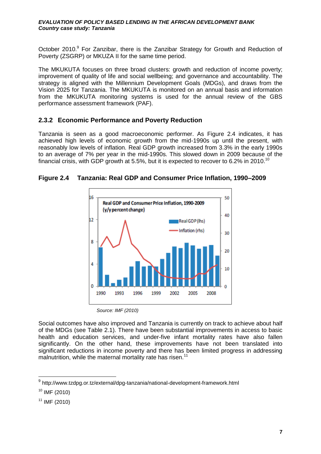October 2010.<sup>9</sup> For Zanzibar, there is the Zanzibar Strategy for Growth and Reduction of Poverty (ZSGRP) or MKUZA II for the same time period.

The MKUKUTA focuses on three broad clusters: growth and reduction of income poverty; improvement of quality of life and social wellbeing; and governance and accountability. The strategy is aligned with the Millennium Development Goals (MDGs), and draws from the Vision 2025 for Tanzania. The MKUKUTA is monitored on an annual basis and information from the MKUKUTA monitoring systems is used for the annual review of the GBS performance assessment framework (PAF).

## **2.3.2 Economic Performance and Poverty Reduction**

Tanzania is seen as a good macroeconomic performer. As [Figure 2.4](#page-18-0) indicates, it has achieved high levels of economic growth from the mid-1990s up until the present, with reasonably low levels of inflation. Real GDP growth increased from 3.3% in the early 1990s to an average of 7% per year in the mid-1990s. This slowed down in 2009 because of the financial crisis, with GDP growth at 5.5%, but it is expected to recover to 6.2% in 2010.<sup>10</sup>



<span id="page-18-0"></span>**Figure 2.4 Tanzania: Real GDP and Consumer Price Inflation, 1990–2009**

*Source: IMF (2010)*

Social outcomes have also improved and Tanzania is currently on track to achieve about half of the MDGs (see [Table 2.1\)](#page-19-0). There have been substantial improvements in access to basic health and education services, and under-five infant mortality rates have also fallen significantly. On the other hand, these improvements have not been translated into significant reductions in income poverty and there has been limited progress in addressing malnutrition, while the maternal mortality rate has risen.<sup>11</sup>

 9 <http://www.tzdpg.or.tz/external/dpg-tanzania/national-development-framework.html>

 $10$  IMF (2010)

 $11$  IMF (2010)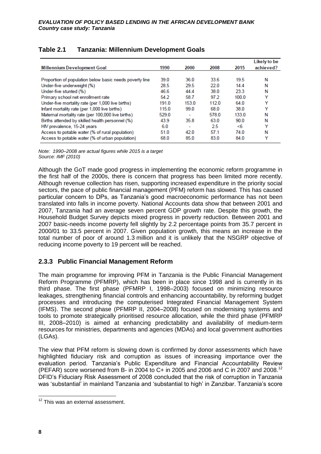| <b>Millennium Development Goal</b>                      | 1990  | 2000                     | 2008  | 2015  | Likely to be<br>achieved? |
|---------------------------------------------------------|-------|--------------------------|-------|-------|---------------------------|
|                                                         |       |                          |       |       |                           |
| Proportion of population below basic needs poverty line | 39.0  | 36.0                     | 33.6  | 19.5  | N                         |
| Under-five underweight (%)                              | 28.5  | 29.5                     | 22.0  | 144   | N                         |
| Under-five stunted (%)                                  | 46.6  | 4444                     | 38.0  | 23.3  | Ν                         |
| Primary school net enrollment rate                      | 54.2  | 58.7                     | 97.2  | 1000  | v                         |
| Under-five mortality rate (per 1,000 live births)       | 191.0 | 153.0                    | 1120  | 64.0  | v                         |
| Infant mortality rate (per 1,000 live births)           | 115.0 | 99.0                     | 68.0  | 38.0  | Y                         |
| Maternal mortality rate (per 100,000 live births)       | 529.0 |                          | 578.0 | 133.0 | N                         |
| Births attended by skilled health personnel (%)         | 43.9  | 35.8                     | 63.0  | 90.0  | N                         |
| HIV prevalence, 15-24 years                             | 6.0   | $\overline{\phantom{a}}$ | 25    | <6    | v                         |
| Access to potable water (% of rural population)         | 51.0  | 42.0                     | 57.1  | 74.0  | Ν                         |
| Access to potable water (% of urban population)         | 68.0  | 85.0                     | 83.0  | 840   | v                         |

## <span id="page-19-0"></span>**Table 2.1 Tanzania: Millennium Development Goals**

*Note: 1990–2008 are actual figures while 2015 is a target Source: IMF (2010)*

Although the GoT made good progress in implementing the economic reform programme in the first half of the 2000s, there is concern that progress has been limited more recently. Although revenue collection has risen, supporting increased expenditure in the priority social sectors, the pace of public financial management (PFM) reform has slowed. This has caused particular concern to DPs, as Tanzania's good macroeconomic performance has not been translated into falls in income poverty. National Accounts data show that between 2001 and 2007, Tanzania had an average seven percent GDP growth rate. Despite this growth, the Household Budget Survey depicts mixed progress in poverty reduction. Between 2001 and 2007 basic-needs income poverty fell slightly by 2.2 percentage points from 35.7 percent in 2000/01 to 33.5 percent in 2007. Given population growth, this means an increase in the total number of poor of around 1.3 million and it is unlikely that the NSGRP objective of reducing income poverty to 19 percent will be reached.

## **2.3.3 Public Financial Management Reform**

The main programme for improving PFM in Tanzania is the Public Financial Management Reform Programme (PFMRP), which has been in place since 1998 and is currently in its third phase. The first phase (PFMRP I, 1998–2003) focused on minimizing resource leakages, strengthening financial controls and enhancing accountability, by reforming budget processes and introducing the computerised Integrated Financial Management System (IFMS). The second phase (PFMRP II, 2004–2008) focused on modernising systems and tools to promote strategically prioritised resource allocation, while the third phase (PFMRP III, 2008–2010) is aimed at enhancing predictability and availability of medium-term resources for ministries, departments and agencies (MDAs) and local government authorities (LGAs).

The view that PFM reform is slowing down is confirmed by donor assessments which have highlighted fiduciary risk and corruption as issues of increasing importance over the evaluation period. Tanzania's Public Expenditure and Financial Accountability Review (PEFAR) score worsened from B- in 2004 to C+ in 2005 and 2006 and C in 2007 and 2008.<sup>12</sup> DFID's Fiduciary Risk Assessment of 2008 concluded that the risk of corruption in Tanzania was 'substantial' in mainland Tanzania and 'substantial to high' in Zanzibar. Tanzania's score

 $\overline{1}$ <sup>12</sup> This was an external assessment.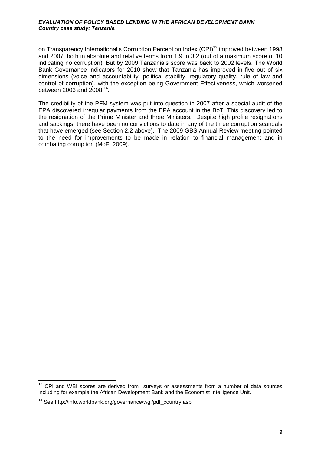on Transparency International's Corruption Perception Index (CPI)<sup>13</sup> improved between 1998 and 2007, both in absolute and relative terms from 1.9 to 3.2 (out of a maximum score of 10 indicating no corruption). But by 2009 Tanzania's score was back to 2002 levels. The World Bank Governance indicators for 2010 show that Tanzania has improved in five out of six dimensions (voice and accountability, political stability, regulatory quality, rule of law and control of corruption), with the exception being Government Effectiveness, which worsened between 2003 and 2008.<sup>14</sup>.

The credibility of the PFM system was put into question in 2007 after a special audit of the EPA discovered irregular payments from the EPA account in the BoT. This discovery led to the resignation of the Prime Minister and three Ministers. Despite high profile resignations and sackings, there have been no convictions to date in any of the three corruption scandals that have emerged (see Section [2.2](#page-16-0) above). The 2009 GBS Annual Review meeting pointed to the need for improvements to be made in relation to financial management and in combating corruption (MoF, 2009).

-

 $13$  CPI and WBI scores are derived from surveys or assessments from a number of data sources including for example the African Development Bank and the Economist Intelligence Unit.

 $14$  See http://info.worldbank.org/governance/wgi/pdf\_country.asp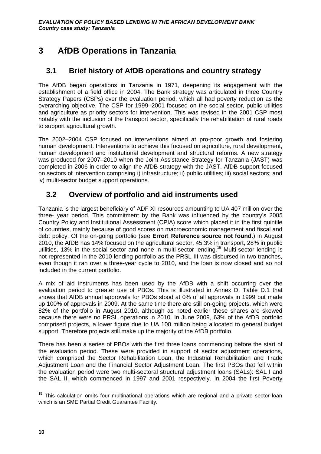## <span id="page-21-0"></span>**3 AfDB Operations in Tanzania**

## <span id="page-21-1"></span>**3.1 Brief history of AfDB operations and country strategy**

The AfDB began operations in Tanzania in 1971, deepening its engagement with the establishment of a field office in 2004. The Bank strategy was articulated in three Country Strategy Papers (CSPs) over the evaluation period, which all had poverty reduction as the overarching objective. The CSP for 1999–2001 focused on the social sector, public utilities and agriculture as priority sectors for intervention. This was revised in the 2001 CSP most notably with the inclusion of the transport sector, specifically the rehabilitation of rural roads to support agricultural growth.

The 2002–2004 CSP focused on interventions aimed at pro-poor growth and fostering human development. Interventions to achieve this focused on agriculture, rural development, human development and institutional development and structural reforms. A new strategy was produced for 2007–2010 when the Joint Assistance Strategy for Tanzania (JAST) was completed in 2006 in order to align the AfDB strategy with the JAST. AfDB support focused on sectors of intervention comprising i) infrastructure; ii) public utilities; iii) social sectors; and iv) multi-sector budget support operations.

## <span id="page-21-2"></span>**3.2 Overview of portfolio and aid instruments used**

Tanzania is the largest beneficiary of ADF XI resources amounting to UA 407 million over the three- year period. This commitment by the Bank was influenced by the country's 2005 Country Policy and Institutional Assessment (CPIA) score which placed it in the first quintile of countries, mainly because of good scores on macroeconomic management and fiscal and debt policy. Of the on-going portfolio (see **Error! Reference source not found.**) in August 2010, the AfDB has 14% focused on the agricultural sector, 45.3% in transport, 28% in public utilities, 13% in the social sector and none in multi-sector lending.<sup>15</sup> Multi-sector lending is not represented in the 2010 lending portfolio as the PRSL III was disbursed in two tranches, even though it ran over a three-year cycle to 2010, and the loan is now closed and so not included in the current portfolio.

A mix of aid instruments has been used by the AfDB with a shift occurring over the evaluation period to greater use of PBOs. This is illustrated in [Annex D,](#page-76-0) [Table D.1](#page-76-1) that shows that AfDB annual approvals for PBOs stood at 0% of all approvals in 1999 but made up 100% of approvals in 2009. At the same time there are still on-going projects, which were 82% of the portfolio in August 2010, although as noted earlier these shares are skewed because there were no PRSL operations in 2010. In June 2009, 63% of the AfDB portfolio comprised projects, a lower figure due to UA 100 million being allocated to general budget support. Therefore projects still make up the majority of the AfDB portfolio.

There has been a series of PBOs with the first three loans commencing before the start of the evaluation period. These were provided in support of sector adjustment operations, which comprised the Sector Rehabilitation Loan, the Industrial Rehabilitation and Trade Adjustment Loan and the Financial Sector Adjustment Loan. The first PBOs that fell within the evaluation period were two multi-sectoral structural adjustment loans (SALs): SAL I and the SAL II, which commenced in 1997 and 2001 respectively. In 2004 the first Poverty

 $\overline{1}$  $15$  This calculation omits four multinational operations which are regional and a private sector loan which is an SME Partial Credit Guarantee Facility.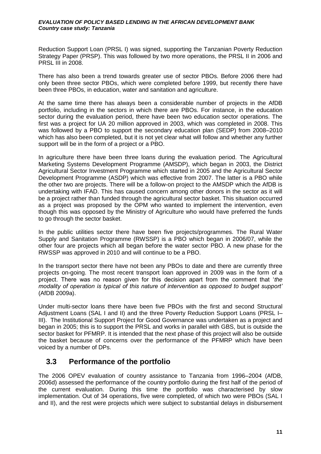Reduction Support Loan (PRSL I) was signed, supporting the Tanzanian Poverty Reduction Strategy Paper (PRSP). This was followed by two more operations, the PRSL II in 2006 and PRSL III in 2008.

There has also been a trend towards greater use of sector PBOs. Before 2006 there had only been three sector PBOs, which were completed before 1999, but recently there have been three PBOs, in education, water and sanitation and agriculture.

At the same time there has always been a considerable number of projects in the AfDB portfolio, including in the sectors in which there are PBOs. For instance, in the education sector during the evaluation period, there have been two education sector operations. The first was a project for UA 20 million approved in 2003, which was completed in 2008. This was followed by a PBO to support the secondary education plan (SEDP) from 2008–2010 which has also been completed, but it is not yet clear what will follow and whether any further support will be in the form of a project or a PBO.

In agriculture there have been three loans during the evaluation period. The Agricultural Marketing Systems Development Programme (AMSDP), which began in 2003, the District Agricultural Sector Investment Programme which started in 2005 and the Agricultural Sector Development Programme (ASDP) which was effective from 2007. The latter is a PBO while the other two are projects. There will be a follow-on project to the AMSDP which the AfDB is undertaking with IFAD. This has caused concern among other donors in the sector as it will be a project rather than funded through the agricultural sector basket. This situation occurred as a project was proposed by the OPM who wanted to implement the intervention, even though this was opposed by the Ministry of Agriculture who would have preferred the funds to go through the sector basket.

In the public utilities sector there have been five projects/programmes. The Rural Water Supply and Sanitation Programme (RWSSP) is a PBO which began in 2006/07, while the other four are projects which all began before the water sector PBO. A new phase for the RWSSP was approved in 2010 and will continue to be a PBO.

In the transport sector there have not been any PBOs to date and there are currently three projects on-going. The most recent transport loan approved in 2009 was in the form of a project. There was no reason given for this decision apart from the comment that '*the modality of operation is typical of this nature of intervention as opposed to budget support'*  (AfDB 2009a).

Under multi-sector loans there have been five PBOs with the first and second Structural Adjustment Loans (SAL I and II) and the three Poverty Reduction Support Loans (PRSL I– III). The Institutional Support Project for Good Governance was undertaken as a project and began in 2005; this is to support the PRSL and works in parallel with GBS, but is outside the sector basket for PFMRP. It is intended that the next phase of this project will also be outside the basket because of concerns over the performance of the PFMRP which have been voiced by a number of DPs.

## <span id="page-22-0"></span>**3.3 Performance of the portfolio**

The 2006 OPEV evaluation of country assistance to Tanzania from 1996–2004 (AfDB, 2006d) assessed the performance of the country portfolio during the first half of the period of the current evaluation. During this time the portfolio was characterised by slow implementation. Out of 34 operations, five were completed, of which two were PBOs (SAL I and II), and the rest were projects which were subject to substantial delays in disbursement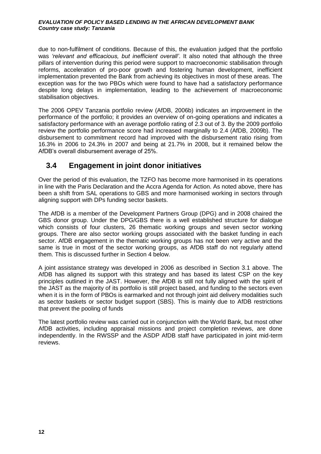due to non-fulfilment of conditions. Because of this, the evaluation judged that the portfolio was *'relevant and efficacious, but inefficient overall'*. It also noted that although the three pillars of intervention during this period were support to macroeconomic stabilisation through reforms, acceleration of pro-poor growth and fostering human development, inefficient implementation prevented the Bank from achieving its objectives in most of these areas. The exception was for the two PBOs which were found to have had a satisfactory performance despite long delays in implementation, leading to the achievement of macroeconomic stabilisation objectives.

The 2006 OPEV Tanzania portfolio review (AfDB, 2006b) indicates an improvement in the performance of the portfolio; it provides an overview of on-going operations and indicates a satisfactory performance with an average portfolio rating of 2.3 out of 3. By the 2009 portfolio review the portfolio performance score had increased marginally to 2.4 (AfDB, 2009b). The disbursement to commitment record had improved with the disbursement ratio rising from 16.3% in 2006 to 24.3% in 2007 and being at 21.7% in 2008, but it remained below the AfDB's overall disbursement average of 25%.

## <span id="page-23-0"></span>**3.4 Engagement in joint donor initiatives**

Over the period of this evaluation, the TZFO has become more harmonised in its operations in line with the Paris Declaration and the Accra Agenda for Action. As noted above, there has been a shift from SAL operations to GBS and more harmonised working in sectors through aligning support with DPs funding sector baskets.

The AfDB is a member of the Development Partners Group (DPG) and in 2008 chaired the GBS donor group. Under the DPG/GBS there is a well established structure for dialogue which consists of four clusters, 26 thematic working groups and seven sector working groups. There are also sector working groups associated with the basket funding in each sector. AfDB engagement in the thematic working groups has not been very active and the same is true in most of the sector working groups, as AfDB staff do not regularly attend them. This is discussed further in Section [4](#page-24-0) below.

A joint assistance strategy was developed in 2006 as described in Section [3.1](#page-21-1) above. The AfDB has aligned its support with this strategy and has based its latest CSP on the key principles outlined in the JAST. However, the AfDB is still not fully aligned with the spirit of the JAST as the majority of its portfolio is still project based, and funding to the sectors even when it is in the form of PBOs is earmarked and not through joint aid delivery modalities such as sector baskets or sector budget support (SBS). This is mainly due to AfDB restrictions that prevent the pooling of funds

The latest portfolio review was carried out in conjunction with the World Bank, but most other AfDB activities, including appraisal missions and project completion reviews, are done independently. In the RWSSP and the ASDP AfDB staff have participated in joint mid-term reviews.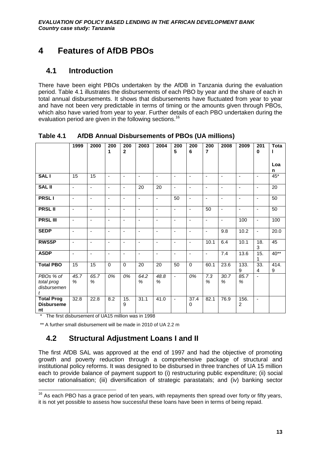## <span id="page-24-0"></span>**4 Features of AfDB PBOs**

## <span id="page-24-1"></span>**4.1 Introduction**

There have been eight PBOs undertaken by the AfDB in Tanzania during the evaluation period. Table 4.1 illustrates the disbursements of each PBO by year and the share of each in total annual disbursements. It shows that disbursements have fluctuated from year to year and have not been very predictable in terms of timing or the amounts given through PBOs, which also have varied from year to year. Further details of each PBO undertaken during the evaluation period are given in the following sections.<sup>16</sup>

|                                              | 1999                         | 2000                     | 200<br>1       | 200<br>$\overline{2}$    | 2003                     | 2004                     | 200<br>5       | 200<br>6                     | 200<br>$\overline{7}$    | 2008                     | 2009           | 201<br>$\mathbf 0$       | <b>Tota</b>     |
|----------------------------------------------|------------------------------|--------------------------|----------------|--------------------------|--------------------------|--------------------------|----------------|------------------------------|--------------------------|--------------------------|----------------|--------------------------|-----------------|
|                                              |                              |                          |                |                          |                          |                          |                |                              |                          |                          |                |                          | Loa<br>n        |
| <b>SALI</b>                                  | 15                           | 15                       | $\blacksquare$ | $\blacksquare$           | $\overline{\phantom{a}}$ | $\blacksquare$           | $\blacksquare$ | ÷,                           | $\blacksquare$           | $\blacksquare$           | ä,             | $\overline{\phantom{a}}$ | $45*$           |
| <b>SAL II</b>                                | ä,                           | $\blacksquare$           | ÷,             | $\blacksquare$           | 20                       | 20                       | $\blacksquare$ | $\overline{\phantom{0}}$     | $\blacksquare$           | $\blacksquare$           | $\blacksquare$ | $\blacksquare$           | $\overline{20}$ |
| <b>PRSLI</b>                                 | $\qquad \qquad \blacksquare$ | $\overline{\phantom{a}}$ | $\blacksquare$ | $\overline{\phantom{a}}$ | $\overline{\phantom{a}}$ | $\overline{\phantom{a}}$ | 50             | $\qquad \qquad \blacksquare$ | $\overline{\phantom{a}}$ | $\overline{\phantom{a}}$ | ٠              | $\overline{\phantom{a}}$ | 50              |
| <b>PRSL II</b>                               | ÷,                           | $\overline{\phantom{a}}$ | $\blacksquare$ | $\overline{\phantom{a}}$ | ä,                       | $\overline{\phantom{a}}$ | $\blacksquare$ | $\overline{\phantom{0}}$     | $\overline{50}$          | $\overline{\phantom{m}}$ | ÷,             | $\overline{\phantom{a}}$ | 50              |
| <b>PRSL III</b>                              | ÷                            | $\blacksquare$           | $\blacksquare$ | $\blacksquare$           | $\blacksquare$           | ÷,                       | $\blacksquare$ | $\blacksquare$               | $\blacksquare$           | $\blacksquare$           | 100            | $\blacksquare$           | 100             |
| <b>SEDP</b>                                  | $\blacksquare$               | $\blacksquare$           | $\sim$         | $\blacksquare$           | ä,                       | $\blacksquare$           | $\sim$         | ÷,                           | $\sim$                   | 9.8                      | 10.2           | $\blacksquare$           | 20.0            |
| <b>RWSSP</b>                                 | ä,                           | $\blacksquare$           | $\blacksquare$ | $\blacksquare$           | $\blacksquare$           | $\blacksquare$           | $\sim$         | $\overline{\phantom{0}}$     | 10.1                     | 6.4                      | 10.1           | 18.<br>3                 | 45              |
| <b>ASDP</b>                                  | $\overline{\phantom{a}}$     | $\overline{\phantom{a}}$ | $\blacksquare$ | $\overline{\phantom{a}}$ | $\blacksquare$           | $\overline{\phantom{a}}$ | $\blacksquare$ | $\overline{\phantom{a}}$     | $\overline{\phantom{a}}$ | 7.4                      | 13.6           | 15.<br>1                 | $40**$          |
| <b>Total PBO</b>                             | $\overline{15}$              | $\overline{15}$          | $\mathbf 0$    | $\mathbf 0$              | 20                       | 20                       | 50             | $\mathbf 0$                  | 60.1                     | 23.6                     | 133.<br>9      | 33.<br>4                 | 414.<br>9       |
| PBOs % of<br>total prog<br>disbursemen<br>t  | 45.7<br>%                    | 65.7<br>%                | 0%             | 0%                       | 64.2<br>%                | 48.8<br>$\%$             | $\sim$         | 0%                           | 7.3<br>%                 | 30.7<br>%                | 85.7<br>%      | $\overline{\phantom{a}}$ |                 |
| <b>Total Prog</b><br><b>Disburseme</b><br>nt | 32.8                         | 22.8                     | 8.2            | 15.<br>9                 | 31.1                     | 41.0                     | $\sim$         | 37.4<br>0                    | 82.1                     | 76.9                     | 156.<br>2      | $\mathbf{r}$             |                 |

<span id="page-24-3"></span>**Table 4.1 AfDB Annual Disbursements of PBOs (UA millions)**

\* The first disbursement of UA15 million was in 1998

\*\* A further small disbursement will be made in 2010 of UA 2.2 m

## <span id="page-24-2"></span>**4.2 Structural Adjustment Loans I and II**

The first AfDB SAL was approved at the end of 1997 and had the objective of promoting growth and poverty reduction through a comprehensive package of structural and institutional policy reforms. It was designed to be disbursed in three tranches of UA 15 million each to provide balance of payment support to (i) restructuring public expenditure; (ii) social sector rationalisation; (iii) diversification of strategic parastatals; and (iv) banking sector

 $\overline{1}$  $16$  As each PBO has a grace period of ten years, with repayments then spread over forty or fifty years, it is not yet possible to assess how successful these loans have been in terms of being repaid.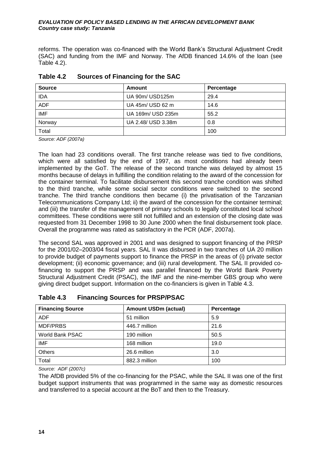reforms. The operation was co-financed with the World Bank's Structural Adjustment Credit (SAC) and funding from the IMF and Norway. The AfDB financed 14.6% of the loan (see Table 4.2).

| <b>Source</b> | Amount             | Percentage |
|---------------|--------------------|------------|
| <b>IDA</b>    | UA 90m/ USD125m    | 29.4       |
| <b>ADF</b>    | UA 45m/ USD 62 m   | 14.6       |
| IMF           | UA 169m/ USD 235m  | 55.2       |
| Norway        | UA 2.48/ USD 3.38m | 0.8        |
| Total         |                    | 100        |

<span id="page-25-0"></span>

| Table 4.2 |  | <b>Sources of Financing for the SAC</b> |  |
|-----------|--|-----------------------------------------|--|
|-----------|--|-----------------------------------------|--|

*Source: ADF (2007a)*

The loan had 23 conditions overall. The first tranche release was tied to five conditions, which were all satisfied by the end of 1997, as most conditions had already been implemented by the GoT. The release of the second tranche was delayed by almost 15 months because of delays in fulfilling the condition relating to the award of the concession for the container terminal. To facilitate disbursement this second tranche condition was shifted to the third tranche, while some social sector conditions were switched to the second tranche. The third tranche conditions then became (i) the privatisation of the Tanzanian Telecommunications Company Ltd; ii) the award of the concession for the container terminal; and (iii) the transfer of the management of primary schools to legally constituted local school committees. These conditions were still not fulfilled and an extension of the closing date was requested from 31 December 1998 to 30 June 2000 when the final disbursement took place. Overall the programme was rated as satisfactory in the PCR (ADF, 2007a).

The second SAL was approved in 2001 and was designed to support financing of the PRSP for the 2001/02–2003/04 fiscal years. SAL II was disbursed in two tranches of UA 20 million to provide budget of payments support to finance the PRSP in the areas of (i) private sector development; (ii) economic governance; and (iii) rural development. The SAL II provided cofinancing to support the PRSP and was parallel financed by the World Bank Poverty Structural Adjustment Credit (PSAC), the IMF and the nine-member GBS group who were giving direct budget support. Information on the co-financiers is given in [Table 4.3.](#page-25-1)

| <b>Financing Source</b> | <b>Amount USDm (actual)</b> | Percentage |
|-------------------------|-----------------------------|------------|
| <b>ADF</b>              | 51 million                  | 5.9        |
| MDF/PRBS                | 446.7 million               | 21.6       |
| World Bank PSAC         | 190 million                 | 50.5       |
| <b>IMF</b>              | 168 million                 | 19.0       |
| Others                  | 26.6 million                | 3.0        |
| Total                   | 882.3 million               | 100        |

## <span id="page-25-1"></span>**Table 4.3 Financing Sources for PRSP/PSAC**

*Source: ADF (2007c)*

The AfDB provided 5% of the co-financing for the PSAC, while the SAL II was one of the first budget support instruments that was programmed in the same way as domestic resources and transferred to a special account at the BoT and then to the Treasury.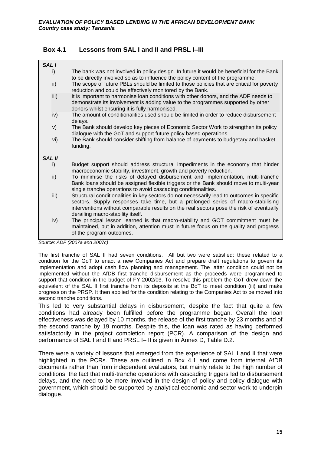## <span id="page-26-1"></span><span id="page-26-0"></span>**Box 4.1 Lessons from SAL I and II and PRSL I–III**

| <b>SAL I</b>  |      |                                                                                                                                                                                                                                                                                                                 |
|---------------|------|-----------------------------------------------------------------------------------------------------------------------------------------------------------------------------------------------------------------------------------------------------------------------------------------------------------------|
|               | i)   | The bank was not involved in policy design. In future it would be beneficial for the Bank<br>to be directly involved so as to influence the policy content of the programme.                                                                                                                                    |
|               | ii)  | The scope of future PBLs should be limited to those policies that are critical for poverty<br>reduction and could be effectively monitored by the Bank.                                                                                                                                                         |
|               | iii) | It is important to harmonise loan conditions with other donors, and the ADF needs to<br>demonstrate its involvement is adding value to the programmes supported by other<br>donors whilst ensuring it is fully harmonised.                                                                                      |
|               | iv)  | The amount of conditionalities used should be limited in order to reduce disbursement<br>delays.                                                                                                                                                                                                                |
|               | V)   | The Bank should develop key pieces of Economic Sector Work to strengthen its policy<br>dialogue with the GoT and support future policy based operations                                                                                                                                                         |
|               | vi)  | The Bank should consider shifting from balance of payments to budgetary and basket<br>funding.                                                                                                                                                                                                                  |
| <b>SAL II</b> |      |                                                                                                                                                                                                                                                                                                                 |
|               | i)   | Budget support should address structural impediments in the economy that hinder<br>macroeconomic stability, investment, growth and poverty reduction.                                                                                                                                                           |
|               | ii)  | To minimise the risks of delayed disbursement and implementation, multi-tranche<br>Bank loans should be assigned flexible triggers or the Bank should move to multi-year<br>single tranche operations to avoid cascading conditionalities.                                                                      |
|               | iii) | Structural conditionalities in key sectors do not necessarily lead to outcomes in specific<br>sectors. Supply responses take time, but a prolonged series of macro-stabilising<br>interventions without comparable results on the real sectors pose the risk of eventually<br>derailing macro-stability itself. |
|               | iv)  | The principal lesson learned is that macro-stability and GOT commitment must be<br>maintained, but in addition, attention must in future focus on the quality and progress<br>of the program outcomes.                                                                                                          |

*Source: ADF (2007a and 2007c)*

The first tranche of SAL II had seven conditions. All but two were satisfied: these related to a condition for the GoT to enact a new Companies Act and prepare draft regulations to govern its implementation and adopt cash flow planning and management. The latter condition could not be implemented without the AfDB first tranche disbursement as the proceeds were programmed to support that condition in the budget of FY 2002/03. To resolve this problem the GoT drew down the equivalent of the SAL II first tranche from its deposits at the BoT to meet condition (iii) and make progress on the PRSP. It then applied for the condition relating to the Companies Act to be moved into second tranche conditions.

This led to very substantial delays in disbursement, despite the fact that quite a few conditions had already been fulfilled before the programme began. Overall the loan effectiveness was delayed by 10 months, the release of the first tranche by 23 months and of the second tranche by 19 months. Despite this, the loan was rated as having performed satisfactorily in the project completion report (PCR). A comparison of the design and performance of SAL I and II and PRSL I–III is given in [Annex D,](#page-76-0) [Table D.2.](#page-77-0)

There were a variety of lessons that emerged from the experience of SAL I and II that were highlighted in the PCRs. These are outlined in [Box 4.1](#page-26-1) and come from internal AfDB documents rather than from independent evaluators, but mainly relate to the high number of conditions, the fact that multi-tranche operations with cascading triggers led to disbursement delays, and the need to be more involved in the design of policy and policy dialogue with government, which should be supported by analytical economic and sector work to underpin dialogue.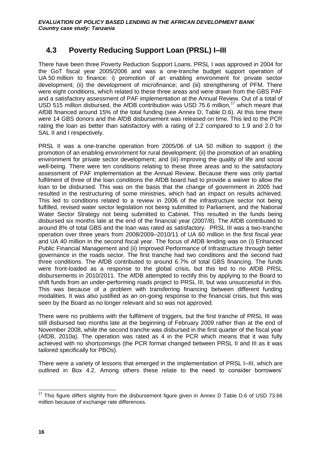## <span id="page-27-0"></span>**4.3 Poverty Reducing Support Loan (PRSL) I–III**

There have been three Poverty Reduction Support Loans. PRSL I was approved in 2004 for the GoT fiscal year 2005/2006 and was a one-tranche budget support operation of UA 50 million to finance: i) promotion of an enabling environment for private sector development; (ii) the development of microfinance; and (iii) strengthening of PFM. There were eight conditions, which related to these three areas and were drawn from the GBS PAF and a satisfactory assessment of PAF implementation at the Annual Review. Out of a total of USD 515 million disbursed, the AfDB contribution was USD 75.6 million,<sup>17</sup> which meant that AfDB financed around 15% of the total funding (see [Annex D,](#page-76-0) [Table D.6\)](#page-80-0). At this time there were 14 GBS donors and the AfDB disbursement was released on time. This led to the PCR rating the loan as better than satisfactory with a rating of 2.2 compared to 1.9 and 2.0 for SAL II and I respectively.

PRSL II was a one-tranche operation from 2005/06 of UA 50 million to support i) the promotion of an enabling environment for rural development; (ii) the promotion of an enabling environment for private sector development; and (iii) improving the quality of life and social well-being. There were ten conditions relating to these three areas and to the satisfactory assessment of PAF implementation at the Annual Review. Because there was only partial fulfilment of three of the loan conditions the AfDB board had to provide a waiver to allow the loan to be disbursed. This was on the basis that the change of government in 2005 had resulted in the restructuring of some ministries, which had an impact on results achieved. This led to conditions related to a review in 2006 of the infrastructure sector not being fulfilled, revised water sector legislation not being submitted to Parliament, and the National Water Sector Strategy not being submitted to Cabinet. This resulted in the funds being disbursed six months late at the end of the financial year (2007/8). The AfDB contributed to around 8% of total GBS and the loan was rated as satisfactory. PRSL III was a two-tranche operation over three years from 2008/2009–2010/11 of UA 60 million in the first fiscal year and UA 40 million in the second fiscal year. The focus of AfDB lending was on (i) Enhanced Public Financial Management and (ii) Improved Performance of Infrastructure through better governance in the roads sector. The first tranche had two conditions and the second had three conditions. The AfDB contributed to around 6.7% of total GBS financing. The funds were front-loaded as a response to the global crisis, but this led to no AfDB PRSL disbursements in 2010/2011. The AfDB attempted to rectify this by applying to the Board to shift funds from an under-performing roads project to PRSL III, but was unsuccessful in this. This was because of a problem with transferring financing between different funding modalities. It was also justified as an on-going response to the financial crisis, but this was seen by the Board as no longer relevant and so was not approved.

There were no problems with the fulfilment of triggers, but the first tranche of PRSL III was still disbursed two months late at the beginning of February 2009 rather than at the end of November 2008, while the second tranche was disbursed in the first quarter of the fiscal year (AfDB, 2010a). The operation was rated as 4 in the PCR which means that it was fully achieved with no shortcomings (the PCR format changed between PRSL II and III as it was tailored specifically for PBOs).

There were a variety of lessons that emerged in the implementation of PRSL I–III, which are outlined in Box 4.2. Among others these relate to the need to consider borrowers'

 $\overline{1}$  $17$  This figure differs slightly from the disbursement figure given in [Annex D](#page-76-0) [Table D.6](#page-80-0) of USD 73.66 million because of exchange rate differences.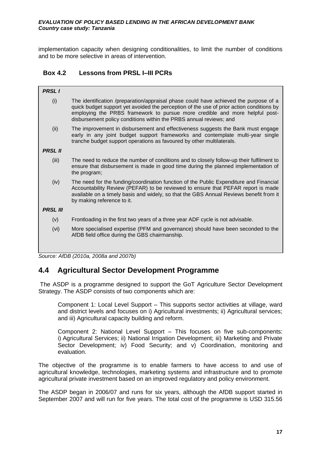implementation capacity when designing conditionalities, to limit the number of conditions and to be more selective in areas of intervention.

## <span id="page-28-1"></span>**Box 4.2 Lessons from PRSL I–III PCRs**

| The identification /preparation/appraisal phase could have achieved the purpose of a<br>quick budget support yet avoided the perception of the use of prior action conditions by<br>employing the PRBS framework to pursue more credible and more helpful post-<br>disbursement policy conditions within the PRBS annual reviews; and |
|---------------------------------------------------------------------------------------------------------------------------------------------------------------------------------------------------------------------------------------------------------------------------------------------------------------------------------------|
| The improvement in disbursement and effectiveness suggests the Bank must engage<br>early in any joint budget support frameworks and contemplate multi-year single<br>tranche budget support operations as favoured by other multilaterals.                                                                                            |
|                                                                                                                                                                                                                                                                                                                                       |
| The need to reduce the number of conditions and to closely follow-up their fulfilment to<br>ensure that disbursement is made in good time during the planned implementation of<br>the program;                                                                                                                                        |
| The need for the funding/coordination function of the Public Expenditure and Financial<br>Accountability Review (PEFAR) to be reviewed to ensure that PEFAR report is made<br>available on a timely basis and widely, so that the GBS Annual Reviews benefit from it<br>by making reference to it.                                    |
|                                                                                                                                                                                                                                                                                                                                       |
| Frontloading in the first two years of a three year ADF cycle is not advisable.                                                                                                                                                                                                                                                       |
| More specialised expertise (PFM and governance) should have been seconded to the<br>AfDB field office during the GBS chairmanship.                                                                                                                                                                                                    |
|                                                                                                                                                                                                                                                                                                                                       |

*Source: AfDB (2010a, 2008a and 2007b)*

## <span id="page-28-0"></span>**4.4 Agricultural Sector Development Programme**

The ASDP is a programme designed to support the GoT Agriculture Sector Development Strategy. The ASDP consists of two components which are:

Component 1: Local Level Support – This supports sector activities at village, ward and district levels and focuses on i) Agricultural investments; ii) Agricultural services; and iii) Agricultural capacity building and reform.

Component 2: National Level Support – This focuses on five sub-components: i) Agricultural Services; ii) National Irrigation Development; iii) Marketing and Private Sector Development; iv) Food Security; and v) Coordination, monitoring and evaluation.

The objective of the programme is to enable farmers to have access to and use of agricultural knowledge, technologies, marketing systems and infrastructure and to promote agricultural private investment based on an improved regulatory and policy environment.

The ASDP began in 2006/07 and runs for six years, although the AfDB support started in September 2007 and will run for five years. The total cost of the programme is USD 315.56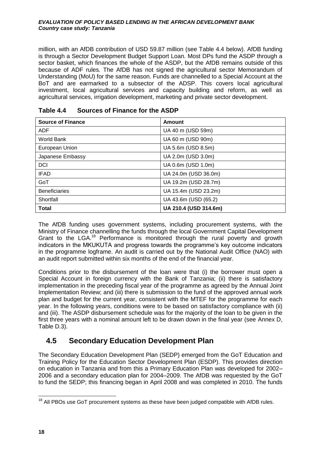million, with an AfDB contribution of USD 59.87 million (see [Table 4.4](#page-29-1) below). AfDB funding is through a Sector Development Budget Support Loan. Most DPs fund the ASDP through a sector basket, which finances the whole of the ASDP, but the AfDB remains outside of this because of ADF rules. The AfDB has not signed the agricultural sector Memorandum of Understanding (MoU) for the same reason. Funds are channelled to a Special Account at the BoT and are earmarked to a subsector of the ADSP. This covers local agricultural investment, local agricultural services and capacity building and reform, as well as agricultural services, irrigation development, marketing and private sector development.

| <b>Source of Finance</b> | Amount                |
|--------------------------|-----------------------|
| <b>ADF</b>               | UA 40 m (USD 59m)     |
| World Bank               | UA 60 m (USD 90m)     |
| European Union           | UA 5.6m (USD 8.5m)    |
| Japanese Embassy         | UA 2.0m (USD 3.0m)    |
| <b>DCI</b>               | UA 0.6m (USD 1.0m)    |
| <b>IFAD</b>              | UA 24.0m (USD 36.0m)  |
| GoT                      | UA 19.2m (USD 28.7m)  |
| <b>Beneficiaries</b>     | UA 15.4m (USD 23.2m)  |
| Shortfall                | UA 43.6m (USD (65.2)  |
| <b>Total</b>             | UA 210.4 (USD 314.6m) |

<span id="page-29-1"></span>

| Table 4.4 | <b>Sources of Finance for the ASDP</b> |  |
|-----------|----------------------------------------|--|
|           |                                        |  |

The AfDB funding uses government systems, including procurement systems, with the Ministry of Finance channelling the funds through the local Government Capital Development Grant to the LGA.<sup>18</sup> Performance is monitored through the rural poverty and growth indicators in the MKUKUTA and progress towards the programme's key outcome indicators in the programme logframe. An audit is carried out by the National Audit Office (NAO) with an audit report submitted within six months of the end of the financial year.

Conditions prior to the disbursement of the loan were that (i) the borrower must open a Special Account in foreign currency with the Bank of Tanzania; (ii) there is satisfactory implementation in the preceding fiscal year of the programme as agreed by the Annual Joint Implementation Review; and (iii) there is submission to the fund of the approved annual work plan and budget for the current year, consistent with the MTEF for the programme for each year. In the following years, conditions were to be based on satisfactory compliance with (ii) and (iii). The ASDP disbursement schedule was for the majority of the loan to be given in the first three years with a nominal amount left to be drawn down in the final year (see [Annex D,](#page-76-0) [Table](#page-78-0) D.3).

## <span id="page-29-0"></span>**4.5 Secondary Education Development Plan**

The Secondary Education Development Plan (SEDP) emerged from the GoT Education and Training Policy for the Education Sector Development Plan (ESDP). This provides direction on education in Tanzania and from this a Primary Education Plan was developed for 2002– 2006 and a secondary education plan for 2004–2009. The AfDB was requested by the GoT to fund the SEDP; this financing began in April 2008 and was completed in 2010. The funds

 $\overline{1}$  $18$  All PBOs use GoT procurement systems as these have been judged compatible with AfDB rules.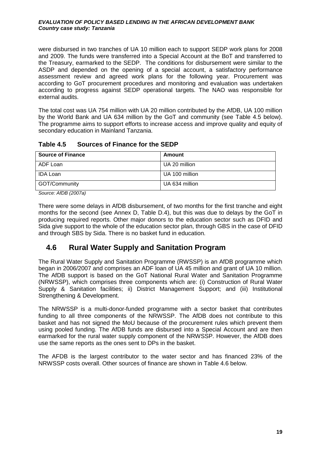were disbursed in two tranches of UA 10 million each to support SEDP work plans for 2008 and 2009. The funds were transferred into a Special Account at the BoT and transferred to the Treasury, earmarked to the SEDP. The conditions for disbursement were similar to the ASDP and depended on the opening of a special account, a satisfactory performance assessment review and agreed work plans for the following year. Procurement was according to GoT procurement procedures and monitoring and evaluation was undertaken according to progress against SEDP operational targets. The NAO was responsible for external audits.

The total cost was UA 754 million with UA 20 million contributed by the AfDB, UA 100 million by the World Bank and UA 634 million by the GoT and community (see [Table 4.5](#page-30-1) below). The programme aims to support efforts to increase access and improve quality and equity of secondary education in Mainland Tanzania.

<span id="page-30-1"></span>

| Sources of Finance for the SEDP<br>Table 4.5 |  |
|----------------------------------------------|--|
|----------------------------------------------|--|

| <b>Source of Finance</b> | Amount         |
|--------------------------|----------------|
| ADF Loan                 | UA 20 million  |
| <b>IDA Loan</b>          | UA 100 million |
| GOT/Community            | UA 634 million |

*Source: AfDB (2007a)* 

There were some delays in AfDB disbursement, of two months for the first tranche and eight months for the second (see [Annex D,](#page-76-0) [Table D.4\)](#page-78-1), but this was due to delays by the GoT in producing required reports. Other major donors to the education sector such as DFID and Sida give support to the whole of the education sector plan, through GBS in the case of DFID and through SBS by Sida. There is no basket fund in education.

## <span id="page-30-0"></span>**4.6 Rural Water Supply and Sanitation Program**

The Rural Water Supply and Sanitation Programme (RWSSP) is an AfDB programme which began in 2006/2007 and comprises an ADF loan of UA 45 million and grant of UA 10 million. The AfDB support is based on the GoT National Rural Water and Sanitation Programme (NRWSSP), which comprises three components which are: (i) Construction of Rural Water Supply & Sanitation facilities; ii) District Management Support; and (iii) Institutional Strengthening & Development.

The NRWSSP is a multi-donor-funded programme with a sector basket that contributes funding to all three components of the NRWSSP. The AfDB does not contribute to this basket and has not signed the MoU because of the procurement rules which prevent them using pooled funding. The AfDB funds are disbursed into a Special Account and are then earmarked for the rural water supply component of the NRWSSP. However, the AfDB does use the same reports as the ones sent to DPs in the basket.

The AFDB is the largest contributor to the water sector and has financed 23% of the NRWSSP costs overall. Other sources of finance are shown in [Table 4.6 below.](#page-31-0)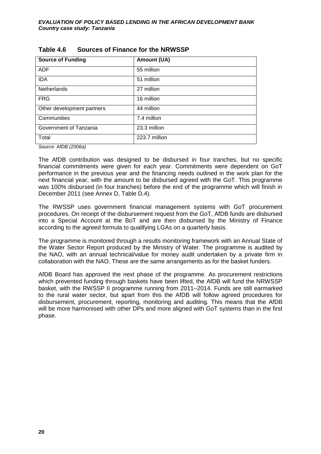| <b>Source of Funding</b>   | <b>Amount (UA)</b> |
|----------------------------|--------------------|
| <b>ADF</b>                 | 55 million         |
| <b>IDA</b>                 | 51 million         |
| <b>Netherlands</b>         | 27 million         |
| <b>FRG</b>                 | 16 million         |
| Other development partners | 44 million         |
| Communities                | 7.4 million        |
| Government of Tanzania     | 23.3 million       |
| Total                      | 223.7 million      |

## <span id="page-31-0"></span>**Table 4.6 Sources of Finance for the NRWSSP**

*Source: AfDB (2006a)*

The AfDB contribution was designed to be disbursed in four tranches, but no specific financial commitments were given for each year. Commitments were dependent on GoT performance in the previous year and the financing needs outlined in the work plan for the next financial year, with the amount to be disbursed agreed with the GoT. This programme was 100% disbursed (in four tranches) before the end of the programme which will finish in December 2011 (see [Annex D,](#page-76-0) [Table D.4\)](#page-78-1).

The RWSSP uses government financial management systems with GoT procurement procedures. On receipt of the disbursement request from the GoT, AfDB funds are disbursed into a Special Account at the BoT and are then disbursed by the Ministry of Finance according to the agreed formula to qualifying LGAs on a quarterly basis.

The programme is monitored through a results monitoring framework with an Annual State of the Water Sector Report produced by the Ministry of Water. The programme is audited by the NAO, with an annual technical/value for money audit undertaken by a private firm in collaboration with the NAO. These are the same arrangements as for the basket funders.

AfDB Board has approved the next phase of the programme. As procurement restrictions which prevented funding through baskets have been lifted, the AfDB will fund the NRWSSP basket, with the RWSSP II programme running from 2011–2014. Funds are still earmarked to the rural water sector, but apart from this the AfDB will follow agreed procedures for disbursement, procurement, reporting, monitoring and auditing. This means that the AfDB will be more harmonised with other DPs and more aligned with GoT systems than in the first phase.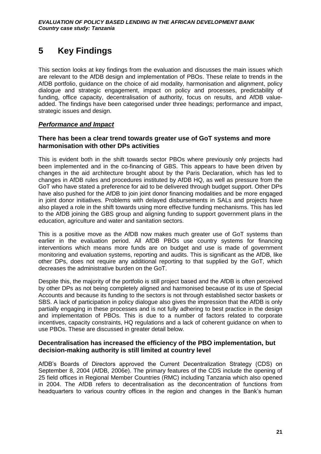## <span id="page-32-0"></span>**5 Key Findings**

This section looks at key findings from the evaluation and discusses the main issues which are relevant to the AfDB design and implementation of PBOs. These relate to trends in the AfDB portfolio, guidance on the choice of aid modality, harmonisation and alignment, policy dialogue and strategic engagement, impact on policy and processes, predictability of funding, office capacity, decentralisation of authority, focus on results, and AfDB valueadded. The findings have been categorised under three headings; performance and impact, strategic issues and design.

## *Performance and Impact*

## **There has been a clear trend towards greater use of GoT systems and more harmonisation with other DPs activities**

This is evident both in the shift towards sector PBOs where previously only projects had been implemented and in the co-financing of GBS. This appears to have been driven by changes in the aid architecture brought about by the Paris Declaration, which has led to changes in AfDB rules and procedures instituted by AfDB HQ, as well as pressure from the GoT who have stated a preference for aid to be delivered through budget support. Other DPs have also pushed for the AfDB to join joint donor financing modalities and be more engaged in joint donor initiatives. Problems with delayed disbursements in SALs and projects have also played a role in the shift towards using more effective funding mechanisms. This has led to the AfDB joining the GBS group and aligning funding to support government plans in the education, agriculture and water and sanitation sectors.

This is a positive move as the AfDB now makes much greater use of GoT systems than earlier in the evaluation period. All AfDB PBOs use country systems for financing interventions which means more funds are on budget and use is made of government monitoring and evaluation systems, reporting and audits. This is significant as the AfDB, like other DPs, does not require any additional reporting to that supplied by the GoT, which decreases the administrative burden on the GoT.

Despite this, the majority of the portfolio is still project based and the AfDB is often perceived by other DPs as not being completely aligned and harmonised because of its use of Special Accounts and because its funding to the sectors is not through established sector baskets or SBS. A lack of participation in policy dialogue also gives the impression that the AfDB is only partially engaging in these processes and is not fully adhering to best practice in the design and implementation of PBOs. This is due to a number of factors related to corporate incentives, capacity constraints, HQ regulations and a lack of coherent guidance on when to use PBOs. These are discussed in greater detail below.

## **Decentralisation has increased the efficiency of the PBO implementation, but decision-making authority is still limited at country level**

AfDB's Boards of Directors approved the Current Decentralization Strategy (CDS) on September 8, 2004 (AfDB, 2006e). The primary features of the CDS include the opening of 25 field offices in Regional Member Countries (RMC) including Tanzania which also opened in 2004. The AfDB refers to decentralisation as the deconcentration of functions from headquarters to various country offices in the region and changes in the Bank's human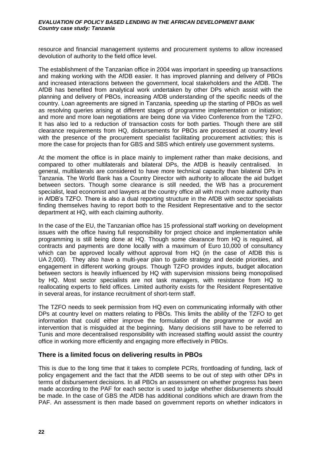resource and financial management systems and procurement systems to allow increased devolution of authority to the field office level.

The establishment of the Tanzanian office in 2004 was important in speeding up transactions and making working with the AfDB easier. It has improved planning and delivery of PBOs and increased interactions between the government, local stakeholders and the AfDB. The AfDB has benefited from analytical work undertaken by other DPs which assist with the planning and delivery of PBOs, increasing AfDB understanding of the specific needs of the country. Loan agreements are signed in Tanzania, speeding up the starting of PBOs as well as resolving queries arising at different stages of programme implementation or initiation; and more and more loan negotiations are being done via Video Conference from the TZFO. It has also led to a reduction of transaction costs for both parties. Though there are still clearance requirements from HQ, disbursements for PBOs are processed at country level with the presence of the procurement specialist facilitating procurement activities; this is more the case for projects than for GBS and SBS which entirely use government systems.

At the moment the office is in place mainly to implement rather than make decisions, and compared to other multilaterals and bilateral DPs, the AfDB is heavily centralised. In general, multilaterals are considered to have more technical capacity than bilateral DPs in Tanzania. The World Bank has a Country Director with authority to allocate the aid budget between sectors. Though some clearance is still needed, the WB has a procurement specialist, lead economist and lawyers at the country office all with much more authority than in AfDB's TZFO. There is also a dual reporting structure in the AfDB with sector specialists finding themselves having to report both to the Resident Representative and to the sector department at HQ, with each claiming authority.

In the case of the EU, the Tanzanian office has 15 professional staff working on development issues with the office having full responsibility for project choice and implementation while programming is still being done at HQ. Though some clearance from HQ is required, all contracts and payments are done locally with a maximum of Euro 10,000 of consultancy which can be approved locally without approval from HQ (in the case of AfDB this is UA 2,000). They also have a multi-year plan to guide strategy and decide priorities, and engagement in different working groups. Though TZFO provides inputs, budget allocation between sectors is heavily influenced by HQ with supervision missions being monopolised by HQ. Most sector specialists are not task managers, with resistance from HQ to reallocating experts to field offices. Limited authority exists for the Resident Representative in several areas, for instance recruitment of short-term staff.

The TZFO needs to seek permission from HQ even on communicating informally with other DPs at country level on matters relating to PBOs. This limits the ability of the TZFO to get information that could either improve the formulation of the programme or avoid an intervention that is misguided at the beginning. Many decisions still have to be referred to Tunis and more decentralised responsibility with increased staffing would assist the country office in working more efficiently and engaging more effectively in PBOs.

## **There is a limited focus on delivering results in PBOs**

This is due to the long time that it takes to complete PCRs, frontloading of funding, lack of policy engagement and the fact that the AfDB seems to be out of step with other DPs in terms of disbursement decisions. In all PBOs an assessment on whether progress has been made according to the PAF for each sector is used to judge whether disbursements should be made. In the case of GBS the AfDB has additional conditions which are drawn from the PAF. An assessment is then made based on government reports on whether indicators in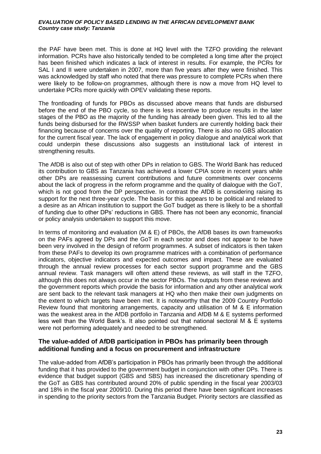the PAF have been met. This is done at HQ level with the TZFO providing the relevant information. PCRs have also historically tended to be completed a long time after the project has been finished which indicates a lack of interest in results. For example, the PCRs for SAL I and II were undertaken in 2007, more than five years after they were finished. This was acknowledged by staff who noted that there was pressure to complete PCRs when there were likely to be follow-on programmes, although there is now a move from HQ level to undertake PCRs more quickly with OPEV validating these reports.

The frontloading of funds for PBOs as discussed above means that funds are disbursed before the end of the PBO cycle, so there is less incentive to produce results in the later stages of the PBO as the majority of the funding has already been given. This led to all the funds being disbursed for the RWSSP when basket funders are currently holding back their financing because of concerns over the quality of reporting. There is also no GBS allocation for the current fiscal year. The lack of engagement in policy dialogue and analytical work that could underpin these discussions also suggests an institutional lack of interest in strengthening results.

The AfDB is also out of step with other DPs in relation to GBS. The World Bank has reduced its contribution to GBS as Tanzania has achieved a lower CPIA score in recent years while other DPs are reassessing current contributions and future commitments over concerns about the lack of progress in the reform programme and the quality of dialogue with the GoT, which is not good from the DP perspective. In contrast the AfDB is considering raising its support for the next three-year cycle. The basis for this appears to be political and related to a desire as an African institution to support the GoT budget as there is likely to be a shortfall of funding due to other DPs' reductions in GBS. There has not been any economic, financial or policy analysis undertaken to support this move.

In terms of monitoring and evaluation (M & E) of PBOs, the AfDB bases its own frameworks on the PAFs agreed by DPs and the GoT in each sector and does not appear to be have been very involved in the design of reform programmes. A subset of indicators is then taken from these PAFs to develop its own programme matrices with a combination of performance indicators, objective indicators and expected outcomes and impact. These are evaluated through the annual review processes for each sector support programme and the GBS annual review. Task managers will often attend these reviews, as will staff in the TZFO, although this does not always occur in the sector PBOs. The outputs from these reviews and the government reports which provide the basis for information and any other analytical work are sent back to the relevant task managers at HQ who then make their own judgments on the extent to which targets have been met. It is noteworthy that the 2009 Country Portfolio Review found that monitoring arrangements, capacity and utilisation of M & E information was the weakest area in the AfDB portfolio in Tanzania and AfDB M & E systems performed less well than the World Bank's. It also pointed out that national sectoral M & E systems were not performing adequately and needed to be strengthened.

## **The value-added of AfDB participation in PBOs has primarily been through additional funding and a focus on procurement and infrastructure**

The value-added from AfDB's participation in PBOs has primarily been through the additional funding that it has provided to the government budget in conjunction with other DPs. There is evidence that budget support (GBS and SBS) has increased the discretionary spending of the GoT as GBS has contributed around 20% of public spending in the fiscal year 2003/03 and 18% in the fiscal year 2009/10. During this period there have been significant increases in spending to the priority sectors from the Tanzania Budget. Priority sectors are classified as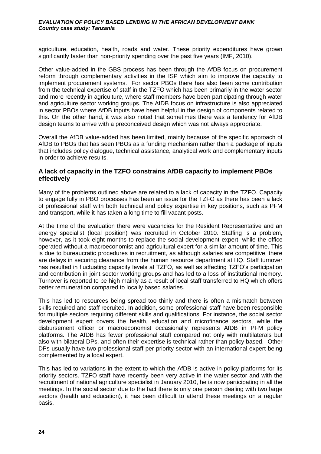agriculture, education, health, roads and water. These priority expenditures have grown significantly faster than non-priority spending over the past five years (IMF, 2010).

Other value-added in the GBS process has been through the AfDB focus on procurement reform through complementary activities in the ISP which aim to improve the capacity to implement procurement systems. For sector PBOs there has also been some contribution from the technical expertise of staff in the TZFO which has been primarily in the water sector and more recently in agriculture, where staff members have been participating through water and agriculture sector working groups. The AfDB focus on infrastructure is also appreciated in sector PBOs where AfDB inputs have been helpful in the design of components related to this. On the other hand, it was also noted that sometimes there was a tendency for AfDB design teams to arrive with a preconceived design which was not always appropriate.

Overall the AfDB value-added has been limited, mainly because of the specific approach of AfDB to PBOs that has seen PBOs as a funding mechanism rather than a package of inputs that includes policy dialogue, technical assistance, analytical work and complementary inputs in order to achieve results.

## **A lack of capacity in the TZFO constrains AfDB capacity to implement PBOs effectively**

Many of the problems outlined above are related to a lack of capacity in the TZFO. Capacity to engage fully in PBO processes has been an issue for the TZFO as there has been a lack of professional staff with both technical and policy expertise in key positions, such as PFM and transport, while it has taken a long time to fill vacant posts.

At the time of the evaluation there were vacancies for the Resident Representative and an energy specialist (local position) was recruited in October 2010. Staffing is a problem, however, as it took eight months to replace the social development expert, while the office operated without a macroeconomist and agricultural expert for a similar amount of time. This is due to bureaucratic procedures in recruitment, as although salaries are competitive, there are delays in securing clearance from the human resource department at HQ. Staff turnover has resulted in fluctuating capacity levels at TZFO, as well as affecting TZFO's participation and contribution in joint sector working groups and has led to a loss of institutional memory. Turnover is reported to be high mainly as a result of local staff transferred to HQ which offers better remuneration compared to locally based salaries.

This has led to resources being spread too thinly and there is often a mismatch between skills required and staff recruited. In addition, some professional staff have been responsible for multiple sectors requiring different skills and qualifications. For instance, the social sector development expert covers the health, education and microfinance sectors, while the disbursement officer or macroeconomist occasionally represents AfDB in PFM policy platforms. The AfDB has fewer professional staff compared not only with multilaterals but also with bilateral DPs, and often their expertise is technical rather than policy based. Other DPs usually have two professional staff per priority sector with an international expert being complemented by a local expert.

This has led to variations in the extent to which the AfDB is active in policy platforms for its priority sectors. TZFO staff have recently been very active in the water sector and with the recruitment of national agriculture specialist in January 2010, he is now participating in all the meetings. In the social sector due to the fact there is only one person dealing with two large sectors (health and education), it has been difficult to attend these meetings on a regular basis.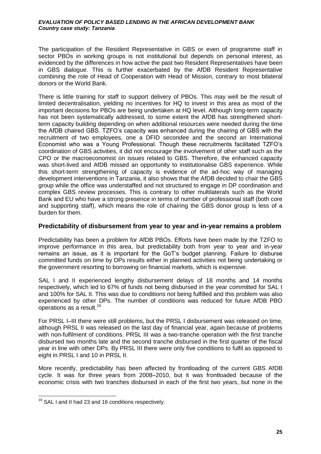The participation of the Resident Representative in GBS or even of programme staff in sector PBOs in working groups is not institutional but depends on personal interest, as evidenced by the differences in how active the past two Resident Representatives have been in GBS dialogue. This is further exacerbated by the AfDB Resident Representative combining the role of Head of Cooperation with Head of Mission, contrary to most bilateral donors or the World Bank.

There is little training for staff to support delivery of PBOs. This may well be the result of limited decentralisation, yielding no incentives for HQ to invest in this area as most of the important decisions for PBOs are being undertaken at HQ level. Although long-term capacity has not been systematically addressed, to some extent the AfDB has strengthened shortterm capacity building depending on when additional resources were needed during the time the AfDB chaired GBS. TZFO's capacity was enhanced during the chairing of GBS with the recruitment of two employees, one a DFID secondee and the second an International Economist who was a Young Professional. Though these recruitments facilitated TZFO's coordination of GBS activities, it did not encourage the involvement of other staff such as the CPO or the macroeconomist on issues related to GBS. Therefore, the enhanced capacity was short-lived and AfDB missed an opportunity to institutionalise GBS experience. While this short-term strengthening of capacity is evidence of the ad-hoc way of managing development interventions in Tanzania, it also shows that the AfDB decided to chair the GBS group while the office was understaffed and not structured to engage in DP coordination and complex GBS review processes. This is contrary to other multilaterals such as the World Bank and EU who have a strong presence in terms of number of professional staff (both core and supporting staff), which means the role of chairing the GBS donor group is less of a burden for them.

### **Predictability of disbursement from year to year and in-year remains a problem**

Predictability has been a problem for AfDB PBOs. Efforts have been made by the TZFO to improve performance in this area, but predictability both from year to year and in-year remains an issue, as it is important for the GoT's budget planning. Failure to disburse committed funds on time by DPs results either in planned activities not being undertaking or the government resorting to borrowing on financial markets, which is expensive.

SAL I and II experienced lengthy disbursement delays of 18 months and 14 months respectively, which led to 67% of funds not being disbursed in the year committed for SAL I and 100% for SAL II. This was due to conditions not being fulfilled and this problem was also experienced by other DPs. The number of conditions was reduced for future AfDB PBO operations as a result.<sup>19</sup>

For PRSL I–III there were still problems, but the PRSL I disbursement was released on time, although PRSL II was released on the last day of financial year, again because of problems with non-fulfilment of conditions. PRSL III was a two-tranche operation with the first tranche disbursed two months late and the second tranche disbursed in the first quarter of the fiscal year in line with other DPs. By PRSL III there were only five conditions to fulfil as opposed to eight in PRSL I and 10 in PRSL II.

More recently, predictability has been affected by frontloading of the current GBS AfDB cycle. It was for three years from 2008–2010, but it was frontloaded because of the economic crisis with two tranches disbursed in each of the first two years, but none in the

 $\overline{1}$  $19$  SAL I and II had 23 and 16 conditions respectively.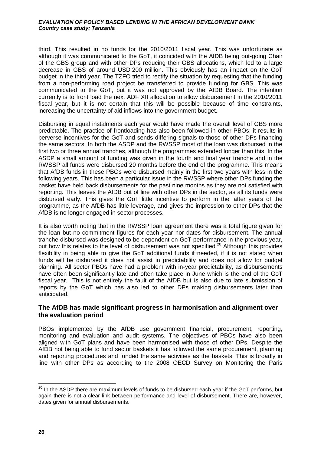third. This resulted in no funds for the 2010/2011 fiscal year. This was unfortunate as although it was communicated to the GoT, it coincided with the AfDB being out-going Chair of the GBS group and with other DPs reducing their GBS allocations, which led to a large decrease in GBS of around USD 200 million. This obviously has an impact on the GoT budget in the third year. The TZFO tried to rectify the situation by requesting that the funding from a non-performing road project be transferred to provide funding for GBS. This was communicated to the GoT, but it was not approved by the AfDB Board. The intention currently is to front load the next ADF XII allocation to allow disbursement in the 2010/2011 fiscal year, but it is not certain that this will be possible because of time constraints, increasing the uncertainty of aid inflows into the government budget.

Disbursing in equal instalments each year would have made the overall level of GBS more predictable. The practice of frontloading has also been followed in other PBOs; it results in perverse incentives for the GoT and sends differing signals to those of other DPs financing the same sectors. In both the ASDP and the RWSSP most of the loan was disbursed in the first two or three annual tranches, although the programmes extended longer than this. In the ASDP a small amount of funding was given in the fourth and final year tranche and in the RWSSP all funds were disbursed 20 months before the end of the programme. This means that AfDB funds in these PBOs were disbursed mainly in the first two years with less in the following years. This has been a particular issue in the RWSSP where other DPs funding the basket have held back disbursements for the past nine months as they are not satisfied with reporting. This leaves the AfDB out of line with other DPs in the sector, as all its funds were disbursed early. This gives the GoT little incentive to perform in the latter years of the programme, as the AfDB has little leverage, and gives the impression to other DPs that the AfDB is no longer engaged in sector processes.

It is also worth noting that in the RWSSP loan agreement there was a total figure given for the loan but no commitment figures for each year nor dates for disbursement. The annual tranche disbursed was designed to be dependent on GoT performance in the previous year, but how this relates to the level of disbursement was not specified.<sup>20</sup> Although this provides flexibility in being able to give the GoT additional funds if needed, if it is not stated when funds will be disbursed it does not assist in predictability and does not allow for budget planning. All sector PBOs have had a problem with in-year predictability, as disbursements have often been significantly late and often take place in June which is the end of the GoT fiscal year. This is not entirely the fault of the AfDB but is also due to late submission of reports by the GoT which has also led to other DPs making disbursements later than anticipated.

## **The AfDB has made significant progress in harmonisation and alignment over the evaluation period**

PBOs implemented by the AfDB use government financial, procurement, reporting, monitoring and evaluation and audit systems. The objectives of PBOs have also been aligned with GoT plans and have been harmonised with those of other DPs. Despite the AfDB not being able to fund sector baskets it has followed the same procurement, planning and reporting procedures and funded the same activities as the baskets. This is broadly in line with other DPs as according to the 2008 OECD Survey on Monitoring the Paris

<sup>-</sup> $^{20}$  In the ASDP there are maximum levels of funds to be disbursed each year if the GoT performs, but again there is not a clear link between performance and level of disbursement. There are, however, dates given for annual disbursements.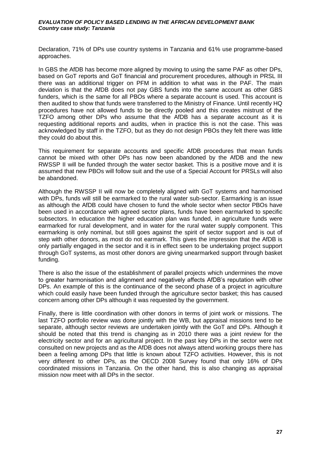Declaration, 71% of DPs use country systems in Tanzania and 61% use programme-based approaches.

In GBS the AfDB has become more aligned by moving to using the same PAF as other DPs, based on GoT reports and GoT financial and procurement procedures, although in PRSL III there was an additional trigger on PFM in addition to what was in the PAF. The main deviation is that the AfDB does not pay GBS funds into the same account as other GBS funders, which is the same for all PBOs where a separate account is used. This account is then audited to show that funds were transferred to the Ministry of Finance. Until recently HQ procedures have not allowed funds to be directly pooled and this creates mistrust of the TZFO among other DPs who assume that the AfDB has a separate account as it is requesting additional reports and audits, when in practice this is not the case. This was acknowledged by staff in the TZFO, but as they do not design PBOs they felt there was little they could do about this.

This requirement for separate accounts and specific AfDB procedures that mean funds cannot be mixed with other DPs has now been abandoned by the AfDB and the new RWSSP II will be funded through the water sector basket. This is a positive move and it is assumed that new PBOs will follow suit and the use of a Special Account for PRSLs will also be abandoned.

Although the RWSSP II will now be completely aligned with GoT systems and harmonised with DPs, funds will still be earmarked to the rural water sub-sector. Earmarking is an issue as although the AfDB could have chosen to fund the whole sector when sector PBOs have been used in accordance with agreed sector plans, funds have been earmarked to specific subsectors. In education the higher education plan was funded, in agriculture funds were earmarked for rural development, and in water for the rural water supply component. This earmarking is only nominal, but still goes against the spirit of sector support and is out of step with other donors, as most do not earmark. This gives the impression that the AfDB is only partially engaged in the sector and it is in effect seen to be undertaking project support through GoT systems, as most other donors are giving unearmarked support through basket funding.

There is also the issue of the establishment of parallel projects which undermines the move to greater harmonisation and alignment and negatively affects AfDB's reputation with other DPs. An example of this is the continuance of the second phase of a project in agriculture which could easily have been funded through the agriculture sector basket; this has caused concern among other DPs although it was requested by the government.

Finally, there is little coordination with other donors in terms of joint work or missions. The last TZFO portfolio review was done jointly with the WB, but appraisal missions tend to be separate, although sector reviews are undertaken jointly with the GoT and DPs. Although it should be noted that this trend is changing as in 2010 there was a joint review for the electricity sector and for an agricultural project. In the past key DPs in the sector were not consulted on new projects and as the AfDB does not always attend working groups there has been a feeling among DPs that little is known about TZFO activities. However, this is not very different to other DPs, as the OECD 2008 Survey found that only 16% of DPs coordinated missions in Tanzania. On the other hand, this is also changing as appraisal mission now meet with all DPs in the sector.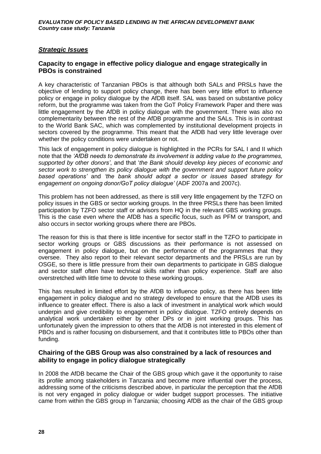## *Strategic Issues*

## **Capacity to engage in effective policy dialogue and engage strategically in PBOs is constrained**

A key characteristic of Tanzanian PBOs is that although both SALs and PRSLs have the objective of lending to support policy change, there has been very little effort to influence policy or engage in policy dialogue by the AfDB itself. SAL was based on substantive policy reform, but the programme was taken from the GoT Policy Framework Paper and there was little engagement by the AfDB in policy dialogue with the government. There was also no complementarity between the rest of the AfDB programme and the SALs. This is in contrast to the World Bank SAC, which was complemented by institutional development projects in sectors covered by the programme. This meant that the AfDB had very little leverage over whether the policy conditions were undertaken or not.

This lack of engagement in policy dialogue is highlighted in the PCRs for SAL I and II which note that the *'AfDB needs to demonstrate its involvement is adding value to the programmes, supported by other donors'*, and that '*the Bank should develop key pieces of economic and sector work to strengthen its policy dialogue with the government and support future policy based operations'* and *'the bank should adopt a sector or issues based strategy for engagement on ongoing donor/GoT policy dialogue'* (ADF 2007a and 2007c).

This problem has not been addressed, as there is still very little engagement by the TZFO on policy issues in the GBS or sector working groups. In the three PRSLs there has been limited participation by TZFO sector staff or advisors from HQ in the relevant GBS working groups. This is the case even where the AfDB has a specific focus, such as PFM or transport, and also occurs in sector working groups where there are PBOs.

The reason for this is that there is little incentive for sector staff in the TZFO to participate in sector working groups or GBS discussions as their performance is not assessed on engagement in policy dialogue, but on the performance of the programmes that they oversee. They also report to their relevant sector departments and the PRSLs are run by OSGE, so there is little pressure from their own departments to participate in GBS dialogue and sector staff often have technical skills rather than policy experience. Staff are also overstretched with little time to devote to these working groups.

This has resulted in limited effort by the AfDB to influence policy, as there has been little engagement in policy dialogue and no strategy developed to ensure that the AfDB uses its influence to greater effect. There is also a lack of investment in analytical work which would underpin and give credibility to engagement in policy dialogue. TZFO entirely depends on analytical work undertaken either by other DPs or in joint working groups. This has unfortunately given the impression to others that the AfDB is not interested in this element of PBOs and is rather focusing on disbursement, and that it contributes little to PBOs other than funding.

## **Chairing of the GBS Group was also constrained by a lack of resources and ability to engage in policy dialogue strategically**

In 2008 the AfDB became the Chair of the GBS group which gave it the opportunity to raise its profile among stakeholders in Tanzania and become more influential over the process, addressing some of the criticisms described above, in particular the perception that the AfDB is not very engaged in policy dialogue or wider budget support processes. The initiative came from within the GBS group in Tanzania; choosing AfDB as the chair of the GBS group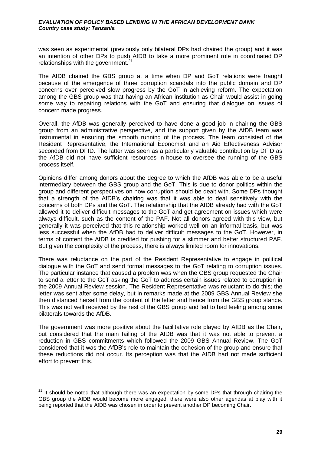was seen as experimental (previously only bilateral DPs had chaired the group) and it was an intention of other DPs to push AfDB to take a more prominent role in coordinated DP relationships with the government. $21$ 

The AfDB chaired the GBS group at a time when DP and GoT relations were fraught because of the emergence of three corruption scandals into the public domain and DP concerns over perceived slow progress by the GoT in achieving reform. The expectation among the GBS group was that having an African institution as Chair would assist in going some way to repairing relations with the GoT and ensuring that dialogue on issues of concern made progress.

Overall, the AfDB was generally perceived to have done a good job in chairing the GBS group from an administrative perspective, and the support given by the AfDB team was instrumental in ensuring the smooth running of the process. The team consisted of the Resident Representative, the International Economist and an Aid Effectiveness Advisor seconded from DFID. The latter was seen as a particularly valuable contribution by DFID as the AfDB did not have sufficient resources in-house to oversee the running of the GBS process itself.

Opinions differ among donors about the degree to which the AfDB was able to be a useful intermediary between the GBS group and the GoT. This is due to donor politics within the group and different perspectives on how corruption should be dealt with. Some DPs thought that a strength of the AfDB's chairing was that it was able to deal sensitively with the concerns of both DPs and the GoT. The relationship that the AfDB already had with the GoT allowed it to deliver difficult messages to the GoT and get agreement on issues which were always difficult, such as the content of the PAF. Not all donors agreed with this view, but generally it was perceived that this relationship worked well on an informal basis, but was less successful when the AfDB had to deliver difficult messages to the GoT. However, in terms of content the AfDB is credited for pushing for a slimmer and better structured PAF. But given the complexity of the process, there is always limited room for innovations.

There was reluctance on the part of the Resident Representative to engage in political dialogue with the GoT and send formal messages to the GoT relating to corruption issues. The particular instance that caused a problem was when the GBS group requested the Chair to send a letter to the GoT asking the GoT to address certain issues related to corruption in the 2009 Annual Review session. The Resident Representative was reluctant to do this; the letter was sent after some delay, but in remarks made at the 2009 GBS Annual Review she then distanced herself from the content of the letter and hence from the GBS group stance. This was not well received by the rest of the GBS group and led to bad feeling among some bilaterals towards the AfDB.

The government was more positive about the facilitative role played by AfDB as the Chair, but considered that the main failing of the AfDB was that it was not able to prevent a reduction in GBS commitments which followed the 2009 GBS Annual Review. The GoT considered that it was the AfDB's role to maintain the cohesion of the group and ensure that these reductions did not occur. Its perception was that the AfDB had not made sufficient effort to prevent this.

-

 $21$  It should be noted that although there was an expectation by some DPs that through chairing the GBS group the AfDB would become more engaged, there were also other agendas at play with it being reported that the AfDB was chosen in order to prevent another DP becoming Chair.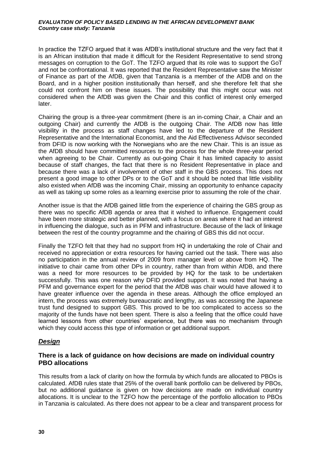In practice the TZFO argued that it was AfDB's institutional structure and the very fact that it is an African institution that made it difficult for the Resident Representative to send strong messages on corruption to the GoT. The TZFO argued that its role was to support the GoT and not be confrontational. It was reported that the Resident Representative saw the Minister of Finance as part of the AfDB, given that Tanzania is a member of the AfDB and on the Board, and in a higher position institutionally than herself, and she therefore felt that she could not confront him on these issues. The possibility that this might occur was not considered when the AfDB was given the Chair and this conflict of interest only emerged later.

Chairing the group is a three-year commitment (there is an in-coming Chair, a Chair and an outgoing Chair) and currently the AfDB is the outgoing Chair. The AfDB now has little visibility in the process as staff changes have led to the departure of the Resident Representative and the International Economist, and the Aid Effectiveness Advisor seconded from DFID is now working with the Norwegians who are the new Chair. This is an issue as the AfDB should have committed resources to the process for the whole three-year period when agreeing to be Chair. Currently as out-going Chair it has limited capacity to assist because of staff changes, the fact that there is no Resident Representative in place and because there was a lack of involvement of other staff in the GBS process. This does not present a good image to other DPs or to the GoT and it should be noted that little visibility also existed when AfDB was the incoming Chair, missing an opportunity to enhance capacity as well as taking up some roles as a learning exercise prior to assuming the role of the chair.

Another issue is that the AfDB gained little from the experience of chairing the GBS group as there was no specific AfDB agenda or area that it wished to influence. Engagement could have been more strategic and better planned, with a focus on areas where it had an interest in influencing the dialogue, such as in PFM and infrastructure. Because of the lack of linkage between the rest of the country programme and the chairing of GBS this did not occur.

Finally the TZFO felt that they had no support from HQ in undertaking the role of Chair and received no appreciation or extra resources for having carried out the task. There was also no participation in the annual review of 2009 from manager level or above from HQ. The initiative to chair came from other DPs in country, rather than from within AfDB, and there was a need for more resources to be provided by HQ for the task to be undertaken successfully. This was one reason why DFID provided support. It was noted that having a PFM and governance expert for the period that the AfDB was chair would have allowed it to have greater influence over the agenda in these areas. Although the office employed an intern, the process was extremely bureaucratic and lengthy, as was accessing the Japanese trust fund designed to support GBS. This proved to be too complicated to access so the majority of the funds have not been spent. There is also a feeling that the office could have learned lessons from other countries' experience, but there was no mechanism through which they could access this type of information or get additional support.

## *Design*

## **There is a lack of guidance on how decisions are made on individual country PBO allocations**

This results from a lack of clarity on how the formula by which funds are allocated to PBOs is calculated. AfDB rules state that 25% of the overall bank portfolio can be delivered by PBOs, but no additional guidance is given on how decisions are made on individual country allocations. It is unclear to the TZFO how the percentage of the portfolio allocation to PBOs in Tanzania is calculated. As there does not appear to be a clear and transparent process for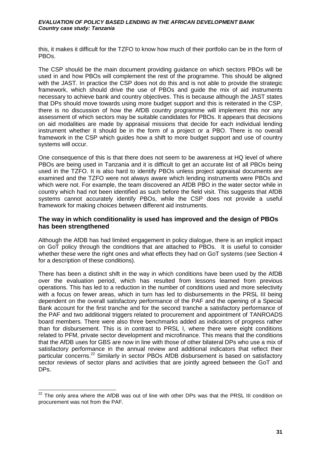this, it makes it difficult for the TZFO to know how much of their portfolio can be in the form of PBOs.

The CSP should be the main document providing guidance on which sectors PBOs will be used in and how PBOs will complement the rest of the programme. This should be aligned with the JAST. In practice the CSP does not do this and is not able to provide the strategic framework, which should drive the use of PBOs and guide the mix of aid instruments necessary to achieve bank and country objectives. This is because although the JAST states that DPs should move towards using more budget support and this is reiterated in the CSP, there is no discussion of how the AfDB country programme will implement this nor any assessment of which sectors may be suitable candidates for PBOs. It appears that decisions on aid modalities are made by appraisal missions that decide for each individual lending instrument whether it should be in the form of a project or a PBO. There is no overall framework in the CSP which guides how a shift to more budget support and use of country systems will occur.

One consequence of this is that there does not seem to be awareness at HQ level of where PBOs are being used in Tanzania and it is difficult to get an accurate list of all PBOs being used in the TZFO. It is also hard to identify PBOs unless project appraisal documents are examined and the TZFO were not always aware which lending instruments were PBOs and which were not. For example, the team discovered an AfDB PBO in the water sector while in country which had not been identified as such before the field visit. This suggests that AfDB systems cannot accurately identify PBOs, while the CSP does not provide a useful framework for making choices between different aid instruments.

## **The way in which conditionality is used has improved and the design of PBOs has been strengthened**

Although the AfDB has had limited engagement in policy dialogue, there is an implicit impact on GoT policy through the conditions that are attached to PBOs. It is useful to consider whether these were the right ones and what effects they had on GoT systems (see Section [4](#page-24-0) for a description of these conditions).

There has been a distinct shift in the way in which conditions have been used by the AfDB over the evaluation period, which has resulted from lessons learned from previous operations. This has led to a reduction in the number of conditions used and more selectivity with a focus on fewer areas, which in turn has led to disbursements in the PRSL III being dependent on the overall satisfactory performance of the PAF and the opening of a Special Bank account for the first tranche and for the second tranche a satisfactory performance of the PAF and two additional triggers related to procurement and appointment of TANROADS board members. There were also three benchmarks added as indicators of progress rather than for disbursement. This is in contrast to PRSL I, where there were eight conditions related to PFM, private sector development and microfinance. This means that the conditions that the AfDB uses for GBS are now in line with those of other bilateral DPs who use a mix of satisfactory performance in the annual review and additional indicators that reflect their particular concerns.<sup>22</sup> Similarly in sector PBOs AfDB disbursement is based on satisfactory sector reviews of sector plans and activities that are jointly agreed between the GoT and DPs.

 $\overline{a}$  $22$  The only area where the AfDB was out of line with other DPs was that the PRSL III condition on procurement was not from the PAF.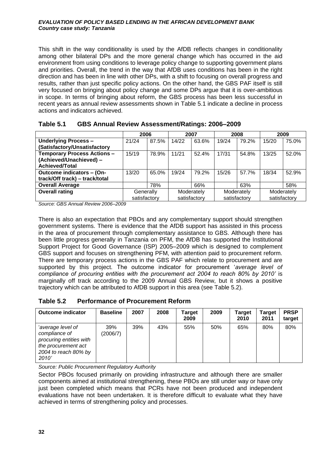This shift in the way conditionality is used by the AfDB reflects changes in conditionality among other bilateral DPs and the more general change which has occurred in the aid environment from using conditions to leverage policy change to supporting government plans and priorities. Overall, the trend in the way that AfDB uses conditions has been in the right direction and has been in line with other DPs, with a shift to focusing on overall progress and results, rather than just specific policy actions. On the other hand, the GBS PAF itself is still very focused on bringing about policy change and some DPs argue that it is over-ambitious in scope. In terms of bringing about reform, the GBS process has been less successful in recent years as annual review assessments shown in [Table 5.1](#page-43-0) indicate a decline in process actions and indicators achieved.

|                                    | 2006         |       |       | 2007         |       | 2008         |       | 2009         |
|------------------------------------|--------------|-------|-------|--------------|-------|--------------|-------|--------------|
| <b>Underlying Process -</b>        | 21/24        | 87.5% | 14/22 | 63.6%        | 19/24 | 79.2%        | 15/20 | 75.0%        |
| (Satisfactory/Unsatisfactory       |              |       |       |              |       |              |       |              |
| <b>Temporary Process Actions -</b> | 15/19        | 78.9% | 11/21 | 52.4%        | 17/31 | 54.8%        | 13/25 | 52.0%        |
| (Achieved/Unachieved) -            |              |       |       |              |       |              |       |              |
| Achieved/Total                     |              |       |       |              |       |              |       |              |
| Outcome indicators - (On-          | 13/20        | 65.0% | 19/24 | 79.2%        | 15/26 | 57.7%        | 18/34 | 52.9%        |
| track/Off track) - track/total     |              |       |       |              |       |              |       |              |
| <b>Overall Average</b>             |              | 78%   |       | 66%          |       | 63%          |       | 58%          |
| <b>Overall rating</b>              | Generally    |       |       | Moderately   |       | Moderately   |       | Moderately   |
|                                    | satisfactory |       |       | satisfactory |       | satisfactory |       | satisfactory |

<span id="page-43-0"></span>

| Table 5.1 | <b>GBS Annual Review Assessment/Ratings: 2006-2009</b> |  |
|-----------|--------------------------------------------------------|--|
|-----------|--------------------------------------------------------|--|

*Source: GBS Annual Review 2006–2009*

There is also an expectation that PBOs and any complementary support should strengthen government systems. There is evidence that the AfDB support has assisted in this process in the area of procurement through complementary assistance to GBS. Although there has been little progress generally in Tanzania on PFM, the AfDB has supported the Institutional Support Project for Good Governance (ISP) 2005–2009 which is designed to complement GBS support and focuses on strengthening PFM, with attention paid to procurement reform. There are temporary process actions in the GBS PAF which relate to procurement and are supported by this project. The outcome indicator for procurement '*average level of compliance of procuring entities with the procurement act 2004 to reach 80% by 2010'* is marginally off track according to the 2009 Annual GBS Review, but it shows a positive trajectory which can be attributed to AfDB support in this area (see [Table 5.2\)](#page-43-1).

<span id="page-43-1"></span>

| Table 5.2 | <b>Performance of Procurement Reform</b> |
|-----------|------------------------------------------|
|-----------|------------------------------------------|

| <b>Outcome indicator</b>                                                                                              | <b>Baseline</b> | 2007 | 2008 | Target<br>2009 | 2009 | Target<br>2010 | <b>Target</b><br>2011 | <b>PRSP</b><br>target |
|-----------------------------------------------------------------------------------------------------------------------|-----------------|------|------|----------------|------|----------------|-----------------------|-----------------------|
| 'average level of<br>compliance of<br>procuring entities with<br>the procurement act<br>2004 to reach 80% by<br>2010' | 39%<br>(2006/7) | 39%  | 43%  | 55%            | 50%  | 65%            | 80%                   | 80%                   |

*Source: Public Procurement Regulatory Authority* 

Sector PBOs focused primarily on providing infrastructure and although there are smaller components aimed at institutional strengthening, these PBOs are still under way or have only just been completed which means that PCRs have not been produced and independent evaluations have not been undertaken. It is therefore difficult to evaluate what they have achieved in terms of strengthening policy and processes.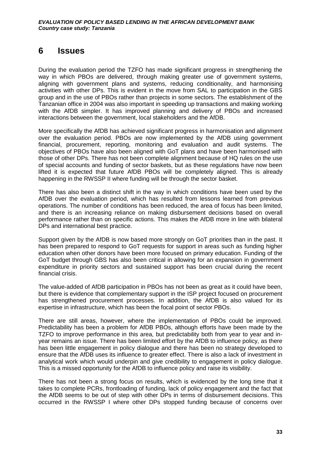# **6 Issues**

During the evaluation period the TZFO has made significant progress in strengthening the way in which PBOs are delivered, through making greater use of government systems, aligning with government plans and systems, reducing conditionality, and harmonising activities with other DPs. This is evident in the move from SAL to participation in the GBS group and in the use of PBOs rather than projects in some sectors. The establishment of the Tanzanian office in 2004 was also important in speeding up transactions and making working with the AfDB simpler. It has improved planning and delivery of PBOs and increased interactions between the government, local stakeholders and the AfDB.

More specifically the AfDB has achieved significant progress in harmonisation and alignment over the evaluation period. PBOs are now implemented by the AfDB using government financial, procurement, reporting, monitoring and evaluation and audit systems. The objectives of PBOs have also been aligned with GoT plans and have been harmonised with those of other DPs. There has not been complete alignment because of HQ rules on the use of special accounts and funding of sector baskets, but as these regulations have now been lifted it is expected that future AfDB PBOs will be completely aligned. This is already happening in the RWSSP II where funding will be through the sector basket.

There has also been a distinct shift in the way in which conditions have been used by the AfDB over the evaluation period, which has resulted from lessons learned from previous operations. The number of conditions has been reduced, the area of focus has been limited, and there is an increasing reliance on making disbursement decisions based on overall performance rather than on specific actions. This makes the AfDB more in line with bilateral DPs and international best practice.

Support given by the AfDB is now based more strongly on GoT priorities than in the past. It has been prepared to respond to GoT requests for support in areas such as funding higher education when other donors have been more focused on primary education. Funding of the GoT budget through GBS has also been critical in allowing for an expansion in government expenditure in priority sectors and sustained support has been crucial during the recent financial crisis.

The value-added of AfDB participation in PBOs has not been as great as it could have been, but there is evidence that complementary support in the ISP project focused on procurement has strengthened procurement processes. In addition, the AfDB is also valued for its expertise in infrastructure, which has been the focal point of sector PBOs.

There are still areas, however, where the implementation of PBOs could be improved. Predictability has been a problem for AfDB PBOs, although efforts have been made by the TZFO to improve performance in this area, but predictability both from year to year and inyear remains an issue. There has been limited effort by the AfDB to influence policy, as there has been little engagement in policy dialogue and there has been no strategy developed to ensure that the AfDB uses its influence to greater effect. There is also a lack of investment in analytical work which would underpin and give credibility to engagement in policy dialogue. This is a missed opportunity for the AfDB to influence policy and raise its visibility.

There has not been a strong focus on results, which is evidenced by the long time that it takes to complete PCRs, frontloading of funding, lack of policy engagement and the fact that the AfDB seems to be out of step with other DPs in terms of disbursement decisions. This occurred in the RWSSP I where other DPs stopped funding because of concerns over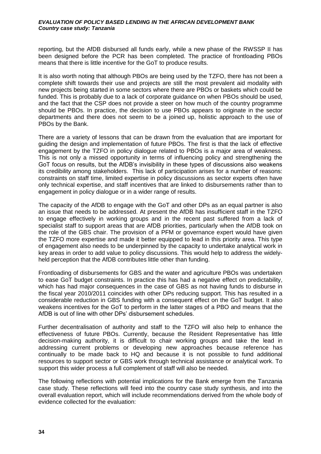reporting, but the AfDB disbursed all funds early, while a new phase of the RWSSP II has been designed before the PCR has been completed. The practice of frontloading PBOs means that there is little incentive for the GoT to produce results.

It is also worth noting that although PBOs are being used by the TZFO, there has not been a complete shift towards their use and projects are still the most prevalent aid modality with new projects being started in some sectors where there are PBOs or baskets which could be funded. This is probably due to a lack of corporate guidance on when PBOs should be used, and the fact that the CSP does not provide a steer on how much of the country programme should be PBOs. In practice, the decision to use PBOs appears to originate in the sector departments and there does not seem to be a joined up, holistic approach to the use of PBOs by the Bank.

There are a variety of lessons that can be drawn from the evaluation that are important for guiding the design and implementation of future PBOs. The first is that the lack of effective engagement by the TZFO in policy dialogue related to PBOs is a major area of weakness. This is not only a missed opportunity in terms of influencing policy and strengthening the GoT focus on results, but the AfDB's invisibility in these types of discussions also weakens its credibility among stakeholders. This lack of participation arises for a number of reasons: constraints on staff time, limited expertise in policy discussions as sector experts often have only technical expertise, and staff incentives that are linked to disbursements rather than to engagement in policy dialogue or in a wider range of results.

The capacity of the AfDB to engage with the GoT and other DPs as an equal partner is also an issue that needs to be addressed. At present the AfDB has insufficient staff in the TZFO to engage effectively in working groups and in the recent past suffered from a lack of specialist staff to support areas that are AfDB priorities, particularly when the AfDB took on the role of the GBS chair. The provision of a PFM or governance expert would have given the TZFO more expertise and made it better equipped to lead in this priority area. This type of engagement also needs to be underpinned by the capacity to undertake analytical work in key areas in order to add value to policy discussions. This would help to address the widelyheld perception that the AfDB contributes little other than funding.

Frontloading of disbursements for GBS and the water and agriculture PBOs was undertaken to ease GoT budget constraints. In practice this has had a negative effect on predictability, which has had major consequences in the case of GBS as not having funds to disburse in the fiscal year 2010/2011 coincides with other DPs reducing support. This has resulted in a considerable reduction in GBS funding with a consequent effect on the GoT budget. It also weakens incentives for the GoT to perform in the latter stages of a PBO and means that the AfDB is out of line with other DPs' disbursement schedules.

Further decentralisation of authority and staff to the TZFO will also help to enhance the effectiveness of future PBOs. Currently, because the Resident Representative has little decision-making authority, it is difficult to chair working groups and take the lead in addressing current problems or developing new approaches because reference has continually to be made back to HQ and because it is not possible to fund additional resources to support sector or GBS work through technical assistance or analytical work. To support this wider process a full complement of staff will also be needed.

The following reflections with potential implications for the Bank emerge from the Tanzania case study. These reflections will feed into the country case study synthesis, and into the overall evaluation report, which will include recommendations derived from the whole body of evidence collected for the evaluation: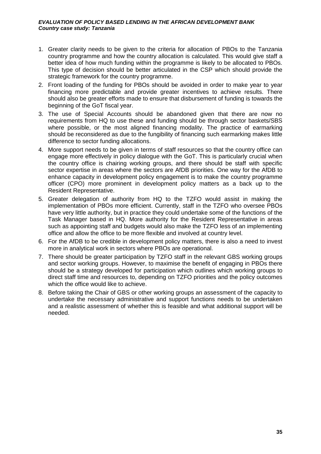- 1. Greater clarity needs to be given to the criteria for allocation of PBOs to the Tanzania country programme and how the country allocation is calculated. This would give staff a better idea of how much funding within the programme is likely to be allocated to PBOs. This type of decision should be better articulated in the CSP which should provide the strategic framework for the country programme.
- 2. Front loading of the funding for PBOs should be avoided in order to make year to year financing more predictable and provide greater incentives to achieve results. There should also be greater efforts made to ensure that disbursement of funding is towards the beginning of the GoT fiscal year.
- 3. The use of Special Accounts should be abandoned given that there are now no requirements from HQ to use these and funding should be through sector baskets/SBS where possible, or the most aligned financing modality. The practice of earmarking should be reconsidered as due to the fungibility of financing such earmarking makes little difference to sector funding allocations.
- 4. More support needs to be given in terms of staff resources so that the country office can engage more effectively in policy dialogue with the GoT. This is particularly crucial when the country office is chairing working groups, and there should be staff with specific sector expertise in areas where the sectors are AfDB priorities. One way for the AfDB to enhance capacity in development policy engagement is to make the country programme officer (CPO) more prominent in development policy matters as a back up to the Resident Representative.
- 5. Greater delegation of authority from HQ to the TZFO would assist in making the implementation of PBOs more efficient. Currently, staff in the TZFO who oversee PBOs have very little authority, but in practice they could undertake some of the functions of the Task Manager based in HQ. More authority for the Resident Representative in areas such as appointing staff and budgets would also make the TZFO less of an implementing office and allow the office to be more flexible and involved at country level.
- 6. For the AfDB to be credible in development policy matters, there is also a need to invest more in analytical work in sectors where PBOs are operational.
- 7. There should be greater participation by TZFO staff in the relevant GBS working groups and sector working groups. However, to maximise the benefit of engaging in PBOs there should be a strategy developed for participation which outlines which working groups to direct staff time and resources to, depending on TZFO priorities and the policy outcomes which the office would like to achieve.
- 8. Before taking the Chair of GBS or other working groups an assessment of the capacity to undertake the necessary administrative and support functions needs to be undertaken and a realistic assessment of whether this is feasible and what additional support will be needed.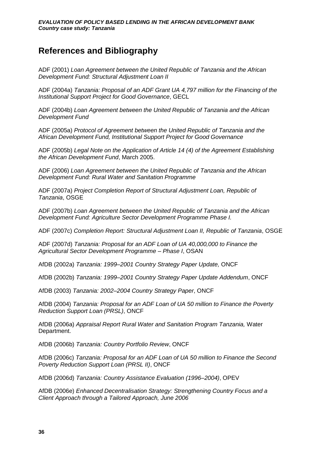# **References and Bibliography**

ADF (2001) *Loan Agreement between the United Republic of Tanzania and the African Development Fund: Structural Adjustment Loan II*

ADF (2004a) *Tanzania: Proposal of an ADF Grant UA 4,797 million for the Financing of the Institutional Support Project for Good Governance*, GECL

ADF (2004b) *Loan Agreement between the United Republic of Tanzania and the African Development Fund*

ADF (2005a) *Protocol of Agreement between the United Republic of Tanzania and the African Development Fund, Institutional Support Project for Good Governance*

ADF (2005b) *Legal Note on the Application of Article 14 (4) of the Agreement Establishing the African Development Fund*, March 2005.

ADF (2006) *Loan Agreement between the United Republic of Tanzania and the African Development Fund: Rural Water and Sanitation Programme*

ADF (2007a) *Project Completion Report of Structural Adjustment Loan, Republic of Tanzania*, OSGE

ADF (2007b) *Loan Agreement between the United Republic of Tanzania and the African Development Fund: Agriculture Sector Development Programme Phase I.* 

ADF (2007c) *Completion Report: Structural Adjustment Loan II, Republic of Tanzania*, OSGE

ADF (2007d) *Tanzania: Proposal for an ADF Loan of UA 40,000,000 to Finance the Agricultural Sector Development Programme – Phase I*, OSAN

AfDB (2002a) *Tanzania: 1999–2001 Country Strategy Paper Update,* ONCF

AfDB (2002b) *Tanzania: 1999–2001 Country Strategy Paper Update Addendum*, ONCF

AfDB (2003) *Tanzania: 2002–2004 Country Strategy Paper*, ONCF

AfDB (2004) *Tanzania: Proposal for an ADF Loan of UA 50 million to Finance the Poverty Reduction Support Loan (PRSL)*, ONCF

AfDB (2006a) *Appraisal Report Rural Water and Sanitation Program Tanzania,* Water Department.

AfDB (2006b) *Tanzania: Country Portfolio Review*, ONCF

AfDB (2006c) *Tanzania: Proposal for an ADF Loan of UA 50 million to Finance the Second Poverty Reduction Support Loan (PRSL II)*, ONCF

AfDB (2006d) *Tanzania: Country Assistance Evaluation (1996–2004)*, OPEV

AfDB (2006e) *Enhanced Decentralisation Strategy: Strengthening Country Focus and a Client Approach through a Tailored Approach, June 2006*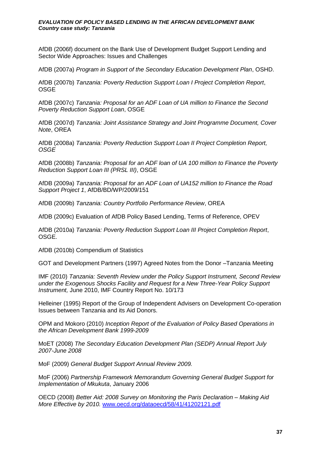AfDB (2006f) document on the Bank Use of Development Budget Support Lending and Sector Wide Approaches: Issues and Challenges

AfDB (2007a) *Program in Support of the Secondary Education Development Plan*, OSHD.

AfDB (2007b) *Tanzania: Poverty Reduction Support Loan I Project Completion Report*, OSGE

AfDB (2007c) *Tanzania: Proposal for an ADF Loan of UA million to Finance the Second Poverty Reduction Support Loan*, OSGE

AfDB (2007d) *Tanzania: Joint Assistance Strategy and Joint Programme Document, Cover Note*, OREA

AfDB (2008a) *Tanzania: Poverty Reduction Support Loan II Project Completion Report, OSGE*

AfDB (2008b) *Tanzania: Proposal for an ADF loan of UA 100 million to Finance the Poverty Reduction Support Loan III (PRSL III)*, OSGE

AfDB (2009a) *Tanzania: Proposal for an ADF Loan of UA152 million to Finance the Road Support Project 1*, AfDB/BD/WP/2009/151

AfDB (2009b) *Tanzania: Country Portfolio Performance Review*, OREA

AfDB (2009c) Evaluation of AfDB Policy Based Lending, Terms of Reference, OPEV

AfDB (2010a) *Tanzania: Poverty Reduction Support Loan III Project Completion Report*, OSGE.

AfDB (2010b) Compendium of Statistics

GOT and Development Partners (1997) Agreed Notes from the Donor –Tanzania Meeting

IMF (2010) *Tanzania: Seventh Review under the Policy Support Instrument, Second Review under the Exogenous Shocks Facility and Request for a New Three-Year Policy Support Instrument,* June 2010, IMF Country Report No. 10/173

Helleiner (1995) Report of the Group of Independent Advisers on Development Co-operation Issues between Tanzania and its Aid Donors.

OPM and Mokoro (2010) *Inception Report of the Evaluation of Policy Based Operations in the African Development Bank 1999-2009*

MoET (2008) *The Secondary Education Development Plan (SEDP) Annual Report July 2007-June 2008*

MoF (2009) *General Budget Support Annual Review 2009.*

MoF (2006) *Partnership Framework Memorandum Governing General Budget Support for Implementation of Mkukuta*, January 2006

OECD (2008) *Better Aid: 2008 Survey on Monitoring the Paris Declaration – Making Aid More Effective by 2010.* [www.oecd.org/dataoecd/58/41/41202121.pdf](http://www.oecd.org/dataoecd/58/41/41202121.pdf)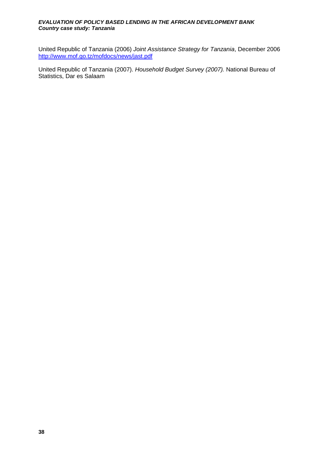United Republic of Tanzania (2006) *Joint Assistance Strategy for Tanzania*, December 2006 <http://www.mof.go.tz/mofdocs/news/jast.pdf>

United Republic of Tanzania (2007). *Household Budget Survey (2007).* National Bureau of Statistics, Dar es Salaam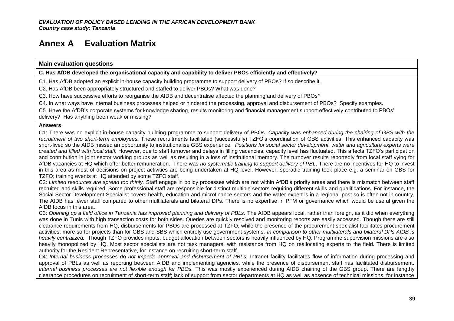# **Annex A Evaluation Matrix**

**Main evaluation questions**

**C. Has AfDB developed the organisational capacity and capability to deliver PBOs efficiently and effectively?** 

C1. Has AfDB adopted an explicit in-house capacity building programme to support delivery of PBOs? If so describe it.

C2. Has AfDB been appropriately structured and staffed to deliver PBOs? What was done?

C3. How have successive efforts to reorganise the AfDB and decentralise affected the planning and delivery of PBOs?

C4. In what ways have internal business processes helped or hindered the processing, approval and disbursement of PBOs? Specify examples.

C5. Have the AfDB's corporate systems for knowledge sharing, results monitoring and financial management support effectively contributed to PBOs'

delivery? Has anything been weak or missing?

#### **Answers**

C1: There was no explicit in-house capacity building programme to support delivery of PBOs. *Capacity was enhanced during the chairing of GBS with the recruitment of two short-term employees.* These recruitments facilitated (successfully) TZFO's coordination of GBS activities. This enhanced capacity was short-lived so the AfDB missed an opportunity to institutionalise GBS experience. *Positions for social sector development, water and agriculture experts were created and filled with local staff.* However, due to staff turnover and delays in filling vacancies, capacity level has fluctuated. This affects TZFO's participation and contribution in joint sector working groups as well as resulting in a loss of institutional memory. The turnover results reportedly from local staff vying for AfDB vacancies at HQ which offer better remuneration. There was *no systematic training to support delivery of PBL*. There are no incentives for HQ to invest in this area as most of decisions on project activities are being undertaken at HQ level. However, sporadic training took place e.g. a seminar on GBS for TZFO; training events at HQ attended by some TZFO staff.

C2: *Limited resources are spread too thinly.* Staff engage in policy processes which are not within AfDB's priority areas and there is mismatch between staff recruited and skills required. Some professional staff are responsible for distinct multiple sectors requiring different skills and qualifications. For instance, the Social Sector Development Specialist covers health, education and microfinance sectors and the water expert is in a regional post so is often not in country. The AfDB has fewer staff compared to other multilaterals and bilateral DPs. There is no expertise in PFM or governance which would be useful given the AfDB focus in this area.

C3: Opening up a field office in Tanzania has improved planning and delivery of PBLs. The AfDB appears local, rather than foreign, as it did when everything was done in Tunis with high transaction costs for both sides. Queries are quickly resolved and monitoring reports are easily accessed. Though there are still clearance requirements from HQ, disbursements for PBOs are processed at TZFO, while the presence of the procurement specialist facilitates procurement activities, more so for projects than for GBS and SBS which entirely use government systems. *In comparison to other multilaterals and bilateral DPs AfDB is heavily centralized.* Though TZFO provides inputs, budget allocation between sectors is heavily influenced by HQ. Programme supervision missions are also heavily monopolized by HQ. Most sector specialists are not task managers, with resistance from HQ on reallocating experts to the field. There is limited authority for the Resident Representative, for instance on recruiting short-term staff.

C4: *Internal business processes do not impede approval and disbursement of PBLs.* Intranet facility facilitates flow of information during processing and approval of PBLs as well as reporting between AfDB and implementing agencies, while the presence of disbursement staff has facilitated disbursement. *Internal business processes are not flexible enough for PBOs.* This was mostly experienced during AfDB chairing of the GBS group. There are lengthy clearance procedures on recruitment of short-term staff; lack of support from sector departments at HQ as well as absence of technical missions, for instance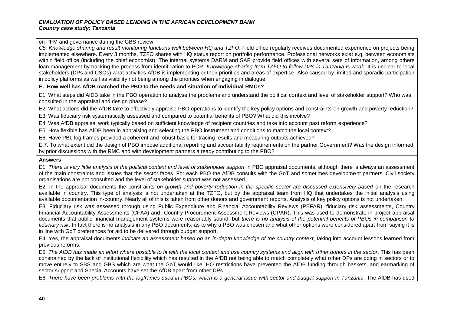on PFM and governance during the GBS review.

*C5: Knowledge sharing and result monitoring functions well between HQ and TZFO*. Field office regularly receives documented experience on projects being implemented elsewhere. Every 3 months, TZFO shares with HQ status report on portfolio performance. Professional networks exist e.g. between economists within field office (including the chief economist). The internal systems DARM and SAP provide field offices with several sets of information, among others loan management by tracking the process from identification to PCR. *Knowledge sharing from TZFO to fellow DPs in Tanzania is weak.* It is unclear to local stakeholders (DPs and CSOs) what activities AfDB is implementing or their priorities and areas of expertise. Also caused by limited and sporadic participation in policy platforms as well as visibility not being among the priorities when engaging in dialogue.

**E. How well has AfDB matched the PBO to the needs and situation of individual RMCs?** 

E1. What steps did AfDB take in the PBO operation to analyse the problems and understand the political context and level of stakeholder support? Who was consulted in the appraisal and design phase?

E2. What actions did the AfDB take to effectively appraise PBO operations to identify the key policy options and constraints on growth and poverty reduction?

E3. Was fiduciary risk systematically assessed and compared to potential benefits of PBO? What did this involve?

E4. Was AfDB appraisal work typically based on sufficient knowledge of recipient countries and take into account past reform experience?

E5. How flexible has AfDB been in appraising and selecting the PBO instrument and conditions to match the local context?

E6. Have PBL log frames provided a coherent and robust basis for tracing results and measuring outputs achieved?

E.7. To what extent did the design of PBO impose additional reporting and accountability requirements on the partner Government? Was the design informed by prior discussions with the RMC and with development partners already contributing to the PBO?

#### **Answers**

E1. *There is very little analysis of the political context and level of stakeholder support* in PBO appraisal documents, although there is always an assessment of the main constraints and issues that the sector faces. For each PBO the AfDB consults with the GoT and sometimes development partners. Civil society organisations are not consulted and the level of stakeholder support was not assessed.

E2. In the appraisal documents the constraints *on growth and poverty reduction in the specific sector are discussed extensively based* on the research available in country. This type of analysis is not undertaken at the TZFO, but by the appraisal team from HQ that undertakes the initial analysis using available documentation in-country. Nearly all of this is taken from other donors and government reports. Analysis of key policy options is not undertaken.

E3. Fiduciary risk was assessed through using Public Expenditure and Financial Accountability Reviews (PEFAR), fiduciary risk assessments, Country Financial Accountability Assessments (CFAA) and Country Procurement Assessment Reviews (CPAR). This was used to demonstrate in project appraisal documents that public financial management systems were reasonably sound, but *there is no analysis of the potential benefits of PBOs in comparison to fiduciary risk*. In fact there is no analysis in any PBO documents, as to why a PBO was chosen and what other options were considered apart from saying it is in line with GoT preferences for aid to be delivered through budget support.

E4. Yes, the appraisal documents *indicate an assessment based on an in-depth knowledge of the country context*, taking into account lessons learned from previous reforms.

E5. *The AfDB has made an effort where possible to fit with the local context and use country systems and align with other donors in the sector*. This has been constrained by the lack of institutional flexibility which has resulted in the AfDB not being able to match completely what other DPs are doing in sectors or to move entirely to SBS and GBS which are what the GoT would like. HQ restrictions have prevented the AfDB funding through baskets, and earmarking of sector support and Special Accounts have set the AfDB apart from other DPs.

E6. *There have been problems with the logframes used in PBOs, which is a general issue with sector and budget support in Tanzania.* The AfDB has used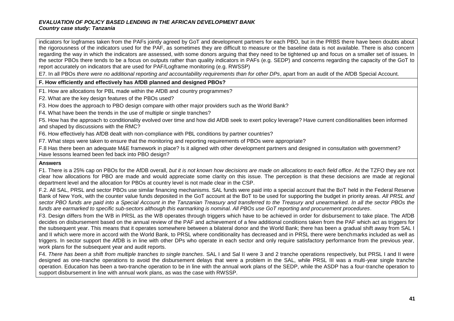indicators for logframes taken from the PAFs jointly agreed by GoT and development partners for each PBO, but in the PRBS there have been doubts about the rigorousness of the indicators used for the PAF, as sometimes they are difficult to measure or the baseline data is not available. There is also concern regarding the way in which the indicators are assessed, with some donors arguing that they need to be tightened up and focus on a smaller set of issues. In the sector PBOs there tends to be a focus on outputs rather than quality indicators in PAFs (e.g. SEDP) and concerns regarding the capacity of the GoT to report accurately on indicators that are used for PAF/Logframe monitoring (e.g. RWSSP)

E7. In all PBOs *there were no additional reporting and accountability requirements than for other DPs*, apart from an audit of the AfDB Special Account.

#### **F. How efficiently and effectively has AfDB planned and designed PBOs?**

F1. How are allocations for PBL made within the AfDB and country programmes?

F2. What are the key design features of the PBOs used?

F3. How does the approach to PBO design compare with other major providers such as the World Bank?

F4. What have been the trends in the use of multiple or single tranches?

F5. How has the approach to conditionality evolved over time and how did AfDB seek to exert policy leverage? Have current conditionalities been informed and shaped by discussions with the RMC?

F6. How effectively has AfDB dealt with non-compliance with PBL conditions by partner countries?

F7. What steps were taken to ensure that the monitoring and reporting requirements of PBOs were appropriate?

F.8 Has there been an adequate M&E framework in place? Is it aligned with other development partners and designed in consultation with government? Have lessons learned been fed back into PBO design?

#### **Answers**

F1. There is a 25% cap on PBOs for the AfDB overall, *but it is not known how decisions are made on allocations to each field office*. At the TZFO they are not clear how allocations for PBO are made and would appreciate some clarity on this issue. The perception is that these decisions are made at regional department level and the allocation for PBOs at country level is not made clear in the CSP.

F.2. All SAL, PRSL and sector PBOs use similar financing mechanisms. SAL funds were paid into a special account that the BoT held in the Federal Reserve Bank of New York, with the counter value funds deposited in the GoT account at the BoT to be used for supporting the budget in priority areas. *All PRSL and sector PBO funds are paid into a Special Account in the Tanzanian Treasury and transferred to the Treasury and unearmarked. In all the sector PBOs the funds are earmarked to specific sub-sectors although this earmarking is nominal. All PBOs use GoT reporting and procurement procedures*.

F3. Design differs from the WB in PRSL as the WB operates through triggers which have to be achieved in order for disbursement to take place. The AfDB decides on disbursement based on the annual review of the PAF and achievement of a few additional conditions taken from the PAF which act as triggers for the subsequent year. This means that it operates somewhere between a bilateral donor and the World Bank; there has been a gradual shift away from SAL I and II which were more in accord with the World Bank, to PRSL where conditionality has decreased and in PRSL there were benchmarks included as well as triggers. In sector support the AfDB is in line with other DPs who operate in each sector and only require satisfactory performance from the previous year, work plans for the subsequent year and audit reports.

F4. *There has been a shift from multiple tranches to single tranches*. SAL I and Sal II were 3 and 2 tranche operations respectively, but PRSL I and II were designed as one-tranche operations to avoid the disbursement delays that were a problem in the SAL, while PRSL III was a multi-year single tranche operation. Education has been a two-tranche operation to be in line with the annual work plans of the SEDP, while the ASDP has a four-tranche operation to support disbursement in line with annual work plans, as was the case with RWSSP.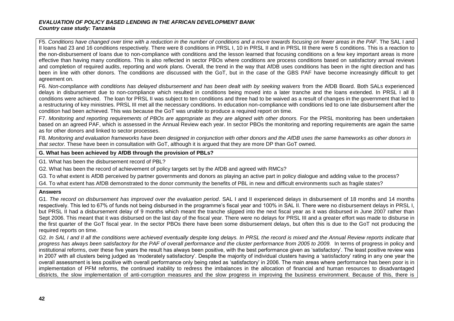F5. *Conditions have changed over time with a reduction in the number of conditions and a move towards focusing on fewer areas in the PAF*. The SAL I and II loans had 23 and 16 conditions respectively. There were 8 conditions in PRSL I, 10 in PRSL II and in PRSL III there were 5 conditions. This is a reaction to the non-disbursement of loans due to non-compliance with conditions and the lesson learned that focusing conditions on a few key important areas is more effective than having many conditions. This is also reflected in sector PBOs where conditions are process conditions based on satisfactory annual reviews and completion of required audits, reporting and work plans. Overall, the trend in the way that AfDB uses conditions has been in the right direction and has been in line with other donors. The conditions are discussed with the GoT, but in the case of the GBS PAF have become increasingly difficult to get agreement on.

F6. *Non-compliance with conditions has delayed disbursement and has been dealt with by seeking waivers* from the AfDB Board. Both SALs experienced delays in disbursement due to non-compliance which resulted in conditions being moved into a later tranche and the loans extended. In PRSL I all 8 conditions were achieved. The loan for PRSL II was subject to ten conditions and three had to be waived as a result of changes in the government that led to a restructuring of key ministries. PRSL III met all the necessary conditions. In education non-compliance with conditions led to one late disbursement after the condition had been achieved. This was because the GoT was unable to produce a required report on time.

F7. *Monitoring and reporting requirements of PBOs are appropriate as they are aligned with other donors.* For the PRSL monitoring has been undertaken based on an agreed PAF, which is assessed in the Annual Review each year. In sector PBOs the monitoring and reporting requirements are again the same as for other donors and linked to sector processes.

F8. *Monitoring and evaluation frameworks have been designed in conjunction with other donors and the AfDB uses the same frameworks as other donors in that sector.* These have been in consultation with GoT, although it is argued that they are more DP than GoT owned.

#### **G. What has been achieved by AfDB through the provision of PBLs?**

G1. What has been the disbursement record of PBL?

G2. What has been the record of achievement of policy targets set by the AfDB and agreed with RMCs?

G3. To what extent is AfDB perceived by partner governments and donors as playing an active part in policy dialogue and adding value to the process?

G4. To what extent has AfDB demonstrated to the donor community the benefits of PBL in new and difficult environments such as fragile states?

#### **Answers**

G1. *The record on disbursement has improved over the evaluation period*. SAL I and II experienced delays in disbursement of 18 months and 14 months respectively. This led to 67% of funds not being disbursed in the programme's fiscal year and 100% in SAL II. There were no disbursement delays in PRSL I, but PRSL II had a disbursement delay of 9 months which meant the tranche slipped into the next fiscal year as it was disbursed in June 2007 rather than Sept 2006. This meant that it was disbursed on the last day of the fiscal year. There were no delays for PRSL III and a greater effort was made to disburse in the first quarter of the GoT fiscal year. In the sector PBOs there have been some disbursement delays, but often this is due to the GoT not producing the required reports on time.

G2. In SAL I and II all the conditions were achieved eventually despite long delays. In PRSL the record is mixed and the Annual Review reports indicate that *progress has always been satisfactory for the PAF of overall performance and the cluster performance from 2005 to 2009.* In terms of progress in policy and institutional reforms, over these five years the result has always been positive, with the best performance given as 'satisfactory'. The least positive review was in 2007 with all clusters being judged as 'moderately satisfactory'. Despite the majority of individual clusters having a 'satisfactory' rating in any one year the overall assessment is less positive with overall performance only being rated as 'satisfactory' in 2006. The main areas where performance has been poor is in implementation of PFM reforms, the continued inability to redress the imbalances in the allocation of financial and human resources to disadvantaged districts, the slow implementation of anti-corruption measures and the slow progress in improving the business environment. Because of this, there is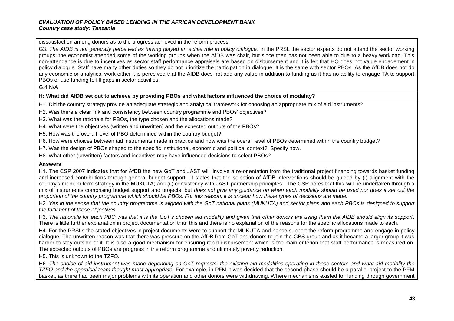dissatisfaction among donors as to the progress achieved in the reform process.

G3. The AfDB is not generally perceived as having played an active role in policy dialogue. In the PRSL the sector experts do not attend the sector working groups; the economist attended some of the working groups when the AfDB was chair, but since then has not been able to due to a heavy workload. This non-attendance is due to incentives as sector staff performance appraisals are based on disbursement and it is felt that HQ does not value engagement in policy dialogue. Staff have many other duties so they do not prioritize the participation in dialogue. It is the same with sector PBOs. As the AfDB does not do any economic or analytical work either it is perceived that the AfDB does not add any value in addition to funding as it has no ability to engage TA to support PBOs or use funding to fill gaps in sector activities.

#### G.4 N/A

#### **H: What did AfDB set out to achieve by providing PBOs and what factors influenced the choice of modality?**

H1. Did the country strategy provide an adequate strategic and analytical framework for choosing an appropriate mix of aid instruments?

- H2. Was there a clear link and consistency between country programme and PBOs' objectives?
- H3. What was the rationale for PBOs, the type chosen and the allocations made?
- H4. What were the objectives (written and unwritten) and the expected outputs of the PBOs?
- H5. How was the overall level of PBO determined within the country budget?
- H6. How were choices between aid instruments made in practice and how was the overall level of PBOs determined within the country budget?
- H7. Was the design of PBOs shaped to the specific institutional, economic and political context? Specify how.
- H8. What other (unwritten) factors and incentives may have influenced decisions to select PBOs?

#### **Answers**

H1. The CSP 2007 indicates that for AfDB the new GoT and JAST will 'involve a re-orientation from the traditional project financing towards basket funding and increased contributions through general budget support'. It states that the selection of AfDB interventions should be guided by (i) alignment with the country's medium term strategy in the MUKUTA; and (ii) consistency with JAST partnership principles. The CSP notes that this will be undertaken through a mix of instruments comprising budget support and projects, but *does not give any guidance on when each modality should be used nor does it set out the proportion of the country programme which should be PBOs. For this reason, it is unclear how these types of decisions are made.*

H2. *Yes in the sense that the country programme is aligned with the GoT national plans (MUKUTA) and sector plans and each PBOs is designed to support the fulfilment of these objectives.*

H3. *The rationale for each PBO was that it is the GoT's chosen aid modality and given that other donors are using them the AfDB should align its support*. There is little further explanation in project documentation than this and there is no explanation of the reasons for the specific allocations made to each.

H4. For the PRSLs the stated objectives in project documents were to support the MUKUTA and hence support the reform programme and engage in policy dialogue. The unwritten reason was that there was pressure on the AfDB from GoT and donors to join the GBS group and as it became a larger group it was harder to stay outside of it. It is also a good mechanism for ensuring rapid disbursement which is the main criterion that staff performance is measured on. The expected outputs of PBOs are progress in the reform programme and ultimately poverty reduction.

H5. This is unknown to the TZFO.

H6. *The choice of aid instrument was made depending on GoT requests, the existing aid modalities operating in those sectors and what aid modality the TZFO and the appraisal team thought most appropriate*. For example, in PFM it was decided that the second phase should be a parallel project to the PFM basket, as there had been major problems with its operation and other donors were withdrawing. Where mechanisms existed for funding through government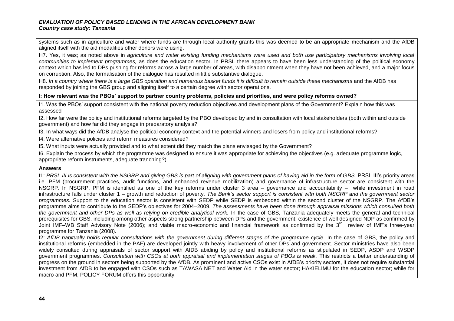systems such as in agriculture and water where funds are through local authority grants this was deemed to be an appropriate mechanism and the AfDB aligned itself with the aid modalities other donors were using.

H7. Yes, it was; as noted above in *agriculture and water existing funding mechanisms were used and both use participatory mechanisms involving local communities to implement programmes,* as does the education sector. In PRSL there appears to have been less understanding of the political economy context which has led to DPs pushing for reforms across a large number of areas, with disappointment when they have not been achieved, and a major focus on corruption. Also, the formalisation of the dialogue has resulted in little substantive dialogue.

H8. *In a country where there is a large GBS operation and numerous basket funds it is difficult to remain outside these mechanisms* and the AfDB has responded by joining the GBS group and aligning itself to a certain degree with sector operations.

**I: How relevant was the PBOs' support to partner country problems, policies and priorities, and were policy reforms owned?** 

I1. Was the PBOs' support consistent with the national poverty reduction objectives and development plans of the Government? Explain how this was assessed

I2. How far were the policy and institutional reforms targeted by the PBO developed by and in consultation with local stakeholders (both within and outside government) and how far did they engage in preparatory analysis?

I3. In what ways did the AfDB analyse the political economy context and the potential winners and losers from policy and institutional reforms?

I4. Were alternative policies and reform measures considered?

I5. What inputs were actually provided and to what extent did they match the plans envisaged by the Government?

I6. Explain the process by which the programme was designed to ensure it was appropriate for achieving the objectives (e.g. adequate programme logic, appropriate reform instruments, adequate tranching?)

#### **Answers**

I1: *PRSL III is consistent with the NSGRP and giving GBS is part of aligning with government plans of having aid in the form of GBS*. PRSL III's priority areas i.e. PFM (procurement practices, audit functions, and enhanced revenue mobilization) and governance of infrastructure sector are consistent with the NSGRP. In NSGRP, PFM is identified as one of the key reforms under cluster 3 area – governance and accountability – while investment in road infrastructure falls under cluster 1 – growth and reduction of poverty. *The Bank's sector support is consistent with both NSGRP and the government sector programmes.* Support to the education sector is consistent with SEDP while SEDP is embedded within the second cluster of the NSGRP. The AfDB's programme aims to contribute to the SEDP's objectives for 2004–2009. *The assessments have been done through appraisal missions which consulted both*  the government and other DPs as well as relying on credible analytical work. In the case of GBS, Tanzania adequately meets the general and technical prerequisites for GBS, including among other aspects strong partnership between DPs and the government; existence of well designed NDP as confirmed by Joint IMF-WB Staff Advisory Note (2006); and viable macro-economic and financial framework as confirmed by the 3<sup>rd</sup> review of IMF's three-year programme for Tanzania (2008).

I2: *AfDB habitually holds regular consultations with the government during different stages of the programme cycle.* In the case of GBS, the policy and institutional reforms (embedded in the PAF) are developed jointly with heavy involvement of other DPs and government. Sector ministries have also been widely consulted during appraisals of sector support with AfDB abiding by policy and institutional reforms as stipulated in SEDP, ASDP and WSDP government programmes. *Consultation with CSOs at both appraisal and implementation stages of PBOs is weak.* This restricts a better understanding of progress on the ground in sectors being supported by the AfDB. As prominent and active CSOs exist in AfDB's priority sectors, it does not require substantial investment from AfDB to be engaged with CSOs such as TAWASA NET and Water Aid in the water sector; HAKIELIMU for the education sector; while for macro and PFM, POLICY FORUM offers this opportunity.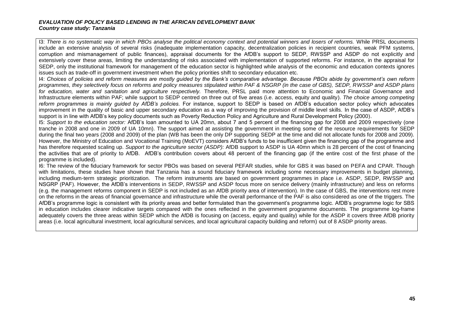I3: *There is no systematic way in which PBOs analyse the political economy context and potential winners and losers of reforms.* While PRSL documents include an extensive analysis of several risks (inadequate implementation capacity, decentralization policies in recipient countries, weak PFM systems, corruption and mismanagement of public finances), appraisal documents for the AfDB's support to SEDP, RWSSP and ASDP do not explicitly and extensively cover these areas, limiting the understanding of risks associated with implementation of supported reforms. For instance, in the appraisal for SEDP, only the institutional framework for management of the education sector is highlighted while analysis of the economic and education contexts ignores issues such as trade-off in government investment when the policy priorities shift to secondary education etc.

I4: *Choices of policies and reform measures are mostly guided by the Bank's comparative advantage. Because PBOs abide by government's own reform programmes, they selectively focus on reforms and policy measures stipulated within PAF & NSGRP (in the case of GBS), SEDP, RWSSP and ASDP plans*  for education, water and sanitation and agriculture respectively. Therefore, PRSL paid more attention to Economic and Financial Governance and Infrastructure elements within PAF; while support to SEDP centred on three out of five areas (i.e. access, equity and quality). *The choice among competing reform programmes is mainly guided by AfDB's policies.* For instance, support to SEDP is based on AfDB's education sector policy which advocates improvement in the quality of basic and upper secondary education as a way of improving the provision of middle level skills. In the case of ASDP, AfDB's support is in line with AfDB's key policy documents such as Poverty Reduction Policy and Agriculture and Rural Development Policy (2000).

I5: *Support to the education sector:* AfDB's loan amounted to UA 20mn, about 7 and 5 percent of the financing gap for 2008 and 2009 respectively (one tranche in 2008 and one in 2009 of UA 10mn). The support aimed at assisting the government in meeting some of the resource requirements for SEDP during the final two years (2008 and 2009) of the plan (WB has been the only DP supporting SEDP at the time and did not allocate funds for 2008 and 2009). However, the Ministry of Education and Vocational Training (MoEVT) considers AfDB's funds to be insufficient given the financing gap of the programme and has therefore requested scaling up. *Support to the agriculture sector (ASDP):* AfDB support to ASDP is UA 40mn which is 28 percent of the cost of financing the activities that are of priority to AfDB. AfDB's contribution covers about 48 percent of the financing gap (if the entire cost of the first phase of the programme is included).

I6: The review of the fiduciary framework for sector PBOs was based on several PEFAR studies, while for GBS it was based on PEFA and CPAR. Though with limitations, these studies have shown that Tanzania has a sound fiduciary framework including some necessary improvements in budget planning, including medium-term strategic prioritization. The reform instruments are based on government programmes in place i.e. ASDP, SEDP, RWSSP and NSGRP (PAF). However, the AfDB's interventions in SEDP, RWSSP and ASDP focus more on service delivery (mainly infrastructure) and less on reforms (e.g. the management reforms component in SEDP is not included as an AfDB priority area of intervention). In the case of GBS, the interventions rest more on the reforms in the areas of financial governance and infrastructure while the overall performance of the PAF is also considered as one of the triggers. The AfDB's programme logic is consistent with its priority areas and better formulated than the government's programme logic. AfDB's programme logic for SBS in education includes clearer indicative targets compared with the ones reflected in the government programme documents. The programme log-frame adequately covers the three areas within SEDP which the AfDB is focusing on (access, equity and quality) while for the ASDP it covers three AfDB priority areas (i.e. local agricultural investment, local agricultural services, and local agricultural capacity building and reform) out of 8 ASDP priority areas.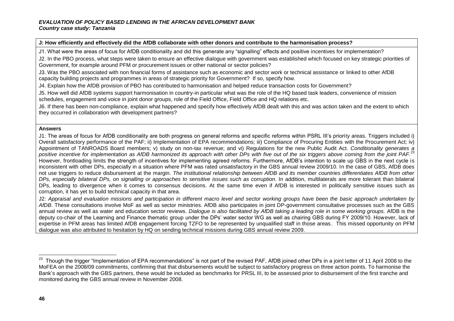#### **J: How efficiently and effectively did the AfDB collaborate with other donors and contribute to the harmonisation process?**

J1. What were the areas of focus for AfDB conditionality and did this generate any "signalling" effects and positive incentives for implementation?

J2. In the PBO process, what steps were taken to ensure an effective dialogue with government was established which focused on key strategic priorities of Government, for example around PFM or procurement issues or other national or sector policies?

J3. Was the PBO associated with non financial forms of assistance such as economic and sector work or technical assistance or linked to other AfDB capacity building projects and programmes in areas of strategic priority for Government? If so, specify how.

J4. Explain how the AfDB provision of PBO has contributed to harmonisation and helped reduce transaction costs for Government?

J5. How well did AfDB systems support harmonisation in country-in particular what was the role of the HQ based task leaders, convenience of mission schedules, engagement and voice in joint donor groups, role of the Field Office, Field Office and HQ relations etc.

J6. If there has been non-compliance, explain what happened and specify how effectively AfDB dealt with this and was action taken and the extent to which they occurred in collaboration with development partners?

#### **Answers**

J1: The areas of focus for AfDB conditionality are both progress on general reforms and specific reforms within PSRL III's priority areas. Triggers included i) Overall satisfactory performance of the PAF; ii) Implementation of EPA recommendations; iii) Compliance of Procuring Entities with the Procurement Act; iv) Appointment of TANROADS Board members; v) study on non-tax revenue; and vi) Regulations for the new Public Audit Act. *Conditionality generates a positive incentive for implementation as AfDB harmonized its approach with other DPs with five out of the six triggers above coming from the joint PAF.*<sup>23</sup> However, frontloading limits the strength of incentives for implementing agreed reforms. Furthermore, AfDB's intention to scale up GBS in the next cycle is inconsistent with other DPs, especially in a situation where PFM was rated unsatisfactory in the GBS annual review 2009/10. In the case of GBS, AfDB does not use triggers to reduce disbursement at the margin. *The institutional relationship between AfDB and its member countries differentiates AfDB from other DPs, especially bilateral DPs, on signalling or approaches to sensitive issues such as corruption*. In addition, multilaterals are more tolerant than bilateral DPs, leading to divergence when it comes to consensus decisions. At the same time even if AfDB is interested in politically sensitive issues such as corruption, it has yet to build technical capacity in that area.

J2: *Appraisal and evaluation missions and participation in different macro level and sector working groups have been the basic approach undertaken by AfDB*. These consultations involve MoF as well as sector ministries. AfDB also participates in joint DP-government consultative processes such as the GBS annual review as well as water and education sector reviews. *Dialogue is also facilitated by AfDB taking a leading role in some working groups.* AfDB is the deputy co-chair of the Learning and Finance thematic group under the DPs' water sector WG as well as chairing GBS during FY 2009/10. However, lack of expertise in PFM areas has limited AfDB engagement forcing TZFO to be represented by unqualified staff in those areas. This missed opportunity on PFM dialogue was also attributed to hesitation by HQ on sending technical missions during GBS annual review 2009.

j

<sup>23</sup> Though the trigger "Implementation of EPA recommendations" is not part of the revised PAF, AfDB joined other DPs in a joint letter of 11 April 2008 to the MoFEA on the 2008/09 commitments, confirming that that disbursements would be subject to satisfactory progress on three action points. To harmonise the Bank's approach with the GBS partners, these would be included as benchmarks for PRSL III, to be assessed prior to disbursement of the first tranche and monitored during the GBS annual review in November 2008.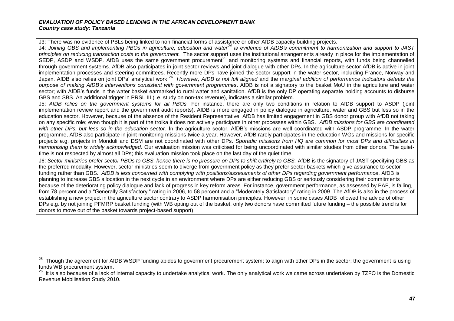$\overline{a}$ 

J3: There was no evidence of PBLs being linked to non-financial forms of assistance or other AfDB capacity building projects.

J4: *Joining GBS and implementing PBOs in agriculture, education and water<sup>24</sup> is evidence of AfDB's commitment to harmonization and support to JAST principles on reducing transaction costs to the government.* The sector support uses the institutional arrangements already in place for the implementation of SEDP, ASDP and WSDP. AfDB uses the same government procurement<sup>25</sup> and monitoring systems and financial reports, with funds being channelled through government systems. AfDB also participates in joint sector reviews and joint dialogue with other DPs. In the agriculture sector AfDB is active in joint implementation processes and steering committees. Recently more DPs have joined the sector support in the water sector, including France, Norway and Japan. AfDB also relies on joint DPs' analytical work.<sup>26</sup> However, AfDB is not full aligned and the marginal addition of performance indicators defeats the *purpose of making AfDB's interventions consistent with government programmes*. AfDB is not a signatory to the basket MoU in the agriculture and water sector; with AfDB's funds in the water basket earmarked to rural water and sanitation. AfDB is the only DP operating separate holding accounts to disburse GBS and SBS. An additional trigger in PRSL III (i.e. study on non-tax revenue), indicates a similar problem.

J5: *AfDB relies on the government systems for all PBOs.* For instance, there are only two conditions in relation to AfDB support to ASDP (joint implementation review report and the government audit reports). AfDB is more engaged in policy dialogue in agriculture, water and GBS but less so in the education sector. However, because of the absence of the Resident Representative, AfDB has limited engagement in GBS donor group with AfDB not taking on any specific role; even though it is part of the troika it does not actively participate in other processes within GBS. *AfDB missions for GBS are coordinated with other DPs, but less so in the education sector*. In the agriculture sector, AfDB's missions are well coordinated with ASDP programme. In the water programme, AfDB also participate in joint monitoring missions twice a year. However, AfDB rarely participates in the education WGs and missions for specific projects e.g. projects in Monduli and DSM are not coordinated with other DPs. *Sporadic missions from HQ are common for most DPs and difficulties in harmonising them is widely acknowledged.* Our evaluation mission was criticised for being uncoordinated with similar studies from other donors. The quiettime is not respected by almost all DPs; this evaluation mission took place on the last day of the quiet time.

J6: *Sector ministries prefer sector PBOs to GBS, hence there is no pressure on DPs to shift entirely to GBS.* AfDB is the signatory of JAST specifying GBS as the preferred modality. However, sector ministries seem to diverge from government policy as they prefer sector baskets which give assurance to sector funding rather than GBS. AfDB is less concerned with complying with positions/assessments of other DPs regarding government performance. AfDB is planning to increase GBS allocation in the next cycle in an environment where DPs are either reducing GBS or seriously considering their commitments because of the deteriorating policy dialogue and lack of progress in key reform areas. For instance, government performance, as assessed by PAF, is falling, from 78 percent and a "Generally Satisfactory " rating in 2006, to 58 percent and a "Moderately Satisfactory" rating in 2009. The AfDB is also in the process of establishing a new project in the agriculture sector contrary to ASDP harmonisation principles. However, in some cases AfDB followed the advice of other DPs e.g. by not joining PFMRP basket funding (with WB opting out of the basket, only two donors have committed future funding – the possible trend is for donors to move out of the basket towards project-based support)

<sup>&</sup>lt;sup>25</sup> Though the agreement for AfDB WSDP funding abides to government procurement system; to align with other DPs in the sector; the government is using funds WB procurement system.

It is also because of a lack of internal capacity to undertake analytical work. The only analytical work we came across undertaken by TZFO is the Domestic Revenue Mobilisation Study 2010.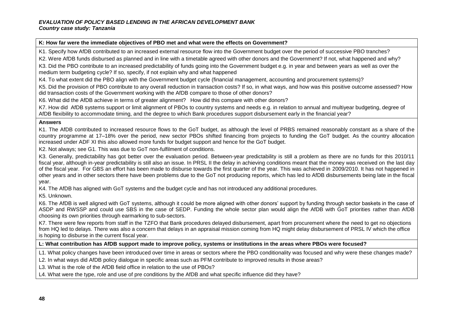#### **K: How far were the immediate objectives of PBO met and what were the effects on Government?**

K1. Specify how AfDB contributed to an increased external resource flow into the Government budget over the period of successive PBO tranches?

K2. Were AfDB funds disbursed as planned and in line with a timetable agreed with other donors and the Government? If not, what happened and why?

K3. Did the PBO contribute to an increased predictability of funds going into the Government budget e.g. in year and between years as well as over the medium term budgeting cycle? If so, specify, if not explain why and what happened

K4. To what extent did the PBO align with the Government budget cycle (financial management, accounting and procurement systems)?

K5. Did the provision of PBO contribute to any overall reduction in transaction costs? If so, in what ways, and how was this positive outcome assessed? How did transaction costs of the Government working with the AfDB compare to those of other donors?

K6. What did the AfDB achieve in terms of greater alignment? How did this compare with other donors?

K7. How did AfDB systems support or limit alignment of PBOs to country systems and needs e.g. in relation to annual and multiyear budgeting, degree of AfDB flexibility to accommodate timing, and the degree to which Bank procedures support disbursement early in the financial year?

#### **Answers**

K1. The AfDB contributed to increased resource flows to the GoT budget, as although the level of PRBS remained reasonably constant as a share of the country programme at 17–18% over the period, new sector PBOs shifted financing from projects to funding the GoT budget. As the country allocation increased under ADF XI this also allowed more funds for budget support and hence for the GoT budget.

K2. Not always; see G1. This was due to GoT non-fulfilment of conditions.

K3. Generally, predictability has got better over the evaluation period. Between-year predictability is still a problem as there are no funds for this 2010/11 fiscal year, although in-year predictability is still also an issue. In PRSL II the delay in achieving conditions meant that the money was received on the last day of the fiscal year. For GBS an effort has been made to disburse towards the first quarter of the year. This was achieved in 2009/2010. It has not happened in other years and in other sectors there have been problems due to the GoT not producing reports, which has led to AfDB disbursements being late in the fiscal year.

K4. The AfDB has aligned with GoT systems and the budget cycle and has not introduced any additional procedures.

K5. Unknown.

K6. The AfDB is well aligned with GoT systems, although it could be more aligned with other donors' support by funding through sector baskets in the case of ASDP and RWSSP and could use SBS in the case of SEDP. Funding the whole sector plan would align the AfDB with GoT priorities rather than AfDB choosing its own priorities through earmarking to sub-sectors.

K7. There were few reports from staff in the TZFO that Bank procedures delayed disbursement, apart from procurement where the need to get no objections from HQ led to delays. There was also a concern that delays in an appraisal mission coming from HQ might delay disbursement of PRSL IV which the office is hoping to disburse in the current fiscal year.

#### **L: What contribution has AfDB support made to improve policy, systems or institutions in the areas where PBOs were focused?**

L1. What policy changes have been introduced over time in areas or sectors where the PBO conditionality was focused and why were these changes made?

L2. In what ways did AfDB policy dialogue in specific areas such as PFM contribute to improved results in those areas?

L3. What is the role of the AfDB field office in relation to the use of PBOs?

L4. What were the type, role and use of pre conditions by the AfDB and what specific influence did they have?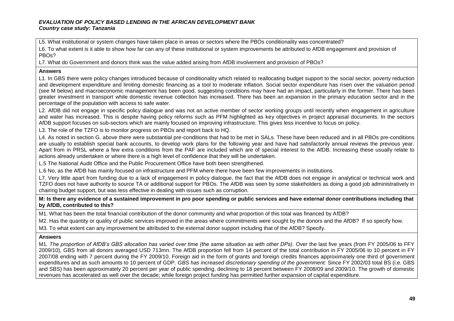L5. What institutional or system changes have taken place in areas or sectors where the PBOs conditionality was concentrated?

L6. To what extent is it able to show how far can any of these institutional or system improvements be attributed to AfDB engagement and provision of PBOs?

L7. What do Government and donors think was the value added arising from AfDB involvement and provision of PBOs?

#### **Answers**

L1. In GBS there were policy changes introduced because of conditionality which related to reallocating budget support to the social sector, poverty reduction and development expenditure and limiting domestic financing as a tool to moderate inflation. Social sector expenditure has risen over the valuation period (see M below) and macroeconomic management has been good, suggesting conditions may have had an impact, particularly in the former. There has been greater investment in transport while domestic revenue collection has increased. There has been an expansion in the primary education sector and in the percentage of the population with access to safe water.

L2. AfDB did not engage in specific policy dialogue and was not an active member of sector working groups until recently when engagement in agriculture and water has increased. This is despite having policy reforms such as PFM highlighted as key objectives in project appraisal documents. In the sectors AfDB support focuses on sub-sectors which are mainly focused on improving infrastructure. This gives less incentive to focus on policy.

L3. The role of the TZFO is to monitor progress on PBOs and report back to HQ.

L4. As noted in section G. above there were substantial pre-conditions that had to be met in SALs. These have been reduced and in all PBOs pre-conditions are usually to establish special bank accounts, to develop work plans for the following year and have had satisfactorily annual reviews the previous year. Apart from in PRSL where a few extra conditions from the PAF are included which are of special interest to the AfDB. Increasing these usually relate to actions already undertaken or where there is a high level of confidence that they will be undertaken.

L.5 The National Audit Office and the Public Procurement Office have both been strengthened.

L.6 No, as the AfDB has mainly focused on infrastructure and PFM where there have been few improvements in institutions.

L7. Very little apart from funding due to a lack of engagement in policy dialogue, the fact that the AfDB does not engage in analytical or technical work and TZFO does not have authority to source TA or additional support for PBOs. The AfDB was seen by some stakeholders as doing a good job administratively in chairing budget support, but was less effective in dealing with issues such as corruption.

**M: Is there any evidence of a sustained improvement in pro poor spending or public services and have external donor contributions including that by AfDB, contributed to this?** 

M1. What has been the total financial contribution of the donor community and what proportion of this total was financed by AfDB?

M2. Has the quantity or quality of public services improved in the areas where commitments were sought by the donors and the AfDB? If so specify how.

M3. To what extent can any improvement be attributed to the external donor support including that of the AfDB? Specify.

#### **Answers**

M1. The proportion of AfDB's GBS allocation has varied over time (the same situation as with other DPs). Over the last five years (from FY 2005/06 to FFY 2009/10), GBS from all donors averaged USD 713mn. The AfDB proportion fell from 14 percent of the total contribution in FY 2005/06 to 10 percent in FY 2007/08 ending with 7 percent during the FY 2009/10. Foreign aid in the form of grants and foreign credits finances approximately one third of government expenditures and as such amounts to 10 percent of GDP. *GBS has increased discretionary spending of the government:* Since FY 2002/03 total BS (i.e. GBS and SBS) has been approximately 20 percent per year of public spending, declining to 18 percent between FY 2008/09 and 2009/10. The growth of domestic revenues has accelerated as well over the decade; while foreign project funding has permitted further expansion of capital expenditure.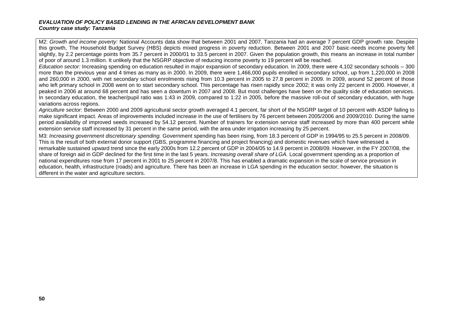M2: *Growth and income poverty:* National Accounts data show that between 2001 and 2007, Tanzania had an average 7 percent GDP growth rate. Despite this growth, The Household Budget Survey (HBS) depicts mixed progress in poverty reduction. Between 2001 and 2007 basic-needs income poverty fell slightly, by 2.2 percentage points from 35.7 percent in 2000/01 to 33.5 percent in 2007. Given the population growth, this means an increase in total number of poor of around 1.3 million. It unlikely that the NSGRP objective of reducing income poverty to 19 percent will be reached.

*Education sector:* Increasing spending on education resulted in major expansion of secondary education. In 2009, there were 4,102 secondary schools – 300 more than the previous year and 4 times as many as in 2000. In 2009, there were 1,466,000 pupils enrolled in secondary school, up from 1,220,000 in 2008 and 260,000 in 2000, with net secondary school enrolments rising from 10.3 percent in 2005 to 27.8 percent in 2009. In 2009, around 52 percent of those who left primary school in 2008 went on to start secondary school. This percentage has risen rapidly since 2002; it was only 22 percent in 2000. However, it peaked in 2006 at around 68 percent and has seen a downturn in 2007 and 2008. But most challenges have been on the quality side of education services. In secondary education, the teacher/pupil ratio was 1:43 in 2009, compared to 1:22 in 2005, before the massive roll-out of secondary education, with huge variations across regions.

*Agriculture sector:* Between 2000 and 2009 agricultural sector growth averaged 4.1 percent, far short of the NSGRP target of 10 percent with ASDP failing to make significant impact. Areas of improvements included increase in the use of fertilisers by 76 percent between 2005/2006 and 2009/2010. During the same period availability of improved seeds increased by 54.12 percent. Number of trainers for extension service staff increased by more than 400 percent while extension service staff increased by 31 percent in the same period, with the area under irrigation increasing by 25 percent.

M3: *Increasing government discretionary spending.* Government spending has been rising, from 18.3 percent of GDP in 1994/95 to 25.5 percent in 2008/09. This is the result of both external donor support (GBS, programme financing and project financing) and domestic revenues which have witnessed a remarkable sustained upward trend since the early 2000s from 12.2 percent of GDP in 2004/05 to 14.9 percent in 2008/09. However, in the FY 2007/08, the share of foreign aid in GDP declined for the first time in the last 5 years. *Increasing overall share of LGA.* Local government spending as a proportion of national expenditures rose from 17 percent in 2001 to 25 percent in 2007/8. This has enabled a dramatic expansion in the scale of service provision in education, health, infrastructure (roads) and agriculture. There has been an increase in LGA spending in the education sector; however, the situation is different in the water and agriculture sectors.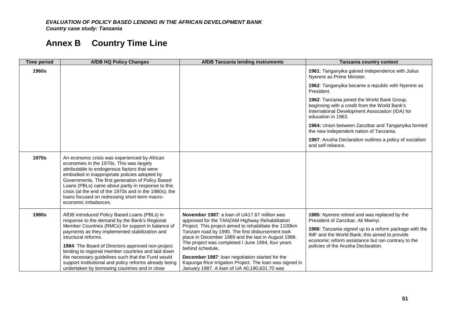# **Annex B Country Time Line**

| <b>Time period</b> | <b>AfDB HQ Policy Changes</b>                                                                                                                                                                                                                                                                                                                                                                                                            | <b>AfDB Tanzania lending instruments</b>                                                                                                                          | Tanzania country context                                                                                                                                              |
|--------------------|------------------------------------------------------------------------------------------------------------------------------------------------------------------------------------------------------------------------------------------------------------------------------------------------------------------------------------------------------------------------------------------------------------------------------------------|-------------------------------------------------------------------------------------------------------------------------------------------------------------------|-----------------------------------------------------------------------------------------------------------------------------------------------------------------------|
| 1960s              |                                                                                                                                                                                                                                                                                                                                                                                                                                          |                                                                                                                                                                   | 1961: Tanganyika gained independence with Julius<br>Nyerere as Prime Minister.                                                                                        |
|                    |                                                                                                                                                                                                                                                                                                                                                                                                                                          |                                                                                                                                                                   | 1962: Tanganyika became a republic with Nyerere as<br>President.                                                                                                      |
|                    |                                                                                                                                                                                                                                                                                                                                                                                                                                          |                                                                                                                                                                   | 1962: Tanzania joined the World Bank Group,<br>beginning with a credit from the World Bank's<br>International Development Association (IDA) for<br>education in 1963. |
|                    |                                                                                                                                                                                                                                                                                                                                                                                                                                          |                                                                                                                                                                   | 1964: Union between Zanzibar and Tanganyika formed<br>the new independent nation of Tanzania.                                                                         |
|                    |                                                                                                                                                                                                                                                                                                                                                                                                                                          |                                                                                                                                                                   | 1967: Arusha Declaration outlines a policy of socialism<br>and self reliance.                                                                                         |
| 1970s              | An economic crisis was experienced by African<br>economies in the 1970s. This was largely<br>attributable to endogenous factors that were<br>embodied in inappropriate policies adopted by<br>Governments. The first generation of Policy Based<br>Loans (PBLs) came about partly in response to this<br>crisis (at the end of the 1970s and in the 1980s); the<br>loans focused on redressing short-term macro-<br>economic imbalances. |                                                                                                                                                                   |                                                                                                                                                                       |
| 1980s              | AfDB introduced Policy Based Loans (PBLs) in<br>response to the demand by the Bank's Regional                                                                                                                                                                                                                                                                                                                                            | November 1987: a loan of UA17.67 million was<br>approved for the TANZAM Highway Rehabilitation                                                                    | 1985: Nyerere retired and was replaced by the<br>President of Zanzibar, Ali Mwinyi.                                                                                   |
|                    | Member Countries (RMCs) for support in balance of<br>payments as they implemented stabilization and<br>structural reforms.                                                                                                                                                                                                                                                                                                               | Project. This project aimed to rehabilitate the 1100km<br>Tanzam road by 1990. The first disbursement took<br>place in December 1989 and the last in August 1998. | 1986: Tanzania signed up to a reform package with the<br>IMF and the World Bank; this aimed to provide<br>economic reform assistance but ran contrary to the          |
|                    | 1984: The Board of Directors approved non-project<br>lending to regional member countries and laid down<br>the necessary guidelines such that the Fund would                                                                                                                                                                                                                                                                             | The project was completed I June 1994, four years<br>behind schedule.<br>December 1987: Ioan negotiation started for the                                          | policies of the Arusha Declaration.                                                                                                                                   |
|                    | support institutional and policy reforms already being<br>undertaken by borrowing countries and in close                                                                                                                                                                                                                                                                                                                                 | Kapunga Rice Irrigation Project. The loan was signed in<br>January 1987. A loan of UA 40,190,631.70 was                                                           |                                                                                                                                                                       |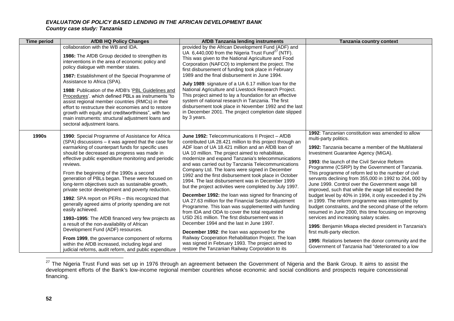| <b>Time period</b> | <b>AfDB HQ Policy Changes</b>                                                                                                                                                                                                                                                                                                                                                                                                                                                                                                                                                                                                                                                                                                                                                                                   | <b>AfDB Tanzania lending instruments</b>                                                                                                                                                                                                                                                                                                                                                                                                                                                                                                                                                                                                                                                                                                                                                                                                                                                                                                                                                                                                            | Tanzania country context                                                                                                                                                                                                                                                                                                                                                                                                                                                                                                                                                                                                                                                                                                                                                                                                                                                                                                         |
|--------------------|-----------------------------------------------------------------------------------------------------------------------------------------------------------------------------------------------------------------------------------------------------------------------------------------------------------------------------------------------------------------------------------------------------------------------------------------------------------------------------------------------------------------------------------------------------------------------------------------------------------------------------------------------------------------------------------------------------------------------------------------------------------------------------------------------------------------|-----------------------------------------------------------------------------------------------------------------------------------------------------------------------------------------------------------------------------------------------------------------------------------------------------------------------------------------------------------------------------------------------------------------------------------------------------------------------------------------------------------------------------------------------------------------------------------------------------------------------------------------------------------------------------------------------------------------------------------------------------------------------------------------------------------------------------------------------------------------------------------------------------------------------------------------------------------------------------------------------------------------------------------------------------|----------------------------------------------------------------------------------------------------------------------------------------------------------------------------------------------------------------------------------------------------------------------------------------------------------------------------------------------------------------------------------------------------------------------------------------------------------------------------------------------------------------------------------------------------------------------------------------------------------------------------------------------------------------------------------------------------------------------------------------------------------------------------------------------------------------------------------------------------------------------------------------------------------------------------------|
|                    | collaboration with the WB and IDA.<br>1986: The AfDB Group decided to strengthen its<br>interventions in the area of economic policy and<br>policy dialogue with member states.<br>1987: Establishment of the Special Programme of<br>Assistance to Africa (SPA).<br>1988: Publication of the AfDB's 'PBL Guidelines and<br>Procedures'. which defined PBLs as instruments "to<br>assist regional member countries (RMCs) in their<br>effort to restructure their economies and to restore<br>growth with equity and creditworthiness", with two<br>main instruments: structural adjustment loans and<br>sectoral adjustment loans.                                                                                                                                                                             | provided by the African Development Fund (ADF) and<br>UA 6,440,000 from the Nigeria Trust Fund <sup>27</sup> (NTF).<br>This was given to the National Agriculture and Food<br>Corporation (NAFCO) to implement the project. The<br>first disbursement of funding took place in February<br>1989 and the final disbursement in June 1994.<br>July 1989: signature of a UA 6.17 million loan for the<br>National Agriculture and Livestock Research Project.<br>This project aimed to lay a foundation for an effective<br>system of national research in Tanzania. The first<br>disbursement took place in November 1992 and the last<br>in December 2001. The project completion date slipped<br>by 3 years.                                                                                                                                                                                                                                                                                                                                        |                                                                                                                                                                                                                                                                                                                                                                                                                                                                                                                                                                                                                                                                                                                                                                                                                                                                                                                                  |
| 1990s              | 1990: Special Programme of Assistance for Africa<br>(SPA) discussions - it was agreed that the case for<br>earmarking of counterpart funds for specific uses<br>should be decreased as progress was made in<br>effective public expenditure monitoring and periodic<br>reviews.<br>From the beginning of the 1990s a second<br>generation of PBLs began. These were focused on<br>long-term objectives such as sustainable growth,<br>private sector development and poverty reduction.<br>1992: SPA report on PERs - this recognized that<br>generally agreed aims of priority spending are not<br>easily achieved.<br>1993–1995: The AfDB financed very few projects as<br>a result of the non-availability of African<br>Development Fund (ADF) resources.<br>From 1999, the governance component of reforms | June 1992: Telecommunications II Project - AfDB<br>contributed UA 28.421 million to this project through an<br>ADF loan of UA 18.421 million and an AfDB loan of<br>UA 10 million. The project aimed to rehabilitate,<br>modernize and expand Tanzania's telecommunications<br>and was carried out by Tanzania Telecommunications<br>Company Ltd. The loans were signed in December<br>1992 and the first disbursement took place in October<br>1994. The last disbursement was in December 1999<br>but the project activities were completed by July 1997.<br><b>December 1992:</b> the loan was signed for financing of<br>UA 27.63 million for the Financial Sector Adjustment<br>Programme. This loan was supplemented with funding<br>from IDA and ODA to cover the total requested<br>USD 261 million. The first disbursement was in<br>December 1994 and the last in June 1997.<br>December 1992: the loan was approved for the<br>Railway Cooperation Rehabilitation Project. The loan<br>was signed in February 1993. The project aimed to | 1992: Tanzanian constitution was amended to allow<br>multi-party politics.<br>1992: Tanzania became a member of the Multilateral<br>Investment Guarantee Agency (MIGA).<br>1993: the launch of the Civil Service Reform<br>Programme (CSRP) by the Government of Tanzania.<br>This programme of reform led to the number of civil<br>servants declining from 355,000 in 1992 to 264, 000 by<br>June 1999. Control over the Government wage bill<br>improved, such that while the wage bill exceeded the<br>budget level by 40% in 1994, it only exceeded it by 2%<br>in 1999. The reform programme was interrupted by<br>budget constraints, and the second phase of the reform<br>resumed in June 2000, this time focusing on improving<br>services and increasing salary scales.<br>1995: Benjamin Mkapa elected president in Tanzania's<br>first multi-party election.<br>1995: Relations between the donor community and the |
|                    | within the AfDB increased, including legal and<br>judicial reforms, audit reform, and public expenditure                                                                                                                                                                                                                                                                                                                                                                                                                                                                                                                                                                                                                                                                                                        | restore the Tanzanian Railway Corporation to its                                                                                                                                                                                                                                                                                                                                                                                                                                                                                                                                                                                                                                                                                                                                                                                                                                                                                                                                                                                                    | Government of Tanzania had "deteriorated to a low                                                                                                                                                                                                                                                                                                                                                                                                                                                                                                                                                                                                                                                                                                                                                                                                                                                                                |

j  $^{27}$  The Nigeria Trust Fund was set up in 1976 through an agreement between the Government of Nigeria and the Bank Group. It aims to assist the development efforts of the Bank's low-income regional member countries whose economic and social conditions and prospects require concessional financing.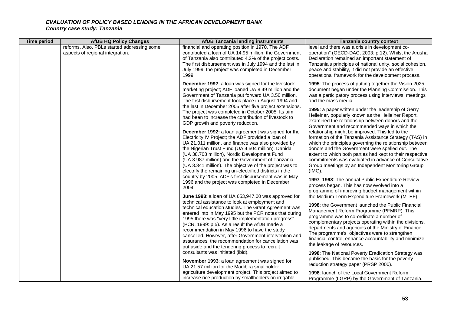| <b>Time period</b> | <b>AfDB HQ Policy Changes</b>                                                   | <b>AfDB Tanzania lending instruments</b>                                                                                                                                                                                                                                                                                                                                                                                                                                                                                                                                                                                                                                                                                                                                                                                                                                                                                                                                                                                                                                                                                                                                                                                                            | Tanzania country context                                                                                                                                                                                                                                                                                                                                                                                                                                                                                                                                                                                                                                                                                                                                                                                                                                                                                                                                                                                                                                                                                                                                                          |
|--------------------|---------------------------------------------------------------------------------|-----------------------------------------------------------------------------------------------------------------------------------------------------------------------------------------------------------------------------------------------------------------------------------------------------------------------------------------------------------------------------------------------------------------------------------------------------------------------------------------------------------------------------------------------------------------------------------------------------------------------------------------------------------------------------------------------------------------------------------------------------------------------------------------------------------------------------------------------------------------------------------------------------------------------------------------------------------------------------------------------------------------------------------------------------------------------------------------------------------------------------------------------------------------------------------------------------------------------------------------------------|-----------------------------------------------------------------------------------------------------------------------------------------------------------------------------------------------------------------------------------------------------------------------------------------------------------------------------------------------------------------------------------------------------------------------------------------------------------------------------------------------------------------------------------------------------------------------------------------------------------------------------------------------------------------------------------------------------------------------------------------------------------------------------------------------------------------------------------------------------------------------------------------------------------------------------------------------------------------------------------------------------------------------------------------------------------------------------------------------------------------------------------------------------------------------------------|
|                    | reforms. Also, PBLs started addressing some<br>aspects of regional integration. | financial and operating position in 1970. The ADF<br>contributed a loan of UA 14.95 million; the Government<br>of Tanzania also contributed 4.2% of the project costs.<br>The first disbursement was in July 1994 and the last in<br>July 1999; the project was completed in December<br>1999.                                                                                                                                                                                                                                                                                                                                                                                                                                                                                                                                                                                                                                                                                                                                                                                                                                                                                                                                                      | level and there was a crisis in development co-<br>operation" (OECD-DAC, 2003: p.12). Whilst the Arusha<br>Declaration remained an important statement of<br>Tanzania's principles of national unity, social cohesion,<br>peace and stability, it did not provide an effective<br>operational framework for the development process.                                                                                                                                                                                                                                                                                                                                                                                                                                                                                                                                                                                                                                                                                                                                                                                                                                              |
|                    |                                                                                 | December 1992: a loan was signed for the livestock<br>marketing project; ADF loaned UA 8.49 million and the<br>Government of Tanzania put forward UA 3.50 million.<br>The first disbursement took place in August 1994 and<br>the last in December 2005 after five project extensions.<br>The project was completed in October 2005. Its aim<br>had been to increase the contribution of livestock to<br>GDP growth and poverty reduction.<br><b>December 1992:</b> a loan agreement was signed for the<br>Electricity IV Project; the ADF provided a loan of<br>UA 21.011 million, and finance was also provided by<br>the Nigerian Trust Fund (UA 4.504 million), Danida<br>(UA 38.708 million), Nordic Development Fund<br>(UA 3.987 million) and the Government of Tanzania<br>(UA 3.341 million). The objective of the project was to<br>electrify the remaining un-electrified districts in the<br>country by 2005. ADF's first disbursement was in May<br>1996 and the project was completed in December<br>2004.<br>June 1993: a loan of UA 653,947.00 was approved for<br>technical assistance to look at employment and<br>technical education studies. The Grant Agreement was<br>entered into in May 1995 but the PCR notes that during | 1995: The process of putting together the Vision 2025<br>document began under the Planning Commission. This<br>was a participatory process using interviews, meetings<br>and the mass media.<br>1995: a paper written under the leadership of Gerry<br>Helleiner, popularly known as the Helleiner Report,<br>examined the relationship between donors and the<br>Government and recommended ways in which the<br>relationship might be improved. This led to the<br>formation of the Tanzania Assistance Strategy (TAS) in<br>which the principles governing the relationship between<br>donors and the Government were spelled out. The<br>extent to which both parties had kept to their respective<br>commitments was evaluated in advance of Consultative<br>Group meetings by an Independent Monitoring Group<br>(IMG).<br>1997-1998: The annual Public Expenditure Review<br>process began. This has now evolved into a<br>programme of improving budget management within<br>the Medium Term Expenditure Framework (MTEF).<br>1998: the Government launched the Public Financial<br>Management Reform Programme (PFMRP). This<br>programme was to co-ordinate a number of |
|                    |                                                                                 | 1995 there was "very little implementation progress"<br>(PCR, 1999: p.5). As a result the AfDB made a<br>recommendation in May 1996 to have the study<br>cancelled. However, after Government intervention and<br>assurances, the recommendation for cancellation was<br>put aside and the tendering process to recruit<br>consultants was initiated (ibid).<br>November 1993: a loan agreement was signed for<br>UA 21.57 million for the Madibira smallholder<br>agriculture development project. This project aimed to<br>increase rice production by smallholders on irrigable                                                                                                                                                                                                                                                                                                                                                                                                                                                                                                                                                                                                                                                                  | complementary projects operating within the divisions,<br>departments and agencies of the Ministry of Finance.<br>The programme's objectives were to strengthen<br>financial control, enhance accountability and minimize<br>the leakage of resources.<br>1998: The National Poverty Eradication Strategy was<br>published. This became the basis for the poverty<br>reduction strategy paper (PRSP 2000).<br>1998: launch of the Local Government Reform<br>Programme (LGRP) by the Government of Tanzania.                                                                                                                                                                                                                                                                                                                                                                                                                                                                                                                                                                                                                                                                      |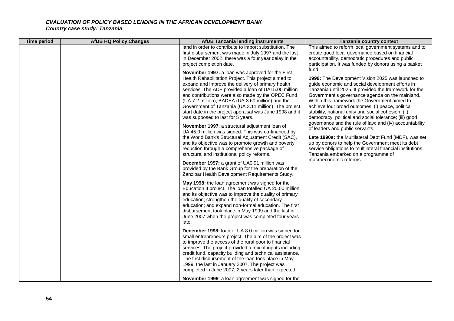# *EVALUATION OF POLICY BASED LENDING IN THE AFRICAN DEVELOPMENT BANK*

*Country case study: Tanzania*

| <b>Time period</b> | <b>AfDB HQ Policy Changes</b> | <b>AfDB Tanzania lending instruments</b>                                                                                                                                                                                                                                                                                                                                                                                                                                                                                                                                                                                                                                                                                                                                                                          | Tanzania country context                                                                                                                                                                                                                                                                                                                                                                                                                                                                                                                                                                                                                                                                                                                                            |
|--------------------|-------------------------------|-------------------------------------------------------------------------------------------------------------------------------------------------------------------------------------------------------------------------------------------------------------------------------------------------------------------------------------------------------------------------------------------------------------------------------------------------------------------------------------------------------------------------------------------------------------------------------------------------------------------------------------------------------------------------------------------------------------------------------------------------------------------------------------------------------------------|---------------------------------------------------------------------------------------------------------------------------------------------------------------------------------------------------------------------------------------------------------------------------------------------------------------------------------------------------------------------------------------------------------------------------------------------------------------------------------------------------------------------------------------------------------------------------------------------------------------------------------------------------------------------------------------------------------------------------------------------------------------------|
|                    |                               | land in order to contribute to import substitution. The<br>first disbursement was made in July 1997 and the last<br>in December 2002; there was a four year delay in the<br>project completion date.                                                                                                                                                                                                                                                                                                                                                                                                                                                                                                                                                                                                              | This aimed to reform local government systems and to<br>create good local governance based on financial<br>accountability, democratic procedures and public<br>participation. It was funded by donors using a basket                                                                                                                                                                                                                                                                                                                                                                                                                                                                                                                                                |
|                    |                               | November 1997: a loan was approved for the First<br>Health Rehabilitation Project. This project aimed to<br>expand and improve the delivery of primary health<br>services. The ADF provided a loan of UA15.00 million<br>and contributions were also made by the OPEC Fund<br>(UA 7.2 million), BADEA (UA 3.60 million) and the<br>Government of Tanzania (UA 3.11 million). The project<br>start date in the project appraisal was June 1998 and it<br>was supposed to last for 5 years.<br>November 1997: a structural adjustment loan of<br>UA 45.0 million was signed. This was co-financed by<br>the World Bank's Structural Adjustment Credit (SAC),<br>and its objective was to promote growth and poverty<br>reduction through a comprehensive package of<br>structural and institutional policy reforms. | fund.<br>1999: The Development Vision 2025 was launched to<br>guide economic and social development efforts in<br>Tanzania until 2025. It provided the framework for the<br>Government's governance agenda on the mainland.<br>Within this framework the Government aimed to<br>achieve four broad outcomes: (i) peace, political<br>stability, national unity and social cohesion; (ii)<br>democracy, political and social tolerance; (iii) good<br>governance and the rule of law; and (iv) accountability<br>of leaders and public servants.<br>Late 1990s: the Multilateral Debt Fund (MDF), was set<br>up by donors to help the Government meet its debt<br>service obligations to multilateral financial institutions.<br>Tanzania embarked on a programme of |
|                    |                               | December 1997: a grant of UA0.91 million was<br>provided by the Bank Group for the preparation of the<br>Zanzibar Health Development Requirements Study.                                                                                                                                                                                                                                                                                                                                                                                                                                                                                                                                                                                                                                                          | macroeconomic reforms.                                                                                                                                                                                                                                                                                                                                                                                                                                                                                                                                                                                                                                                                                                                                              |
|                    |                               | May 1998: the loan agreement was signed for the<br>Education II project. The loan totalled UA 20.00 million<br>and its objective was to improve the quality of primary<br>education; strengthen the quality of secondary<br>education; and expand non-formal education. The first<br>disbursement took place in May 1999 and the last in<br>June 2007 when the project was completed four years<br>late.                                                                                                                                                                                                                                                                                                                                                                                                          |                                                                                                                                                                                                                                                                                                                                                                                                                                                                                                                                                                                                                                                                                                                                                                     |
|                    |                               | December 1998: Ioan of UA 8.0 million was signed for<br>small entrepreneurs project. The aim of the project was<br>to improve the access of the rural poor to financial<br>services. The project provided a mix of inputs including<br>credit fund, capacity building and technical assistance.<br>The first disbursement of the loan took place in May<br>1999, the last in January 2007. The project was<br>completed in June 2007, 2 years later than expected.                                                                                                                                                                                                                                                                                                                                                |                                                                                                                                                                                                                                                                                                                                                                                                                                                                                                                                                                                                                                                                                                                                                                     |
|                    |                               | November 1999: a loan agreement was signed for the                                                                                                                                                                                                                                                                                                                                                                                                                                                                                                                                                                                                                                                                                                                                                                |                                                                                                                                                                                                                                                                                                                                                                                                                                                                                                                                                                                                                                                                                                                                                                     |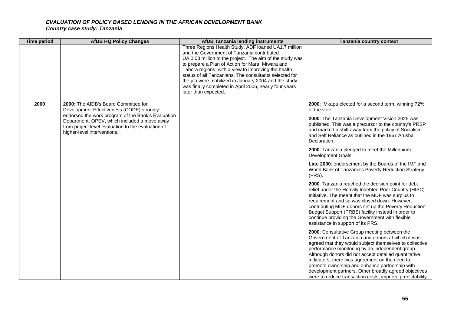# *EVALUATION OF POLICY BASED LENDING IN THE AFRICAN DEVELOPMENT BANK*

*Country case study: Tanzania*

| <b>Time period</b> | <b>AfDB HQ Policy Changes</b>                                                                                                                                                                                                                                                | <b>AfDB Tanzania lending instruments</b>                                                                                                                                                                                                                                                                                                                                                                                                                                      | Tanzania country context                                                                                                                                                                                                                                                                                                                                                                                                                                                                         |
|--------------------|------------------------------------------------------------------------------------------------------------------------------------------------------------------------------------------------------------------------------------------------------------------------------|-------------------------------------------------------------------------------------------------------------------------------------------------------------------------------------------------------------------------------------------------------------------------------------------------------------------------------------------------------------------------------------------------------------------------------------------------------------------------------|--------------------------------------------------------------------------------------------------------------------------------------------------------------------------------------------------------------------------------------------------------------------------------------------------------------------------------------------------------------------------------------------------------------------------------------------------------------------------------------------------|
|                    |                                                                                                                                                                                                                                                                              | Three Regions Health Study. ADF loaned UA1.7 million<br>and the Government of Tanzania contributed<br>UA 0.08 million to the project. The aim of the study was<br>to prepare a Plan of Action for Mara, Mtwara and<br>Tabora regions, with a view to improving the health<br>status of all Tanzanians. The consultants selected for<br>the job were mobilized in January 2004 and the study<br>was finally completed in April 2006, nearly four years<br>later than expected. |                                                                                                                                                                                                                                                                                                                                                                                                                                                                                                  |
| 2000               | 2000: The AfDB's Board Committee for<br>Development Effectiveness (CODE) strongly<br>endorsed the work program of the Bank's Evaluation<br>Department, OPEV, which included a move away<br>from project level evaluation to the evaluation of<br>higher-level interventions. |                                                                                                                                                                                                                                                                                                                                                                                                                                                                               | 2000: Mkapa elected for a second term, winning 72%<br>of the vote.<br>2000: The Tanzania Development Vision 2025 was<br>published. This was a precursor to the country's PRSP<br>and marked a shift away from the policy of Socialism<br>and Self Reliance as outlined in the 1967 Arusha<br>Declaration.                                                                                                                                                                                        |
|                    |                                                                                                                                                                                                                                                                              |                                                                                                                                                                                                                                                                                                                                                                                                                                                                               | 2000: Tanzania pledged to meet the Millennium<br>Development Goals.                                                                                                                                                                                                                                                                                                                                                                                                                              |
|                    |                                                                                                                                                                                                                                                                              |                                                                                                                                                                                                                                                                                                                                                                                                                                                                               | Late 2000: endorsement by the Boards of the IMF and<br>World Bank of Tanzania's Poverty Reduction Strategy<br>(PRS).                                                                                                                                                                                                                                                                                                                                                                             |
|                    |                                                                                                                                                                                                                                                                              |                                                                                                                                                                                                                                                                                                                                                                                                                                                                               | 2000: Tanzania reached the decision point for debt<br>relief under the Heavily Indebted Poor Country (HIPC)<br>Initiative. The meant that the MDF was surplus to<br>requirement and so was closed down. However,<br>contributing MDF donors set up the Poverty Reduction<br>Budget Support (PRBS) facility instead in order to<br>continue providing the Government with flexible<br>assistance in support of its PRS.                                                                           |
|                    |                                                                                                                                                                                                                                                                              |                                                                                                                                                                                                                                                                                                                                                                                                                                                                               | 2000: Consultative Group meeting between the<br>Government of Tanzania and donors at which it was<br>agreed that they would subject themselves to collective<br>performance monitoring by an independent group.<br>Although donors did not accept detailed quantitative<br>indicators, there was agreement on the need to<br>promote ownership and enhance partnership with<br>development partners. Other broadly agreed objectives<br>were to reduce transaction costs, improve predictability |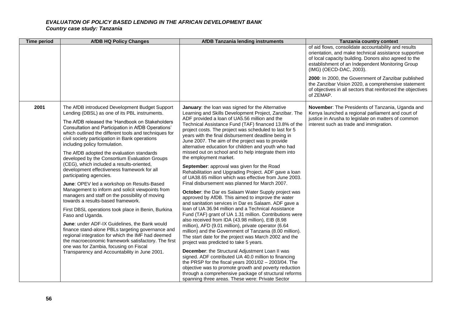| <b>Time period</b> | <b>AfDB HQ Policy Changes</b>                                                                                                                                                                                                                                                                                                                                                                                                                                                                                                                                                                                                                                                                                                                                                                                                                                                                                                                                                                                                                                                                                                                               | <b>AfDB Tanzania lending instruments</b>                                                                                                                                                                                                                                                                                                                                                                                                                                                                                                                                                                                                                                                                                                                                                                                                                                                                                                                                                                                                                                                                                                                                                                                                                                                                                                                                                                                                                                                                                                                                                                                                                            | <b>Tanzania country context</b>                                                                                                                                                                                                                       |
|--------------------|-------------------------------------------------------------------------------------------------------------------------------------------------------------------------------------------------------------------------------------------------------------------------------------------------------------------------------------------------------------------------------------------------------------------------------------------------------------------------------------------------------------------------------------------------------------------------------------------------------------------------------------------------------------------------------------------------------------------------------------------------------------------------------------------------------------------------------------------------------------------------------------------------------------------------------------------------------------------------------------------------------------------------------------------------------------------------------------------------------------------------------------------------------------|---------------------------------------------------------------------------------------------------------------------------------------------------------------------------------------------------------------------------------------------------------------------------------------------------------------------------------------------------------------------------------------------------------------------------------------------------------------------------------------------------------------------------------------------------------------------------------------------------------------------------------------------------------------------------------------------------------------------------------------------------------------------------------------------------------------------------------------------------------------------------------------------------------------------------------------------------------------------------------------------------------------------------------------------------------------------------------------------------------------------------------------------------------------------------------------------------------------------------------------------------------------------------------------------------------------------------------------------------------------------------------------------------------------------------------------------------------------------------------------------------------------------------------------------------------------------------------------------------------------------------------------------------------------------|-------------------------------------------------------------------------------------------------------------------------------------------------------------------------------------------------------------------------------------------------------|
|                    |                                                                                                                                                                                                                                                                                                                                                                                                                                                                                                                                                                                                                                                                                                                                                                                                                                                                                                                                                                                                                                                                                                                                                             |                                                                                                                                                                                                                                                                                                                                                                                                                                                                                                                                                                                                                                                                                                                                                                                                                                                                                                                                                                                                                                                                                                                                                                                                                                                                                                                                                                                                                                                                                                                                                                                                                                                                     | of aid flows, consolidate accountability and results<br>orientation, and make technical assistance supportive<br>of local capacity building. Donors also agreed to the<br>establishment of an Independent Monitoring Group<br>(IMG) (OECD-DAC, 2003). |
|                    |                                                                                                                                                                                                                                                                                                                                                                                                                                                                                                                                                                                                                                                                                                                                                                                                                                                                                                                                                                                                                                                                                                                                                             |                                                                                                                                                                                                                                                                                                                                                                                                                                                                                                                                                                                                                                                                                                                                                                                                                                                                                                                                                                                                                                                                                                                                                                                                                                                                                                                                                                                                                                                                                                                                                                                                                                                                     | 2000: In 2000, the Government of Zanzibar published<br>the Zanzibar Vision 2020, a comprehensive statement<br>of objectives in all sectors that reinforced the objectives<br>of ZEMAP.                                                                |
| 2001               | The AfDB introduced Development Budget Support<br>Lending (DBSL) as one of its PBL instruments.<br>The AfDB released the 'Handbook on Stakeholders<br>Consultation and Participation in AfDB Operations'<br>which outlined the different tools and techniques for<br>civil society participation in Bank operations<br>including policy formulation.<br>The AfDB adopted the evaluation standards<br>developed by the Consortium Evaluation Groups<br>(CEG), which included a results-oriented,<br>development effectiveness framework for all<br>participating agencies.<br>June: OPEV led a workshop on Results-Based<br>Management to inform and solicit viewpoints from<br>managers and staff on the possibility of moving<br>towards a results-based framework.<br>First DBSL operations took place in Benin, Burkina<br>Faso and Uganda.<br>June: under ADF-IX Guidelines, the Bank would<br>finance stand-alone PBLs targeting governance and<br>regional integration for which the IMF had deemed<br>the macroeconomic framework satisfactory. The first<br>one was for Zambia, focusing on Fiscal<br>Transparency and Accountability in June 2001. | January: the loan was signed for the Alternative<br>Learning and Skills Development Project, Zanzibar. The<br>ADF provided a loan of UA5.56 million and the<br>Technical Assistance Fund (TAF) financed 13.8% of the<br>project costs. The project was scheduled to last for 5<br>years with the final disbursement deadline being in<br>June 2007. The aim of the project was to provide<br>alternative education for children and youth who had<br>missed out on school and to help integrate them into<br>the employment market.<br>September: approval was given for the Road<br>Rehabilitation and Upgrading Project. ADF gave a loan<br>of UA38.65 million which was effective from June 2003.<br>Final disbursement was planned for March 2007.<br>October: the Dar es Salaam Water Supply project was<br>approved by AfDB. This aimed to improve the water<br>and sanitation services in Dar es Salaam. ADF gave a<br>Ioan of UA 36.94 million and a Technical Assistance<br>Fund (TAF) grant of UA 1.31 million. Contributions were<br>also received from IDA (43.98 million), EIB (8.98<br>million), AFD (9.01 million), private operator (6.64<br>million) and the Government of Tanzania (8.00 million).<br>The start date for the project was March 2002 and the<br>project was predicted to take 5 years.<br>December: the Structural Adjustment Loan II was<br>signed. ADF contributed UA 40.0 million to financing<br>the PRSP for the fiscal years $2001/02 - 2003/04$ . The<br>objective was to promote growth and poverty reduction<br>through a comprehensive package of structural reforms<br>spanning three areas. These were: Private Sector | November: The Presidents of Tanzania, Uganda and<br>Kenya launched a regional parliament and court of<br>justice in Arusha to legislate on matters of common<br>interest such as trade and immigration.                                               |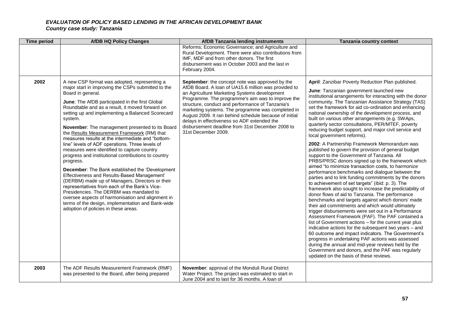| <b>Time period</b> | <b>AfDB HQ Policy Changes</b>                                                                                                                                                                                                                                                                                                                                                                                                                                                                                                                                                                                                                                                                                                                                                                                                                                                                                                                                                                                                               | <b>AfDB Tanzania lending instruments</b>                                                                                                                                                                                                                                                                                                                                                                                                                                                                         | Tanzania country context                                                                                                                                                                                                                                                                                                                                                                                                                                                                                                                                                                                                                                                                                                                                                                                                                                                                                                                                                                                                                                                                                                                                                                                                                                                                                                                                                                                                                                                                                                                                                                                                                                                        |
|--------------------|---------------------------------------------------------------------------------------------------------------------------------------------------------------------------------------------------------------------------------------------------------------------------------------------------------------------------------------------------------------------------------------------------------------------------------------------------------------------------------------------------------------------------------------------------------------------------------------------------------------------------------------------------------------------------------------------------------------------------------------------------------------------------------------------------------------------------------------------------------------------------------------------------------------------------------------------------------------------------------------------------------------------------------------------|------------------------------------------------------------------------------------------------------------------------------------------------------------------------------------------------------------------------------------------------------------------------------------------------------------------------------------------------------------------------------------------------------------------------------------------------------------------------------------------------------------------|---------------------------------------------------------------------------------------------------------------------------------------------------------------------------------------------------------------------------------------------------------------------------------------------------------------------------------------------------------------------------------------------------------------------------------------------------------------------------------------------------------------------------------------------------------------------------------------------------------------------------------------------------------------------------------------------------------------------------------------------------------------------------------------------------------------------------------------------------------------------------------------------------------------------------------------------------------------------------------------------------------------------------------------------------------------------------------------------------------------------------------------------------------------------------------------------------------------------------------------------------------------------------------------------------------------------------------------------------------------------------------------------------------------------------------------------------------------------------------------------------------------------------------------------------------------------------------------------------------------------------------------------------------------------------------|
|                    |                                                                                                                                                                                                                                                                                                                                                                                                                                                                                                                                                                                                                                                                                                                                                                                                                                                                                                                                                                                                                                             | Reforms; Economic Governance; and Agriculture and<br>Rural Development. There were also contributions from<br>IMF, MDF and from other donors. The first<br>disbursement was in October 2003 and the last in<br>February 2004.                                                                                                                                                                                                                                                                                    |                                                                                                                                                                                                                                                                                                                                                                                                                                                                                                                                                                                                                                                                                                                                                                                                                                                                                                                                                                                                                                                                                                                                                                                                                                                                                                                                                                                                                                                                                                                                                                                                                                                                                 |
| 2002               | A new CSP format was adopted, representing a<br>major start in improving the CSPs submitted to the<br>Board in general.<br>June: The AfDB participated in the first Global<br>Roundtable and as a result, it moved forward on<br>setting up and implementing a Balanced Scorecard<br>system.<br><b>November:</b> The management presented to its Board<br>the Results Measurement Framework (RM) that<br>measures results at the intermediate and "bottom-<br>line" levels of ADF operations. Three levels of<br>measures were identified to capture country<br>progress and institutional contributions to country<br>progress.<br><b>December:</b> The Bank established the 'Development'<br>Effectiveness and Results-Based Management'<br>(DERBM) made up of Managers, Directors or their<br>representatives from each of the Bank's Vice-<br>Presidencies. The DERBM was mandated to<br>oversee aspects of harmonisation and alignment in<br>terms of the design, implementation and Bank-wide<br>adoption of policies in these areas. | <b>September:</b> the concept note was approved by the<br>AfDB Board. A loan of UA15.6 million was provided to<br>an Agriculture Marketing Systems development<br>Programme. The programme's aim was to improve the<br>structure, conduct and performance of Tanzania's<br>marketing systems. The programme was completed in<br>August 2009. It ran behind schedule because of initial<br>delays in effectiveness so ADF extended the<br>disbursement deadline from 31st December 2008 to<br>31st December 2009. | April: Zanzibar Poverty Reduction Plan published.<br>June: Tanzanian government launched new<br>institutional arrangements for interacting with the donor<br>community. The Tanzanian Assistance Strategy (TAS)<br>set the framework for aid co-ordination and enhancing<br>national ownership of the development process, and<br>built on various other arrangements (e.g. SWAps,<br>quarterly sector consultations, PER/MTEF, poverty<br>reducing budget support, and major civil service and<br>local government reforms).<br>2002: A Partnership Framework Memorandum was<br>published to govern the provision of general budget<br>support to the Government of Tanzania. All<br>PRBS/PRSC donors signed up to the framework which<br>aimed "to minimize transaction costs, to harmonize<br>performance benchmarks and dialogue between the<br>parties and to link funding commitments by the donors<br>to achievement of set targets" (ibid: p. 3). The<br>framework also sought to increase the predictability of<br>donor flows of aid to Tanzania. The performance<br>benchmarks and targets against which donors' made<br>their aid commitments and which would ultimately<br>trigger disbursements were set out in a Performance<br>Assessment Framework (PAF). The PAF contained a<br>list of Government actions - for the current year plus<br>indicative actions for the subsequent two years - and<br>60 outcome and impact indicators. The Government's<br>progress in undertaking PAF actions was assessed<br>during the annual and mid-year reviews held by the<br>Government and donors, and the PAF was regularly<br>updated on the basis of these reviews. |
| 2003               | The ADF Results Measurement Framework (RMF)<br>was presented to the Board, after being prepared                                                                                                                                                                                                                                                                                                                                                                                                                                                                                                                                                                                                                                                                                                                                                                                                                                                                                                                                             | November: approval of the Monduli Rural District<br>Water Project. The project was estimated to start in<br>June 2004 and to last for 36 months. A loan of                                                                                                                                                                                                                                                                                                                                                       |                                                                                                                                                                                                                                                                                                                                                                                                                                                                                                                                                                                                                                                                                                                                                                                                                                                                                                                                                                                                                                                                                                                                                                                                                                                                                                                                                                                                                                                                                                                                                                                                                                                                                 |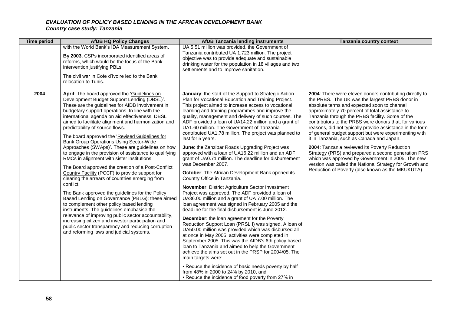| <b>Time period</b> | <b>AfDB HQ Policy Changes</b>                                                                                                                                                                                                                                                                                                                                                                                                                                                                                                                                                                                                                                                                                                                                                                                                                                                                                                                                                                                                                                                                                                                                                                         | <b>AfDB Tanzania lending instruments</b>                                                                                                                                                                                                                                                                                                                                                                                                                                                                                                                                                                                                                                                                                                                                                                                                                                                                                                                                                                                                                                                                                                                                                                                                                                                                                                                                                                                                                                                                                                                                                             | Tanzania country context                                                                                                                                                                                                                                                                                                                                                                                                                                                                                                                                                                                                                                                                                                                                                 |
|--------------------|-------------------------------------------------------------------------------------------------------------------------------------------------------------------------------------------------------------------------------------------------------------------------------------------------------------------------------------------------------------------------------------------------------------------------------------------------------------------------------------------------------------------------------------------------------------------------------------------------------------------------------------------------------------------------------------------------------------------------------------------------------------------------------------------------------------------------------------------------------------------------------------------------------------------------------------------------------------------------------------------------------------------------------------------------------------------------------------------------------------------------------------------------------------------------------------------------------|------------------------------------------------------------------------------------------------------------------------------------------------------------------------------------------------------------------------------------------------------------------------------------------------------------------------------------------------------------------------------------------------------------------------------------------------------------------------------------------------------------------------------------------------------------------------------------------------------------------------------------------------------------------------------------------------------------------------------------------------------------------------------------------------------------------------------------------------------------------------------------------------------------------------------------------------------------------------------------------------------------------------------------------------------------------------------------------------------------------------------------------------------------------------------------------------------------------------------------------------------------------------------------------------------------------------------------------------------------------------------------------------------------------------------------------------------------------------------------------------------------------------------------------------------------------------------------------------------|--------------------------------------------------------------------------------------------------------------------------------------------------------------------------------------------------------------------------------------------------------------------------------------------------------------------------------------------------------------------------------------------------------------------------------------------------------------------------------------------------------------------------------------------------------------------------------------------------------------------------------------------------------------------------------------------------------------------------------------------------------------------------|
|                    | with the World Bank's IDA Measurement System.<br>By 2003, CSPs incorporated identified areas of<br>reforms, which would be the focus of the Bank<br>intervention justifying PBLs.<br>The civil war in Cote d'Ivoire led to the Bank<br>relocation to Tunis.                                                                                                                                                                                                                                                                                                                                                                                                                                                                                                                                                                                                                                                                                                                                                                                                                                                                                                                                           | UA 5.51 million was provided, the Government of<br>Tanzania contributed UA 1.723 million. The project<br>objective was to provide adequate and sustainable<br>drinking water for the population in 18 villages and two<br>settlements and to improve sanitation.                                                                                                                                                                                                                                                                                                                                                                                                                                                                                                                                                                                                                                                                                                                                                                                                                                                                                                                                                                                                                                                                                                                                                                                                                                                                                                                                     |                                                                                                                                                                                                                                                                                                                                                                                                                                                                                                                                                                                                                                                                                                                                                                          |
| 2004               | April: The board approved the 'Guidelines on<br>Development Budget Support Lending (DBSL)'.<br>These are the guidelines for AfDB involvement in<br>budgetary support operations. In line with the<br>international agenda on aid effectiveness, DBSL<br>aimed to facilitate alignment and harmonization and<br>predictability of source flows.<br>The board approved the 'Revised Guidelines for<br><b>Bank Group Operations Using Sector-Wide</b><br>Approaches (SWAps)'. These are guidelines on how<br>to engage in the provision of assistance to qualifying<br>RMCs in alignment with sister institutions.<br>The Board approved the creation of a Post-Conflict<br>Country Facility (PCCF) to provide support for<br>clearing the arrears of countries emerging from<br>conflict.<br>The Bank approved the guidelines for the Policy<br>Based Lending on Governance (PBLG); these aimed<br>to complement other policy based lending<br>instruments. The guidelines emphasise the<br>relevance of improving public sector accountability,<br>increasing citizen and investor participation and<br>public sector transparency and reducing corruption<br>and reforming laws and judicial systems. | January: the start of the Support to Strategic Action<br>Plan for Vocational Education and Training Project.<br>This project aimed to increase access to vocational<br>learning and training programmes and improve the<br>quality, management and delivery of such courses. The<br>ADF provided a loan of UA14.22 million and a grant of<br>UA1.60 million. The Government of Tanzania<br>contributed UA1.78 million. The project was planned to<br>last for 5 years.<br>June: the Zanzibar Roads Upgrading Project was<br>approved with a loan of UA16.22 million and an ADF<br>grant of UA0.71 million. The deadline for disbursement<br>was December 2007.<br>October: The African Development Bank opened its<br>Country Office in Tanzania.<br>November: District Agriculture Sector Investment<br>Project was approved. The ADF provided a loan of<br>UA36.00 million and a grant of UA 7.00 million. The<br>loan agreement was signed in February 2005 and the<br>deadline for the final disbursement is June 2012.<br>December: the loan agreement for the Poverty<br>Reduction Support Loan (PRSL I) was signed. A loan of<br>UA50.00 million was provided which was disbursed all<br>at once in May 2005; activities were completed in<br>September 2005. This was the AfDB's 6th policy based<br>loan to Tanzania and aimed to help the Government<br>achieve the aims set out in the PRSP for 2004/05. The<br>main targets were:<br>• Reduce the incidence of basic needs poverty by half<br>from 48% in 2000 to 24% by 2010, and<br>• Reduce the incidence of food poverty from 27% in | 2004: There were eleven donors contributing directly to<br>the PRBS. The UK was the largest PRBS donor in<br>absolute terms and expected soon to channel<br>approximately 70 percent of total assistance to<br>Tanzania through the PRBS facility. Some of the<br>contributors to the PRBS were donors that, for various<br>reasons, did not typically provide assistance in the form<br>of general budget support but were experimenting with<br>it in Tanzania, such as Canada and Japan.<br>2004: Tanzania reviewed its Poverty Reduction<br>Strategy (PRS) and prepared a second generation PRS<br>which was approved by Government in 2005. The new<br>version was called the National Strategy for Growth and<br>Reduction of Poverty (also known as the MKUKUTA). |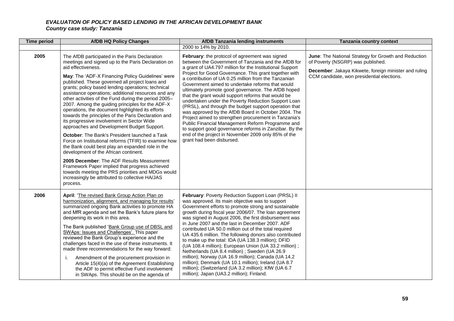| <b>Time period</b> | <b>AfDB HQ Policy Changes</b>                                                                                                                                                                                                                                                                                                                                                                                                                                                                                                                                                                                                                                                                                                                                                                                                                                                                                                                                                                                                                                                                | <b>AfDB Tanzania lending instruments</b>                                                                                                                                                                                                                                                                                                                                                                                                                                                                                                                                                                                                                                                                                                                                                                                                                                             | Tanzania country context                                                                                                                                                                         |
|--------------------|----------------------------------------------------------------------------------------------------------------------------------------------------------------------------------------------------------------------------------------------------------------------------------------------------------------------------------------------------------------------------------------------------------------------------------------------------------------------------------------------------------------------------------------------------------------------------------------------------------------------------------------------------------------------------------------------------------------------------------------------------------------------------------------------------------------------------------------------------------------------------------------------------------------------------------------------------------------------------------------------------------------------------------------------------------------------------------------------|--------------------------------------------------------------------------------------------------------------------------------------------------------------------------------------------------------------------------------------------------------------------------------------------------------------------------------------------------------------------------------------------------------------------------------------------------------------------------------------------------------------------------------------------------------------------------------------------------------------------------------------------------------------------------------------------------------------------------------------------------------------------------------------------------------------------------------------------------------------------------------------|--------------------------------------------------------------------------------------------------------------------------------------------------------------------------------------------------|
|                    |                                                                                                                                                                                                                                                                                                                                                                                                                                                                                                                                                                                                                                                                                                                                                                                                                                                                                                                                                                                                                                                                                              | 2000 to 14% by 2010.                                                                                                                                                                                                                                                                                                                                                                                                                                                                                                                                                                                                                                                                                                                                                                                                                                                                 |                                                                                                                                                                                                  |
| 2005               | The AfDB participated in the Paris Declaration<br>meetings and signed up to the Paris Declaration on<br>aid effectiveness.<br>May: The 'ADF-X Financing Policy Guidelines' were<br>published. These governed all project loans and<br>grants; policy based lending operations; technical<br>assistance operations; additional resources and any<br>other activities of the Fund during the period 2005-<br>2007. Among the guiding principles for the ADF-X<br>operations, the document highlighted its efforts<br>towards the principles of the Paris Declaration and<br>its progressive involvement in Sector Wide<br>approaches and Development Budget Support.<br>October: The Bank's President launched a Task<br>Force on Institutional reforms (TFIR) to examine how<br>the Bank could best play an expanded role in the<br>development of the African continent.<br>2005 December: The ADF Results Measurement<br>Framework Paper implied that progress achieved<br>towards meeting the PRS priorities and MDGs would<br>increasingly be attributed to collective HA/JAS<br>process. | February: the protocol of agreement was signed<br>between the Government of Tanzania and the AfDB for<br>a grant of UA4.797 million for the Institutional Support<br>Project for Good Governance. This grant together with<br>a contribution of UA 0.25 million from the Tanzanian<br>Government aimed to undertake reforms that would<br>ultimately promote good governance. The AfDB hoped<br>that the grant would support reforms that would be<br>undertaken under the Poverty Reduction Support Loan<br>(PRSL), and through the budget support operation that<br>was approved by the AfDB Board in October 2004. The<br>Project aimed to strengthen procurement in Tanzania's<br>Public Financial Management Reform Programme and<br>to support good governance reforms in Zanzibar. By the<br>end of the project in November 2009 only 85% of the<br>grant had been disbursed. | June: The National Strategy for Growth and Reduction<br>of Poverty (NSGRP) was published.<br>December: Jakaya Kikwete, foreign minister and ruling<br>CCM candidate, won presidential elections. |
| 2006               | April: 'The revised Bank Group Action Plan on<br>harmonization, alignment, and managing for results'<br>summarized ongoing Bank activities to promote HA<br>and MfR agenda and set the Bank's future plans for<br>deepening its work in this area.<br>The Bank published 'Bank Group use of DBSL and<br>SWAps: Issues and Challenges'. This paper<br>reviewed the Bank Group's experience and the<br>challenges faced in the use of these instruments. It<br>made three recommendations for the way forward:<br>Amendment of the procurement provision in<br>j.<br>Article 15(4)(a) of the Agreement Establishing<br>the ADF to permit effective Fund involvement<br>in SWAps. This should be on the agenda of                                                                                                                                                                                                                                                                                                                                                                               | February: Poverty Reduction Support Loan (PRSL) II<br>was approved. Its main objective was to support<br>Government efforts to promote strong and sustainable<br>growth during fiscal year 2006/07. The loan agreement<br>was signed in August 2006, the first disbursement was<br>in June 2007 and the last in December 2007. ADF<br>contributed UA 50.0 million out of the total required<br>UA 435.6 million. The following donors also contributed<br>to make up the total: IDA (UA 138.3 million); DFID<br>(UA 108.4 million); European Union (UA 33.2 million);<br>Netherlands (UA 8.4 million); Sweden (UA 26.9<br>million); Norway (UA 16.9 million); Canada (UA 14.2<br>million); Denmark (UA 10.1 million); Ireland (UA 8.7<br>million); (Switzerland (UA 3.2 million); KfW (UA 6.7<br>million); Japan (UA3.2 million); Finland.                                           |                                                                                                                                                                                                  |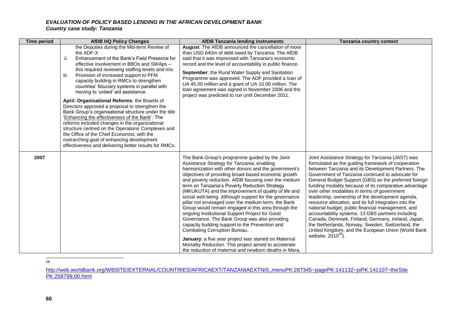| <b>Time period</b> | <b>AfDB HQ Policy Changes</b>                                                                                                                                                                                                                                                                                                                                                                                                                                                                                                                                                                                                                                                                                                                                                                                                                                               | <b>AfDB Tanzania lending instruments</b>                                                                                                                                                                                                                                                                                                                                                                                                                                                                                                                                                                                                                                                                                                                                                                                                                                                                             | Tanzania country context                                                                                                                                                                                                                                                                                                                                                                                                                                                                                                                                                                                                                                                                                                                                                                                |
|--------------------|-----------------------------------------------------------------------------------------------------------------------------------------------------------------------------------------------------------------------------------------------------------------------------------------------------------------------------------------------------------------------------------------------------------------------------------------------------------------------------------------------------------------------------------------------------------------------------------------------------------------------------------------------------------------------------------------------------------------------------------------------------------------------------------------------------------------------------------------------------------------------------|----------------------------------------------------------------------------------------------------------------------------------------------------------------------------------------------------------------------------------------------------------------------------------------------------------------------------------------------------------------------------------------------------------------------------------------------------------------------------------------------------------------------------------------------------------------------------------------------------------------------------------------------------------------------------------------------------------------------------------------------------------------------------------------------------------------------------------------------------------------------------------------------------------------------|---------------------------------------------------------------------------------------------------------------------------------------------------------------------------------------------------------------------------------------------------------------------------------------------------------------------------------------------------------------------------------------------------------------------------------------------------------------------------------------------------------------------------------------------------------------------------------------------------------------------------------------------------------------------------------------------------------------------------------------------------------------------------------------------------------|
|                    | the Deputies during the Mid-term Review of<br>the ADF-X<br>Enhancement of the Bank's Field Presence for<br>ii.<br>effective involvement in BBOs and SWAps -<br>this required reviewing staffing levels and mix<br>Provision of increased support to PFM<br>iii.<br>capacity building in RMCs to strengthen<br>countries' fiduciary systems in parallel with<br>moving to 'untied' aid assistance.<br>April: Organisational Reforms: the Boards of<br>Directors approved a proposal to strengthen the<br>Bank Group's organisational structure under the title<br>'Enhancing the effectiveness of the Bank'. The<br>reforms included changes in the organizational<br>structure centred on the Operations Complexes and<br>the Office of the Chief Economist, with the<br>overarching goal of enhancing development<br>effectiveness and delivering better results for RMCs. | August: The AfDB announced the cancellation of more<br>than USD 640m of debt owed by Tanzania. The AfDB<br>said that it was impressed with Tanzania's economic<br>record and the level of accountability in public finance.<br>September: the Rural Water Supply and Sanitation<br>Programme was approved. The ADF provided a loan of<br>UA 45.00 million and a grant of UA 10.00 million. The<br>loan agreement was signed in November 2006 and the<br>project was predicted to run until December 2011.                                                                                                                                                                                                                                                                                                                                                                                                            |                                                                                                                                                                                                                                                                                                                                                                                                                                                                                                                                                                                                                                                                                                                                                                                                         |
| 2007               |                                                                                                                                                                                                                                                                                                                                                                                                                                                                                                                                                                                                                                                                                                                                                                                                                                                                             | The Bank Group's programme guided by the Joint<br>Assistance Strategy for Tanzania, enabling<br>harmonization with other donors and the government's<br>objectives of providing broad-based economic growth<br>and poverty reduction. AfDB focusing over the medium<br>term on Tanzania's Poverty Reduction Strategy<br>(MKUKUTA) and the improvement of quality of life and<br>social well-being. Although support for the governance<br>pillar not envisaged over the medium term, the Bank<br>Group would remain engaged in this area through the<br>ongoing Institutional Support Project for Good<br>Governance. The Bank Group was also providing<br>capacity building support to the Prevention and<br>Combating Corruption Bureau.<br>January: a five year project was started on Maternal<br>Mortality Reduction. This project aimed to accelerate<br>the reduction of maternal and newborn deaths in Mara, | Joint Assistance Strategy for Tanzania (JAST) was<br>formulated as the guiding framework of cooperation<br>between Tanzania and its Development Partners. The<br>Government of Tanzania continued to advocate for<br>General Budget Support (GBS) as the preferred foreign<br>funding modality because of its comparative advantage<br>over other modalities in terms of government<br>leadership, ownership of the development agenda,<br>resource allocation, and its full integration into the<br>national budget, public financial management, and<br>accountability systems. 13 GBS partners including<br>Canada, Denmark, Finland, Germany, Ireland, Japan,<br>the Netherlands, Norway, Sweden, Switzerland, the<br>United Kingdom, and the European Union (World Bank<br>website, $2010^{28}$ ). |

—<br>28

[http://web.worldbank.org/WBSITE/EXTERNAL/COUNTRIES/AFRICAEXT/TANZANIAEXTN/0,,menuPK:287345~pagePK:141132~piPK:141107~theSite](http://web.worldbank.org/WBSITE/EXTERNAL/COUNTRIES/AFRICAEXT/TANZANIAEXTN/0,,menuPK:287345~pagePK:141132~piPK:141107~theSitePK:258799,00.html) [PK:258799,00.html](http://web.worldbank.org/WBSITE/EXTERNAL/COUNTRIES/AFRICAEXT/TANZANIAEXTN/0,,menuPK:287345~pagePK:141132~piPK:141107~theSitePK:258799,00.html)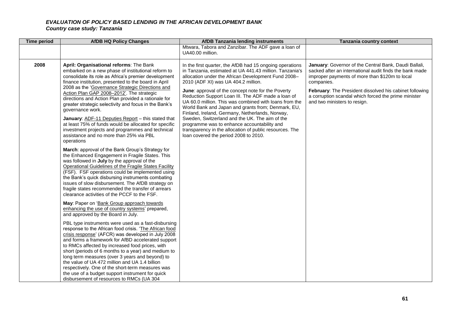| <b>Time period</b>                                                           | <b>AfDB HQ Policy Changes</b>                                                                                                                                                                                                                                                                                                                                                                                                                                                                                                                                                                                                                                                                                                                                                                                                                                                                                                                                                                                                                                                                                                                                                                                                                                                                                                                                                                                                                                                                                                                                                                                                                                                | <b>AfDB Tanzania lending instruments</b>                                                                                                                                                                                                                                                                                                                                                                                                                                                                                                                                                                                                                                                              | <b>Tanzania country context</b>                                                                                                                                                                                                                                                                                                     |  |  |  |
|------------------------------------------------------------------------------|------------------------------------------------------------------------------------------------------------------------------------------------------------------------------------------------------------------------------------------------------------------------------------------------------------------------------------------------------------------------------------------------------------------------------------------------------------------------------------------------------------------------------------------------------------------------------------------------------------------------------------------------------------------------------------------------------------------------------------------------------------------------------------------------------------------------------------------------------------------------------------------------------------------------------------------------------------------------------------------------------------------------------------------------------------------------------------------------------------------------------------------------------------------------------------------------------------------------------------------------------------------------------------------------------------------------------------------------------------------------------------------------------------------------------------------------------------------------------------------------------------------------------------------------------------------------------------------------------------------------------------------------------------------------------|-------------------------------------------------------------------------------------------------------------------------------------------------------------------------------------------------------------------------------------------------------------------------------------------------------------------------------------------------------------------------------------------------------------------------------------------------------------------------------------------------------------------------------------------------------------------------------------------------------------------------------------------------------------------------------------------------------|-------------------------------------------------------------------------------------------------------------------------------------------------------------------------------------------------------------------------------------------------------------------------------------------------------------------------------------|--|--|--|
|                                                                              |                                                                                                                                                                                                                                                                                                                                                                                                                                                                                                                                                                                                                                                                                                                                                                                                                                                                                                                                                                                                                                                                                                                                                                                                                                                                                                                                                                                                                                                                                                                                                                                                                                                                              | Mtwara, Tabora and Zanzibar. The ADF gave a loan of<br>UA40.00 million.                                                                                                                                                                                                                                                                                                                                                                                                                                                                                                                                                                                                                               |                                                                                                                                                                                                                                                                                                                                     |  |  |  |
| 2008<br>governance work.<br>operations<br>and approved by the Board in July. | April: Organisational reforms: The Bank<br>embarked on a new phase of institutional reform to<br>consolidate its role as Africa's premier development<br>finance institution, presented to the board in April<br>2008 as the 'Governance Strategic Directions and<br>Action Plan GAP 2008-2012'. The strategic<br>directions and Action Plan provided a rationale for<br>greater strategic selectivity and focus in the Bank's<br>January: ADF-11 Deputies Report - this stated that<br>at least 75% of funds would be allocated for specific<br>investment projects and programmes and technical<br>assistance and no more than 25% via PBL<br>March: approval of the Bank Group's Strategy for<br>the Enhanced Engagement in Fragile States. This<br>was followed in July by the approval of the<br>Operational Guidelines of the Fragile States Facility<br>(FSF). FSF operations could be implemented using<br>the Bank's quick disbursing instruments combating<br>issues of slow disbursement. The AfDB strategy on<br>fragile states recommended the transfer of arrears<br>clearance activities of the PCCF to the FSF.<br>May: Paper on 'Bank Group approach towards<br>enhancing the use of country systems' prepared,<br>PBL type instruments were used as a fast-disbursing<br>response to the African food crisis. 'The African food<br>crisis response' (AFCR) was developed in July 2008<br>and forms a framework for AfBD accelerated support<br>to RMCs affected by increased food prices, with<br>short (periods of 6 months to a year) and medium to<br>long term measures (over 3 years and beyond) to<br>the value of UA 472 million and UA 1.4 billion | In the first quarter, the AfDB had 15 ongoing operations<br>in Tanzania, estimated at UA 441.43 million. Tanzania's<br>allocation under the African Development Fund 2008-<br>2010 (ADF XI) was UA 404.2 million.<br>June: approval of the concept note for the Poverty<br>Reduction Support Loan III. The ADF made a loan of<br>UA 60.0 million. This was combined with loans from the<br>World Bank and Japan and grants from; Denmark, EU,<br>Finland, Ireland, Germany, Netherlands, Norway,<br>Sweden, Switzerland and the UK. The aim of the<br>programme was to enhance accountability and<br>transparency in the allocation of public resources. The<br>loan covered the period 2008 to 2010. | January: Governor of the Central Bank, Daudi Ballali,<br>sacked after an international audit finds the bank made<br>improper payments of more than \$120m to local<br>companies.<br>February: The President dissolved his cabinet following<br>a corruption scandal which forced the prime minister<br>and two ministers to resign. |  |  |  |
|                                                                              | respectively. One of the short-term measures was<br>the use of a budget support instrument for quick<br>disbursement of resources to RMCs (UA 304                                                                                                                                                                                                                                                                                                                                                                                                                                                                                                                                                                                                                                                                                                                                                                                                                                                                                                                                                                                                                                                                                                                                                                                                                                                                                                                                                                                                                                                                                                                            |                                                                                                                                                                                                                                                                                                                                                                                                                                                                                                                                                                                                                                                                                                       |                                                                                                                                                                                                                                                                                                                                     |  |  |  |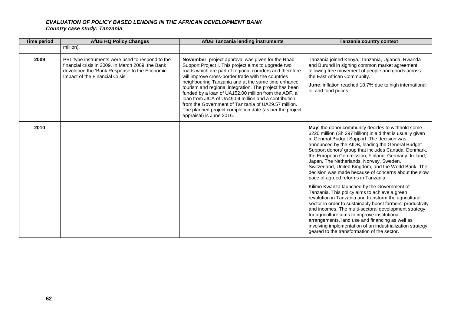| <b>Time period</b> | <b>AfDB HQ Policy Changes</b>                                                                                                                                                             | <b>AfDB Tanzania lending instruments</b>                                                                                                                                                                                                                                                                                                                                                                                                                                                                                                                                                                        | Tanzania country context                                                                                                                                                                                                                                                                                                                                                                                                                                                                                                              |
|--------------------|-------------------------------------------------------------------------------------------------------------------------------------------------------------------------------------------|-----------------------------------------------------------------------------------------------------------------------------------------------------------------------------------------------------------------------------------------------------------------------------------------------------------------------------------------------------------------------------------------------------------------------------------------------------------------------------------------------------------------------------------------------------------------------------------------------------------------|---------------------------------------------------------------------------------------------------------------------------------------------------------------------------------------------------------------------------------------------------------------------------------------------------------------------------------------------------------------------------------------------------------------------------------------------------------------------------------------------------------------------------------------|
|                    | million).                                                                                                                                                                                 |                                                                                                                                                                                                                                                                                                                                                                                                                                                                                                                                                                                                                 |                                                                                                                                                                                                                                                                                                                                                                                                                                                                                                                                       |
| 2009               | PBL type instruments were used to respond to the<br>financial crisis in 2009. In March 2009, the Bank<br>developed the 'Bank Response to the Economic<br>Impact of the Financial Crisis'. | <b>November:</b> project approval was given for the Road<br>Support Project I. This project aims to upgrade two<br>roads which are part of regional corridors and therefore<br>will improve cross-border trade with the countries<br>neighbouring Tanzania and at the same time enhance<br>tourism and regional integration. The project has been<br>funded by a loan of UA152.00 million from the ADF, a<br>loan from JICA of UA49.04 million and a contribution<br>from the Government of Tanzania of UA29.57 million.<br>The planned project completion date (as per the project<br>appraisal) is June 2016. | Tanzania joined Kenya, Tanzania, Uganda, Rwanda<br>and Burundi in signing common market agreement<br>allowing free movement of people and goods across<br>the East African Community.<br><b>June:</b> inflation reached 10.7% due to high international<br>oil and food prices.                                                                                                                                                                                                                                                       |
| 2010               |                                                                                                                                                                                           |                                                                                                                                                                                                                                                                                                                                                                                                                                                                                                                                                                                                                 | May: the donor community decides to withhold some<br>\$220 million (Sh 297 billion) in aid that is usually given<br>in General Budget Support. The decision was<br>announced by the AfDB, leading the General Budget<br>Support donors' group that includes Canada, Denmark,<br>the European Commission, Finland, Germany, Ireland,<br>Japan, The Netherlands, Norway, Sweden,<br>Switzerland, United Kingdom, and the World Bank. The<br>decision was made because of concerns about the slow<br>pace of agreed reforms in Tanzania. |
|                    |                                                                                                                                                                                           |                                                                                                                                                                                                                                                                                                                                                                                                                                                                                                                                                                                                                 | Kilimo Kwanza launched by the Government of<br>Tanzania. This policy aims to achieve a green<br>revolution in Tanzania and transform the agricultural<br>sector in order to sustainably boost farmers' productivity<br>and incomes. The multi-sectoral development strategy<br>for agriculture aims to improve institutional<br>arrangements, land use and financing as well as<br>involving implementation of an industrialization strategy<br>geared to the transformation of the sector.                                           |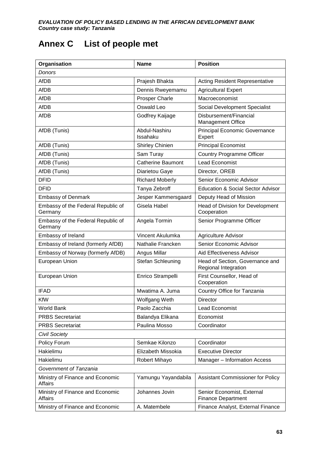# **Annex C List of people met**

| Organisation                                       | <b>Name</b>               | <b>Position</b>                                         |
|----------------------------------------------------|---------------------------|---------------------------------------------------------|
| Donors                                             |                           |                                                         |
| AfDB                                               | Prajesh Bhakta            | <b>Acting Resident Representative</b>                   |
| <b>AfDB</b>                                        | Dennis Rweyemamu          | <b>Agricultural Expert</b>                              |
| AfDB                                               | <b>Prosper Charle</b>     | Macroeconomist                                          |
| <b>AfDB</b>                                        | Oswald Leo                | Social Development Specialist                           |
| <b>AfDB</b>                                        | Godfrey Kaijage           | Disbursement/Financial<br>Management Office             |
| AfDB (Tunis)                                       | Abdul-Nashiru<br>Issahaku | <b>Principal Economic Governance</b><br>Expert          |
| AfDB (Tunis)                                       | Shirley Chinien           | <b>Principal Economist</b>                              |
| AfDB (Tunis)                                       | Sam Turay                 | <b>Country Programme Officer</b>                        |
| AfDB (Tunis)                                       | <b>Catherine Baumont</b>  | <b>Lead Economist</b>                                   |
| AfDB (Tunis)                                       | Diarietou Gaye            | Director, OREB                                          |
| <b>DFID</b>                                        | <b>Richard Moberly</b>    | Senior Economic Advisor                                 |
| <b>DFID</b>                                        | Tanya Zebroff             | <b>Education &amp; Social Sector Advisor</b>            |
| <b>Embassy of Denmark</b>                          | Jesper Kammersgaard       | Deputy Head of Mission                                  |
| Embassy of the Federal Republic of<br>Germany      | Gisela Habel              | Head of Division for Development<br>Cooperation         |
| Embassy of the Federal Republic of<br>Germany      | Angela Tormin             | Senior Programme Officer                                |
| Embassy of Ireland                                 | Vincent Akulumka          | Agriculture Advisor                                     |
| Embassy of Ireland (formerly AfDB)                 | Nathalie Francken         | Senior Economic Advisor                                 |
| Embassy of Norway (formerly AfDB)                  | Angus Millar              | Aid Effectiveness Advisor                               |
| European Union                                     | Stefan Schleuning         | Head of Section, Governance and<br>Regional Integration |
| European Union                                     | Enrico Strampelli         | First Counsellor, Head of<br>Cooperation                |
| <b>IFAD</b>                                        | Mwatima A. Juma           | Country Office for Tanzania                             |
| <b>KfW</b>                                         | Wolfgang Weth             | <b>Director</b>                                         |
| <b>World Bank</b>                                  | Paolo Zacchia             | Lead Economist                                          |
| <b>PRBS Secretariat</b>                            | Balandya Elikana          | Economist                                               |
| <b>PRBS Secretariat</b>                            | Paulina Mosso             | Coordinator                                             |
| <b>Civil Society</b>                               |                           |                                                         |
| Policy Forum                                       | Semkae Kilonzo            | Coordinator                                             |
| Hakielimu                                          | Elizabeth Missokia        | <b>Executive Director</b>                               |
| Hakielimu                                          | Robert Mihayo             | Manager - Information Access                            |
| Government of Tanzania                             |                           |                                                         |
| Ministry of Finance and Economic<br><b>Affairs</b> | Yamungu Yayandabila       | Assistant Commissioner for Policy                       |
| Ministry of Finance and Economic<br><b>Affairs</b> | Johannes Jovin            | Senior Economist, External<br><b>Finance Department</b> |
| Ministry of Finance and Economic                   | A. Matembele              | Finance Analyst, External Finance                       |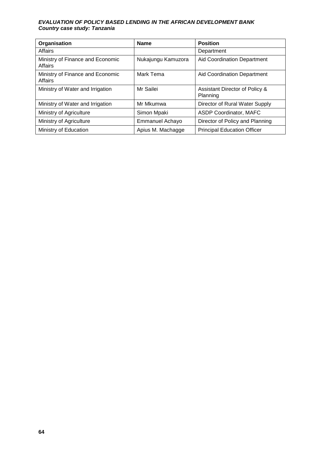| Organisation                                | <b>Name</b>            | <b>Position</b>                            |
|---------------------------------------------|------------------------|--------------------------------------------|
| Affairs                                     |                        | Department                                 |
| Ministry of Finance and Economic<br>Affairs | Nukajungu Kamuzora     | <b>Aid Coordination Department</b>         |
| Ministry of Finance and Economic<br>Affairs | Mark Tema              | Aid Coordination Department                |
| Ministry of Water and Irrigation            | Mr Sailei              | Assistant Director of Policy &<br>Planning |
| Ministry of Water and Irrigation            | Mr Mkumwa              | Director of Rural Water Supply             |
| Ministry of Agriculture                     | Simon Mpaki            | <b>ASDP Coordinator, MAFC</b>              |
| Ministry of Agriculture                     | <b>Emmanuel Achayo</b> | Director of Policy and Planning            |
| Ministry of Education                       | Apius M. Machagge      | <b>Principal Education Officer</b>         |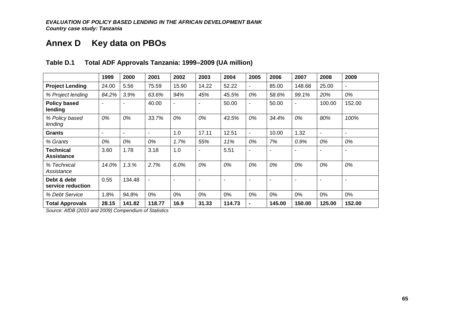# **Annex D Key data on PBOs**

|                                       | 1999                     | 2000   | 2001                     | 2002  | 2003  | 2004   | 2005           | 2006                     | 2007           | 2008   | 2009                     |
|---------------------------------------|--------------------------|--------|--------------------------|-------|-------|--------|----------------|--------------------------|----------------|--------|--------------------------|
| <b>Project Lending</b>                | 24.00                    | 5.56   | 75.59                    | 15.90 | 14.22 | 52.22  | $\overline{a}$ | 85.00                    | 148.68         | 25.00  | $\overline{\phantom{a}}$ |
| % Project lending                     | 84.2%                    | 3.9%   | 63.6%                    | 94%   | 45%   | 45.5%  | 0%             | 58.6%                    | 99.1%          | 20%    | 0%                       |
| <b>Policy based</b><br>lending        | $\overline{\phantom{a}}$ |        | 40.00                    |       |       | 50.00  | $\overline{a}$ | 50.00                    | $\blacksquare$ | 100.00 | 152.00                   |
| % Policy based<br>lending             | 0%                       | 0%     | 33.7%                    | 0%    | 0%    | 43.5%  | 0%             | 34.4%                    | 0%             | 80%    | 100%                     |
| <b>Grants</b>                         | $\overline{\phantom{a}}$ | ٠      | $\overline{\phantom{a}}$ | 1.0   | 17.11 | 12.51  | $\blacksquare$ | 10.00                    | 1.32           | ٠      | $\blacksquare$           |
| % Grants                              | 0%                       | 0%     | 0%                       | 1.7%  | 55%   | 11%    | 0%             | 7%                       | 0.9%           | 0%     | 0%                       |
| <b>Technical</b><br><b>Assistance</b> | 3.60                     | 1.78   | 3.18                     | 1.0   |       | 5.51   | ٠              | ٠                        |                |        | $\blacksquare$           |
| % Technical<br>Assistance             | 14.0%                    | 1.3.%  | 2.7%                     | 6.0%  | 0%    | 0%     | 0%             | 0%                       | 0%             | 0%     | 0%                       |
| Debt & debt<br>service reduction      | 0.55                     | 134.48 |                          |       |       | ٠      |                | $\overline{\phantom{a}}$ | ٠              |        | $\overline{\phantom{a}}$ |
| % Debt Service                        | 1.8%                     | 94.8%  | $0\%$                    | 0%    | 0%    | 0%     | 0%             | $0\%$                    | 0%             | $0\%$  | $0\%$                    |
| <b>Total Approvals</b>                | 28.15                    | 141.82 | 118.77                   | 16.9  | 31.33 | 114.73 | $\blacksquare$ | 145.00                   | 150.00         | 125.00 | 152.00                   |

## **Table D.1 Total ADF Approvals Tanzania: 1999–2009 (UA million)**

*Source: AfDB (2010 and 2009) Compendium of Statistics*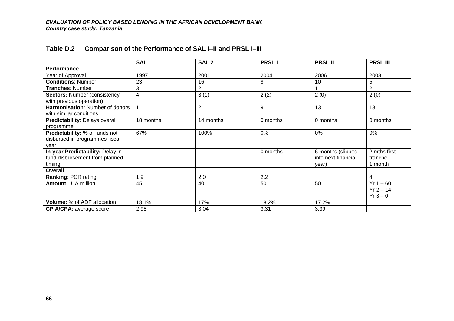|                                       | SAL <sub>1</sub> | SAL <sub>2</sub> | <b>PRSLI</b> | <b>PRSL II</b>      | <b>PRSLIII</b> |
|---------------------------------------|------------------|------------------|--------------|---------------------|----------------|
| Performance                           |                  |                  |              |                     |                |
| Year of Approval                      | 1997             | 2001             | 2004         | 2006                | 2008           |
| <b>Conditions: Number</b>             | 23               | 16               | 8            | 10                  | 5              |
| Tranches: Number                      | 3                | 2                |              |                     | $\overline{2}$ |
| <b>Sectors: Number (consistency</b>   | 4                | 3(1)             | 2(2)         | 2(0)                | 2(0)           |
| with previous operation)              |                  |                  |              |                     |                |
| Harmonisation: Number of donors       | 1                | 2                | 9            | 13                  | 13             |
| with similar conditions               |                  |                  |              |                     |                |
| <b>Predictability: Delays overall</b> | 18 months        | 14 months        | 0 months     | 0 months            | 0 months       |
| programme                             |                  |                  |              |                     |                |
| Predictability: % of funds not        | 67%              | 100%             | 0%           | 0%                  | 0%             |
| disbursed in programmes fiscal        |                  |                  |              |                     |                |
| year                                  |                  |                  |              |                     |                |
| In-year Predictability: Delay in      |                  |                  | 0 months     | 6 months (slipped   | 2 mths first   |
| fund disbursement from planned        |                  |                  |              | into next financial | tranche        |
| timing                                |                  |                  |              | year)               | 1 month        |
| <b>Overall</b>                        |                  |                  |              |                     |                |
| Ranking: PCR rating                   | 1.9              | 2.0              | 2.2          |                     | $\overline{4}$ |
| <b>Amount: UA million</b>             | 45               | 40               | 50           | 50                  | $Yr 1 - 60$    |
|                                       |                  |                  |              |                     | $Yr 2 - 14$    |
|                                       |                  |                  |              |                     | $Yr3-0$        |
| Volume: % of ADF allocation           | 18.1%            | 17%              | 18.2%        | 17.2%               |                |
| <b>CPIA/CPA: average score</b>        | 2.98             | 3.04             | 3.31         | 3.39                |                |

# **Table D.2 Comparison of the Performance of SAL I–II and PRSL I–III**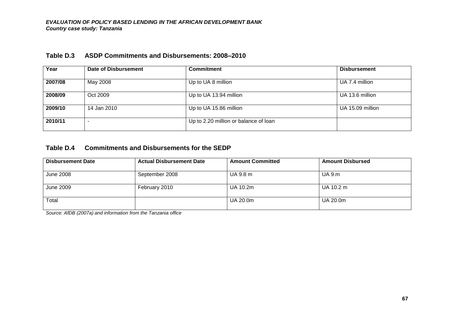| Year    | Date of Disbursement | <b>Commitment</b>                     | <b>Disbursement</b> |
|---------|----------------------|---------------------------------------|---------------------|
| 2007/08 | May 2008             | Up to UA 8 million                    | UA 7.4 million      |
| 2008/09 | Oct 2009             | Up to UA 13.94 million                | UA 13.6 million     |
| 2009/10 | 14 Jan 2010          | Up to UA 15.86 million                | UA 15.09 million    |
| 2010/11 |                      | Up to 2.20 million or balance of loan |                     |

# **Table D.3 ASDP Commitments and Disbursements: 2008–2010**

## **Table D.4 Commitments and Disbursements for the SEDP**

| <b>Disbursement Date</b> | <b>Actual Disbursement Date</b> | <b>Amount Committed</b> | <b>Amount Disbursed</b> |
|--------------------------|---------------------------------|-------------------------|-------------------------|
| June 2008                | September 2008                  | UA 9.8 m                | <b>UA 9.m</b>           |
| June 2009                | February 2010                   | UA 10.2m                | UA 10.2 m               |
| Total                    |                                 | UA 20.0m                | UA 20.0m                |

*Source: AfDB (2007a) and information from the Tanzania office*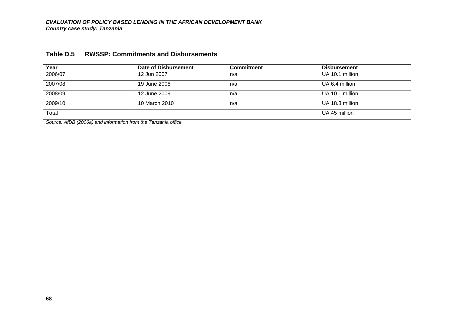| Year    | Date of Disbursement | <b>Commitment</b> | <b>Disbursement</b> |
|---------|----------------------|-------------------|---------------------|
| 2006/07 | 12 Jun 2007          | n/a               | UA 10.1 million     |
| 2007/08 | 19 June 2008         | n/a               | UA 6.4 million      |
| 2008/09 | 12 June 2009         | n/a               | UA 10.1 million     |
| 2009/10 | 10 March 2010        | n/a               | UA 18.3 million     |
| Total   |                      |                   | UA 45 million       |

## **Table D.5 RWSSP: Commitments and Disbursements**

*Source: AfDB (2006a) and information from the Tanzania office*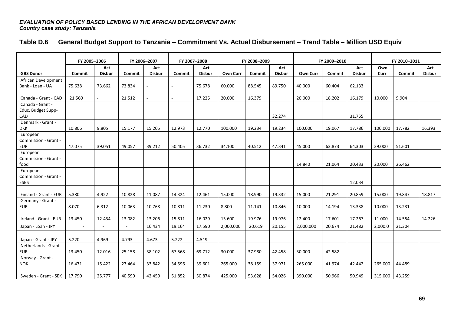|  | Table D.6 General Budget Support to Tanzania - Commitment Vs. Actual Disbursement - Trend Table - Million USD Equiv |  |  |  |  |
|--|---------------------------------------------------------------------------------------------------------------------|--|--|--|--|
|--|---------------------------------------------------------------------------------------------------------------------|--|--|--|--|

|                                         | FY 2005-2006 |               | FY 2006-2007 |               |        | FY 2007-2008  |                 | FY 2008-2009 |               |                 | FY 2009-2010 |               | FY 2010-2011 |        |               |
|-----------------------------------------|--------------|---------------|--------------|---------------|--------|---------------|-----------------|--------------|---------------|-----------------|--------------|---------------|--------------|--------|---------------|
|                                         |              | Act           |              | Act           |        | Act           |                 |              | Act           |                 |              | Act           | Own          |        | Act           |
| <b>GBS Donor</b>                        | Commit       | <b>Disbur</b> | Commit       | <b>Disbur</b> | Commit | <b>Disbur</b> | <b>Own Curr</b> | Commit       | <b>Disbur</b> | <b>Own Curr</b> | Commit       | <b>Disbur</b> | Curr         | Commit | <b>Disbur</b> |
| African Development<br>Bank - Loan - UA | 75.638       | 73.662        | 73.834       |               |        | 75.678        | 60.000          | 88.545       | 89.750        | 40.000          | 60.404       | 62.133        |              |        |               |
|                                         |              |               |              |               |        |               |                 |              |               |                 |              |               |              |        |               |
| Canada - Grant - CAD                    | 21.560       |               | 21.512       |               | $\sim$ | 17.225        | 20.000          | 16.379       |               | 20.000          | 18.202       | 16.179        | 10.000       | 9.904  |               |
| Canada - Grant -                        |              |               |              |               |        |               |                 |              |               |                 |              |               |              |        |               |
| Educ. Budget Supp-                      |              |               |              |               |        |               |                 |              |               |                 |              |               |              |        |               |
| CAD                                     |              |               |              |               |        |               |                 |              | 32.274        |                 |              | 31.755        |              |        |               |
| Denmark - Grant -                       |              |               |              |               |        |               |                 |              |               |                 |              |               |              |        |               |
| <b>DKK</b>                              | 10.806       | 9.805         | 15.177       | 15.205        | 12.973 | 12.770        | 100.000         | 19.234       | 19.234        | 100.000         | 19.067       | 17.786        | 100.000      | 17.782 | 16.393        |
| European                                |              |               |              |               |        |               |                 |              |               |                 |              |               |              |        |               |
| Commission - Grant -                    |              |               |              |               |        |               |                 |              |               |                 |              |               |              |        |               |
| <b>EUR</b>                              | 47.075       | 39.051        | 49.057       | 39.212        | 50.405 | 36.732        | 34.100          | 40.512       | 47.341        | 45.000          | 63.873       | 64.303        | 39.000       | 51.601 |               |
| European                                |              |               |              |               |        |               |                 |              |               |                 |              |               |              |        |               |
| Commission - Grant -<br>food            |              |               |              |               |        |               |                 |              |               | 14.840          | 21.064       | 20.433        | 20.000       | 26.462 |               |
| European                                |              |               |              |               |        |               |                 |              |               |                 |              |               |              |        |               |
| Commission - Grant -                    |              |               |              |               |        |               |                 |              |               |                 |              |               |              |        |               |
| <b>ESBS</b>                             |              |               |              |               |        |               |                 |              |               |                 |              | 12.034        |              |        |               |
|                                         |              |               |              |               |        |               |                 |              |               |                 |              |               |              |        |               |
| Finland - Grant - EUR                   | 5.380        | 4.922         | 10.828       | 11.087        | 14.324 | 12.461        | 15.000          | 18.990       | 19.332        | 15.000          | 21.291       | 20.859        | 15.000       | 19.847 | 18.817        |
| Germany - Grant -                       |              |               |              |               |        |               |                 |              |               |                 |              |               |              |        |               |
| <b>EUR</b>                              | 8.070        | 6.312         | 10.063       | 10.768        | 10.811 | 11.230        | 8.800           | 11.141       | 10.846        | 10.000          | 14.194       | 13.338        | 10.000       | 13.231 |               |
| Ireland - Grant - EUR                   | 13.450       | 12.434        | 13.082       | 13.206        | 15.811 | 16.029        | 13.600          | 19.976       | 19.976        | 12.400          | 17.601       | 17.267        | 11.000       | 14.554 | 14.226        |
|                                         |              |               |              |               |        |               |                 |              |               |                 |              |               |              |        |               |
| Japan - Loan - JPY                      |              |               | $\sim$       | 16.434        | 19.164 | 17.590        | 2,000.000       | 20.619       | 20.155        | 2,000.000       | 20.674       | 21.482        | 2,000.0      | 21.304 |               |
| Japan - Grant - JPY                     | 5.220        | 4.969         | 4.793        | 4.673         | 5.222  | 4.519         |                 |              |               |                 |              |               |              |        |               |
| Netherlands - Grant -                   |              |               |              |               |        |               |                 |              |               |                 |              |               |              |        |               |
| <b>EUR</b>                              | 13.450       | 12.016        | 25.158       | 38.102        | 67.568 | 69.712        | 30.000          | 37.980       | 42.458        | 30.000          | 42.582       |               |              |        |               |
| Norway - Grant -                        |              |               |              |               |        |               |                 |              |               |                 |              |               |              |        |               |
| <b>NOK</b>                              | 16.471       | 15.422        | 27.464       | 33.842        | 34.596 | 39.601        | 265.000         | 38.159       | 37.971        | 265.000         | 41.974       | 42.442        | 265.000      | 44.489 |               |
|                                         |              |               |              |               |        |               |                 |              |               |                 |              |               |              |        |               |
| Sweden - Grant - SEK                    | 17.790       | 25.777        | 40.599       | 42.459        | 51.852 | 50.874        | 425.000         | 53.628       | 54.026        | 390.000         | 50.966       | 50.949        | 315.000      | 43.259 |               |